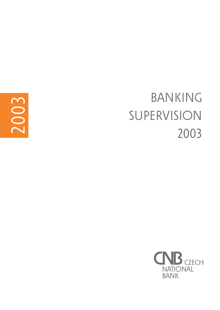

# BANKING SUPERVISION 2003

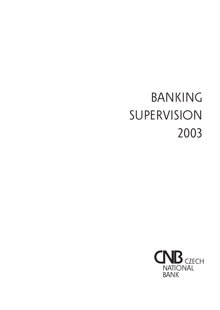# BANKING SUPERVISION 2003

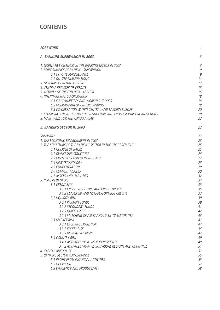# **CONTENTS**

| <b>FOREWORD</b>                                                         | 1              |
|-------------------------------------------------------------------------|----------------|
| A. BANKING SUPERVISION IN 2003                                          | 3              |
| 1. LEGISLATIVE CHANGES IN THE BANKING SECTOR IN 2003                    | $\overline{3}$ |
| 2. PERFORMANCE OF BANKING SUPERVISION<br>2.1 OFF-SITE SURVEILLANCE      | 9<br>9         |
| 2.2 ON-SITE EXAMINATIONS                                                | 11             |
| 3. NEW BASEL CAPITAL ACCORD                                             | 13             |
| 4. CENTRAL REGISTER OF CREDITS                                          | 15             |
| 5. ACTIVITY OF THE FINANCIAL ARBITER                                    | 16             |
| 6. INTERNATIONAL CO-OPERATION                                           | 18             |
| 6.1 EU COMMITTEES AND WORKING GROUPS                                    | 18             |
| 6.2 MEMORANDA OF UNDERSTANDING                                          | 19             |
| 6.3 CO-OPERATION WITHIN CENTRAL AND EASTERN EUROPE                      | 20             |
| 7. CO-OPERATION WITH DOMESTIC REGULATORS AND PROFESSIONAL ORGANISATIONS | 20             |
| 8. MAIN TASKS FOR THE PERIOD AHEAD                                      | 22             |
| <b>B. BANKING SECTOR IN 2003</b>                                        | 23             |
| SUMMARY                                                                 | 23             |
| 1. THE ECONOMIC ENVIRONMENT IN 2003                                     | 23             |
| 2. THE STRUCTURE OF THE BANKING SECTOR IN THE CZECH REPUBLIC            | 25             |
| 2.1 NUMBER OF BANKS                                                     | 25             |
| 2.2 OWNERSHIP STRUCTURE                                                 | 26             |
| 2.3 EMPLOYEES AND BANKING UNITS                                         | 27             |
| <b>2.4 NEW TECHNOLOGY</b>                                               | 28             |
| 2.5 CONCENTRATION                                                       | 29             |
| 2.6 COMPETITIVENESS                                                     | 30             |
| 2.7 ASSETS AND LIABILITIES                                              | 32             |
| 3. RISKS IN BANKING                                                     | 34             |
| 3.1 CREDIT RISK                                                         | 35             |
| 3.1.1 CREDIT STRUCTURE AND CREDIT TRENDS                                | 35             |
| 3.1.2 CLASSIFIED AND NON-PERFORMING CREDITS                             | 37             |
| 3.2 LIQUIDITY RISK                                                      | 39             |
| 3.2.1 PRIMARY FUNDS<br>3.2.2 SECONDARY FUNDS                            | 39<br>41       |
| 3.2.3 QUICK ASSETS                                                      | 42             |
| 3.2.4 MATCHING OF ASSET AND LIABILITY MATURITIES                        | 43             |
| 3.3 MARKET RISK                                                         | 43             |
| 3.3.1 EXCHANGE RATE RISK                                                | 44             |
| 3.3.2 EQUITY RISK                                                       | 46             |
| 3.3.3 DERIVATIVES RISKS                                                 | 47             |
| 3.4 COUNTRY RISK                                                        | 49             |
| 3.4.1 ACTIVITIES VIS-À-VIS NON-RESIDENTS                                | 49             |
| 3.4.2 ACTIVITIES VIS-À-VIS INDIVIDUAL REGIONS AND COUNTRIES             | 51             |
| 4. CAPITAL ADEQUACY                                                     | 53             |
| 5. BANKING SECTOR PERFORMANCE                                           | 55             |
| 5.1 PROFIT FROM FINANCIAL ACTIVITIES                                    | 55             |
| 5.2 NET PROFIT                                                          | 57             |
| 5.3 EFFICIENCY AND PRODUCTIVITY                                         | 58             |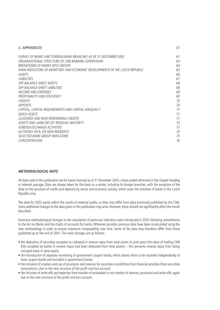| C. APPENDICES                                                               | 61 |
|-----------------------------------------------------------------------------|----|
| SURVEY OF BANKS AND FORFIGN BANK BRANCHES AS OF 31 DECEMBER 2003            | 61 |
| ORGANISATIONAL STRUCTURE OF CNB BANKING SUPERVISION                         | 63 |
| BREAKDOWN OF BANKS INTO GROUPS                                              | 64 |
| MAIN INDICATORS OF MONETARY AND ECONOMIC DEVELOPMENTS IN THE CZECH REPUBLIC | 65 |
| ASSETS                                                                      | 66 |
| <b>I IARII ITIFS</b>                                                        | 67 |
| <i><b>OFF-BALANCE-SHEET ASSETS</b></i>                                      | 68 |
| <i><b>OFF-BALANCE-SHEET LIABILITIES</b></i>                                 | 68 |
| INCOME AND EXPENSES                                                         | 69 |
| PROFITABILITY AND EFFICIENCY                                                | 69 |
| <b>CREDITS</b>                                                              | 70 |
| <b>DEPOSITS</b>                                                             | 70 |
| CAPITAL, CAPITAL REQUIREMENTS AND CAPITAL ADEQUACY                          | 71 |
| <i><b>OUICK ASSETS</b></i>                                                  | 71 |
| CLASSIFIED AND NON-PERFORMING CREDITS                                       | 71 |
| ASSETS AND LIABILITIES BY RESIDUAL MATURITY                                 | 72 |
| <b>FOREIGN EXCHANGE ACTIVITIES</b>                                          | 73 |
| ACTIVITIES VIS-À-VIS NON-RESIDENTS                                          | 74 |
| SELECTED BANK GROUP INDICATORS                                              | 75 |
| CONCENTRATION                                                               | 76 |

#### **METHODOLOGICAL NOTE**

All data used in this publication are for banks licensed as of 31 December 2003, unless stated otherwise in the chapter heading or relevant passage. Data are always taken for the bank as a whole, including its foreign branches, with the exception of the data on the structure of credits and deposits by sector and economic activity, which cover the activities of banks in the Czech Republic only.

The data for 2003 partly reflect the results of external audits, so they may differ from data previously published by the CNB. Some additional changes to the data given in this publication may arise. However, these should not significantly affect the trends described.

Extensive methodological changes to the calculation of particular indicators were introduced in 2002 following amendments to the Act on Banks and the charts of accounts for banks. Wherever possible, previous data have been recalculated using the new methodology in order to ensure maximum comparability over time. Some of the data may therefore differ from those published up to the end of 2001. The main changes are as follows:

- the deduction of securities accepted as collateral in reverse repos from total assets (in past years the value of trading CNB bills accepted by banks in reverse repos had been deducted from total assets) – this prevents reverse repos from being included twice in total assets;
- the introduction of separate monitoring of government coupon bonds, which allows them to be recorded independently of total coupon bonds and included in government bonds;
- the inclusion of creation and use of provisions and reserves for securities in profit/loss from financial activities (from securities transactions), due to the new structure of the profit and loss account;
- the inclusion of write-offs and expenses from transfer of receivables in net creation of reserves, provisions and write-offs, again due to the new structure of the profit and loss account.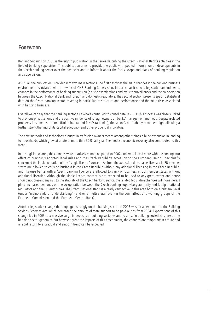# **FOREWORD**

Banking Supervision 2003 is the eighth publication in the series describing the Czech National Bank's activities in the field of banking supervision. This publication aims to provide the public with pooled information on developments in the Czech banking sector over the past year and to inform it about the focus, scope and plans of banking regulation and supervision.

As usual, the publication is divided into two main sections. The first describes the main changes in the banking business environment associated with the work of CNB Banking Supervision. In particular it covers legislative amendments, changes in the performance of banking supervision (on-site examinations and off-site surveillance) and the co-operation between the Czech National Bank and foreign and domestic regulators. The second section presents specific statistical data on the Czech banking sector, covering in particular its structure and performance and the main risks associated with banking business.

Overall we can say that the banking sector as a whole continued to consolidate in 2003. This process was closely linked to previous privatisations and the positive influence of foreign owners on banks' management methods. Despite isolated problems in some institutions (Union banka and Plzeňská banka), the sector's profitability remained high, allowing a further strengthening of its capital adequacy and other prudential indicators.

The new methods and technology brought in by foreign owners meant among other things a huge expansion in lending to households, which grew at a rate of more than 30% last year. The modest economic recovery also contributed to this trend.

In the legislative area, the changes were relatively minor compared to 2002 and were linked more with the coming into effect of previously adopted legal rules and the Czech Republic's accession to the European Union. They chiefly concerned the implementation of the "single licence" concept. As from the accession date, banks licensed in EU member states are allowed to carry on business in the Czech Republic without any additional licensing in the Czech Republic, and likewise banks with a Czech banking licence are allowed to carry on business in EU member states without additional licensing. Although the single licence concept is not expected to be used to any great extent and hence should not present any risk to the stability of the Czech banking sector, the related legislative changes will nonetheless place increased demands on the co-operation between the Czech banking supervisory authority and foreign national regulators and the EU authorities. The Czech National Bank is already very active in this area both on a bilateral level (under "memoranda of understanding") and on a multilateral level (in the committees and working groups of the European Commission and the European Central Bank).

Another legislative change that impinged strongly on the banking sector in 2003 was an amendment to the Building Savings Schemes Act, which decreased the amount of state support to be paid out as from 2004. Expectations of this change led in 2003 to a massive surge in deposits at building societies and to a rise in building societies' share of the banking sector generally. But however great the impacts of this amendment, the changes are temporary in nature and a rapid return to a gradual and smooth trend can be expected.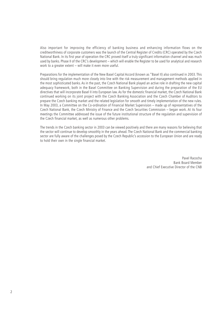Also important for improving the efficiency of banking business and enhancing information flows on the creditworthiness of corporate customers was the launch of the Central Register of Credits (CRC) operated by the Czech National Bank. In its first year of operation the CRC proved itself a truly significant information channel and was much used by banks. Phase II of the CRC's development – which will enable the Register to be used for analytical and research work to a greater extent – will make it even more useful.

Preparations for the implementation of the New Basel Capital Accord (known as "Basel II) also continued in 2003. This should bring regulation much more closely into line with the risk measurement and management methods applied in the most sophisticated banks. As in the past, the Czech National Bank played an active role in drafting the new capital adequacy framework, both in the Basel Committee on Banking Supervision and during the preparation of the EU directives that will incorporate Basel II into European law. As for the domestic financial market, the Czech National Bank continued working on its joint project with the Czech Banking Association and the Czech Chamber of Auditors to prepare the Czech banking market and the related legislation for smooth and timely implementation of the new rules. In May 2003, a Committee on the Co-ordination of Financial Market Supervision – made up of representatives of the Czech National Bank, the Czech Ministry of Finance and the Czech Securities Commission – began work. At its four meetings the Committee addressed the issue of the future institutional structure of the regulation and supervision of the Czech financial market, as well as numerous other problems.

The trends in the Czech banking sector in 2003 can be viewed positively and there are many reasons for believing that the sector will continue to develop smoothly in the years ahead. The Czech National Bank and the commercial banking sector are fully aware of the challenges posed by the Czech Republic's accession to the European Union and are ready to hold their own in the single financial market.

> Pavel Racocha Bank Board Member and Chief Executive Director of the CNB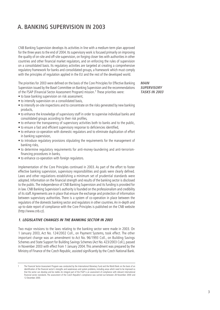# **A. BANKING SUPERVISION IN 2003**

CNB Banking Supervision develops its activities in line with a medium-term plan approved for the three years to the end of 2004. Its supervisory work is focused primarily on improving the quality of on-site and off-site supervision, on forging closer ties with authorities in other countries and other financial market regulators, and on enforcing the rules of supervision on a consolidated basis. Its regulatory activities are targeted at creating a comprehensive regulatory framework for banks and consolidated groups, a framework which must comply with the principles of regulation applied in the EU and the rest of the developed world.

The priorities for 2003 were defined on the basis of the Core Principles for Effective Banking Supervision issued by the Basel Committee on Banking Supervision and the recommendations of the FSAP (Financial Sector Assessment Program) mission.1 These priorities were:

**MAIN SUPERVISORY TASKS IN 2003**

- to base banking supervision on risk assessment,
- to intensify supervision on a consolidated basis,
- to intensify on-site inspections and to concentrate on the risks generated by new banking products,
- to enhance the knowledge of supervisory staff in order to supervise individual banks and consolidated groups according to their risk profiles,
- to enhance the transparency of supervisory activities both to banks and to the public,
- to ensure a fast and efficient supervisory response to deficiencies identified,
- to enhance co-operation with domestic regulators and to eliminate duplication of effort in banking supervision,
- to introduce regulatory provisions stipulating the requirements for the management of banking risks,
- to determine regulatory requirements for anti-money-laundering and anti-terrorismfinancing procedures in banks,
- to enhance co-operation with foreign regulators.

Implementation of the Core Principles continued in 2003. As part of the effort to foster effective banking supervision, supervisory responsibilities and goals were clearly defined. Laws and other regulations establishing a minimum set of prudential standards were adopted. Information on the financial strength and results of the banking sector is disclosed to the public.The independence of CNB Banking Supervision and its funding is provided for in law. CNB Banking Supervision's authority is founded on the professionalism and credibility of its staff.Agreements are in place that ensure the exchange and protection of information between supervisory authorities. There is a system of co-operation in place between the regulators of the domestic banking sector and regulators in other countries.An in-depth and up-to-date report of compliance with the Core Principles is published on the CNB website (http://www.cnb.cz).

#### **1. LEGISLATIVE CHANGES IN THE BANKING SECTOR IN 2003**

Two major revisions to the laws relating to the banking sector were made in 2003. On 1 January 2003, Act No. 124/2002 Coll., on Payment Systems, took effect. The other important change was an amendment to Act No. 96/1993 Coll., on Building Savings Schemes and State Support for Building Savings Schemes (Act No. 423/2003 Coll.), passed in November 2003 with effect from 1 January 2004. This amendment was prepared by the Ministry of Finance of the Czech Republic, assisted significantly by the Czech National Bank.

The Financial Sector Assessment Program was conducted by the International Monetary Fund and the World Bank on the basis of an identification of the financial sector's strengths and weaknesses and system problems, including areas which need to be improved so that the sector can develop and be stable. An integral part of the FSAP is an assessment of compliance with relevant international financial sector standards. The assessment of the Czech Republic's compliance was carried out between 28 November 2000 and 12 December 2000.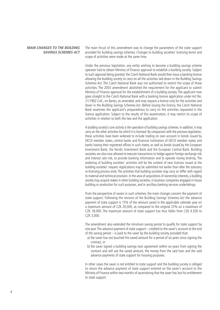#### **MAIN CHANGES TO THE BUILDING SAVINGS SCHEMES ACT**

The main thrust of this amendment was to change the parameters of the state support provided for building savings schemes. Changes to building societies' licensing terms and scope of activities were made at the same time.

Under the previous legislation, any entity wishing to become a building savings scheme operator had to obtain Ministry of Finance approval to establish a building society. Subject to such approval being granted, the Czech National Bank would then issue a banking licence allowing the building society to carry on all the activities laid down in the Building Savings Schemes Act. The Czech National Bank was not authorised to restrict the scope of those activities. The 2003 amendment abolished the requirement for the applicant to submit Ministry of Finance approval for the establishment of a building society. The applicant now goes straight to the Czech National Bank with a banking licence application under Act No. 21/1992 Coll., on Banks, as amended, and may request a licence only for the activities laid down in the Building Savings Schemes Act. Before issuing the licence, the Czech National Bank examines the applicant's preparedness to carry on the activities requested in the licence application. Subject to the results of this examination, it may restrict its scope of activities in relation to both the law and the application.

A building society's core activity is the operation of building savings schemes. In addition, it may carry on the other activities for which it is licensed. By comparison with the previous legislation, these activities have been widened to include trading on own account in bonds issued by OECD member states, central banks and financial institutions of OECD member states and banks having their registered offices in such states, as well as bonds issued by the European Investment Bank, the Nordic Investment Bank and the European Central Bank. Building societies are also now allowed to execute transactions to hedge against foreign exchange risk and interest rate risk, to provide banking information and to operate money broking. The widening of building societies' activities will be the content of new licences issued at the building societies' request. Applications may be submitted not earlier than after the statutory re-licensing process ends. The activities that building societies may carry on differ with regard to material and technical provision. In the area of acquisitions of ownership interests, a building society may acquire stakes in other building societies, in business companies engaged in house building or production for such purposes, and in ancillary banking services undertakings.

From the perspective of savers in such schemes, the main changes concern the payment of state support. Following the revision of the Building Savings Schemes Act the advance payment of state support is 15% of the amount saved in the applicable calendar year on a maximum amount of CZK 20,000, as compared to the original 25% on a maximum of CZK 18,000. The maximum amount of state support has thus fallen from CZK 4,500 to CZK 3,000.

The amendment also extended the minimum saving period to qualify for state support by one year.The advance payment of state support – credited to the saver's account at the end of the saving period – is paid to the saver by the building society provided that:

- a) the saver has not touched the saved amount for a period of six years since signing the contract, or
- b) the saver signed a building savings loan agreement within six years from signing the contract and will use the saved amount, the money from the said loan and the said advance payments of state support for housing purposes.

In other cases the saver is not entitled to state support and the building society is obliged to return the advance payment of state support entered on the saver's account to the Ministry of Finance within two months of ascertaining that the saver has lost his entitlement to state support.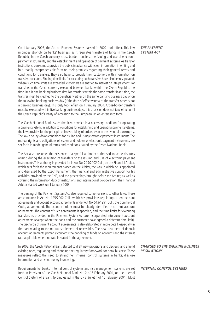On 1 January 2003, the Act on Payment Systems passed in 2002 took effect. This law impinges strongly on banks' business, as it regulates transfers of funds in the Czech Republic, in the Czech currency, cross-border transfers, the issuing and use of electronic payment instruments, and the establishment and operation of payment systems.As transfer institutions, banks must provide the public in advance with clear information in writing and in a readily comprehensible form on their premises regarding their general terms and conditions for transfers. They also have to provide their customers with information on transfers executed. Binding time limits for executing such transfers have also been stipulated. Where such time limits are exceeded, customers are entitled to interest on late payment. For transfers in the Czech currency executed between banks within the Czech Republic, the time limit is one banking business day. For transfers within the same transfer institution, the transfer must be credited to the beneficiary either on the same banking business day or on the following banking business day (if the date of effectiveness of the transfer order is not a banking business day). This duty took effect on 1 January 2004. Cross-border transfers must be executed within five banking business days; this provision does not take effect until the Czech Republic's Treaty of Accession to the European Union enters into force.

The Czech National Bank issues the licence which is a necessary condition for operating a payment system. In addition to conditions for establishing and operating payment systems, the law provides for the principle of irrevocability of orders, even in the event of bankruptcy. The law also lays down conditions for issuing and using electronic payment instruments.The mutual rights and obligations of issuers and holders of electronic payment instruments are set forth in model general terms and conditions issued by the Czech National Bank.

The Act also presumes the existence of a special authority authorised to settle disputes arising during the execution of transfers or the issuing and use of electronic payment instruments.This authority is provided for in Act No. 229/2002 Coll., on the Financial Arbiter, which sets forth the requirements placed on the Arbiter, the way in which he is appointed and dismissed by the Czech Parliament, the financial and administrative support for his activities provided by the CNB, and the proceedings brought before the Arbiter, as well as covering the information duty of institutions and international co-operation. The Financial Arbiter started work on 1 January 2003.

The passing of the Payment System Act also required some revisions to other laws. These are contained in Act No. 125/2002 Coll., which has provisions regulating current account agreements and deposit account agreements under Act No. 513/1991 Coll., the Commercial Code, as amended. The account holder must be clearly identified in current account agreements. The content of such agreements is specified, and the time limits for executing transfers as provided in the Payment System Act are incorporated into current account agreements (except where the bank and the customer have agreed a different time limit). The discharge of current account agreements is also elaborated in more detail, especially in the part relating to the mutual settlement of receivables. The new treatment of deposit account agreements primarily concerns the handling of funds on accounts and the interest rate applicable where no rate is stated in the agreement.

In 2003, the Czech National Bank started to draft new provisions and decrees, and amend existing ones, regulating and changing the regulatory framework for bank business. These measures reflect the need to strengthen internal control systems in banks, disclose information and prevent money laundering.

Requirements for banks' internal control systems and risk management systems are set forth in Provision of the Czech National Bank No. 2 of 3 February 2004, on the Internal Control System of a Bank (promulgated in the CNB Bulletin of 16 February 2004). Most

#### **THE PAYMENT SYSTEM ACT**

**CHANGES TO THE BANKING BUSINESS REGULATIONS**

**INTERNAL CONTROL SYSTEMS**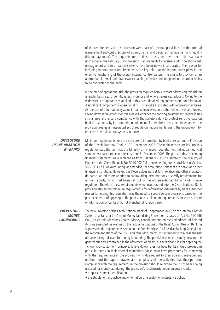of the requirements of this provision were part of previous provisions (on the internal management and control system of a bank, market and credit risk management and liquidity risk management). The requirements of these provisions have been left essentially unchanged in the February 2004 provision. Requirements for internal audit, operational risk management and information systems have been newly incorporated. The reason for including internal audit requirements is the key role that the internal audit plays in the effective functioning of the overall internal control system. The aim is to provide for an appropriate internal audit framework enabling effective and independent control activities to be conducted in the bank.

In the area of operational risk, the provision requires banks to start addressing this risk on a regular basis, i.e. to identify, assess, monitor and, where necessary, reduce it. Owing to the wide variety of approaches applied in this area, detailed requirements are not laid down. A significant component of operational risk is the risks associated with information systems. As the use of information systems in banks increases, so do the related risks and losses. Laying down requirements for this area will enhance the banking environment, reduce losses in this area and ensure compliance with the statutory duty to protect sensitive data on banks' customers. By incorporating requirements for the three areas mentioned above, the provision creates an integrated set of regulatory requirements laying the groundwork for effective internal control systems in banks

#### **DISCLOSURE OF INFORMATION BY BANKS**

Minimum requirements for the disclosure of information by banks are set out in Provision of the Czech National Bank of 30 December 2003. The main reason for issuing this regulation was the fact that the Ministry of Finance's regulation on individual financial statements ceased to be in effect as from 31 December 2003. The parts of this concerning financial statements were replaced as from 1 January 2003 by Decree of the Ministry of Finance of the Czech Republic No. 501/2002 Coll., implementing some provisions of Act No. 563/1991 Coll., on Accounting, as amended, for accounting units that are banks and other financial institutions. However, this Decree does not set forth relative and other indicators (in particular indicators relating to capital adequacy), nor does it specify requirements for annual reports, which had been set out in the aforementioned Ministry of Finance regulation. Therefore, these requirements were incorporated into the Czech National Bank provision stipulating minimum requirements for information disclosure by banks. Another reason for issuing this regulation was the need to specify certain provisions based on the past experience of applying it. The provision sets minimum requirements for the disclosure of information by banks only, not branches of foreign banks.

**PREVENTING MONEY LAUNDERING**

The new Provision of the Czech National Bank of 8 September 2003, on the Internal Control System of a Bank for the Area of Money Laundering Prevention, is based on Act No. 61/1996 Coll., on Certain Measures Against Money Laundering and on the Amendment of Related Acts, as amended, as well as on the recommendations of the Basel Committee on Banking Supervision, the requirements set out in the Core Principles for Effective Banking Supervision, the recommendations of the FSAP and other documents. It is intended to minimise the risk of banks being misused for money laundering. The provision does not simply develop the general principles contained in the aforementioned act, but sets clear rules for applying the "know-your-customer" principle. It lays down rules for how banks should proceed in particular areas. In their internal regulations banks must have procedures for complying with the requirements in the provision with due regard to their size and management method, and the type, character and complexity of the activities that they perform. Compliance with the requirements in the provision should minimise the risk of banks being misused for money laundering. The provision's fundamental requirements include:

- proper customer identification,
- the stipulation and active implementation of a customer acceptance policy,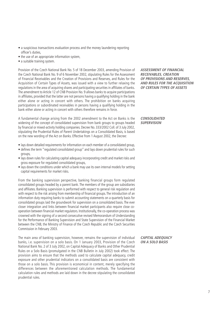- a suspicious transactions evaluation process and the money laundering reporting officer's duties,
- the use of an appropriate information system,
- a suitable training system.

Provision of the Czech National Bank No. 5 of 18 December 2003, amending Provision of the Czech National Bank No. 9 of 6 November 2002, stipulating Rules for the Assessment of Financial Receivables and the Creation of Provisions and Reserves, and Rules for the Acquisition of Certain Types of Assets, was issued with a view to further relaxing the regulations in the area of acquiring shares and participating securities in affiliates of banks. The amendment to Article 12 of CNB Provision No. 9 allows banks to acquire participations in affiliates, provided that the latter are not persons having a qualifying holding in the bank either alone or acting in concert with others. The prohibition on banks acquiring participations or subordinated receivables in persons having a qualifying holding in the bank either alone or acting in concert with others therefore remains in force.

A fundamental change arising from the 2002 amendment to the Act on Banks is the widening of the concept of consolidated supervision from bank groups to groups headed by financial or mixed-activity holding companies. Decree No. 333/2002 Coll. of 3 July 2002, stipulating the Prudential Rules of Parent Undertakings on a Consolidated Basis, is based on the new wording of the Act on Banks. Effective from 1 August 2002, the Decree:

- lays down detailed requirements for information on each member of a consolidated group,
- defines the term "regulated consolidated group" and lays down prudential rules for such groups,
- lays down rules for calculating capital adequacy incorporating credit and market risks and gross exposure for regulated consolidated groups,
- lays down the conditions under which a bank may use its own internal models for setting capital requirements for market risks.

From the banking supervision perspective, banking financial groups form regulated consolidated groups headed by a parent bank. The members of the group are subsidiaries and affiliates. Banking supervision is performed with respect to general risk regulation and with respect to the risk arising from membership of financial groups. The introduction of an information duty requiring banks to submit accounting statements on a quarterly basis for consolidated groups laid the groundwork for supervision on a consolidated basis. The ever closer integration and links between financial market participants also require close cooperation between financial market regulators. Institutionally, the co-operation process was crowned with the signing of a second consecutive revised Memorandum of Understanding for the Performance of Banking Supervision and State Supervision of the Financial Market between the CNB, the Ministry of Finance of the Czech Republic and the Czech Securities Commission in February 2003.

The main area of banking supervision, however, remains the supervision of individual banks, i.e. supervision on a solo basis. On 1 January 2003, Provision of the Czech National Bank No. 2 of 3 July 2002, on Capital Adequacy of Banks and Other Prudential Rules on a Solo Basis (promulgated in the CNB Bulletin in July 2002) took effect. The provision aims to ensure that the methods used to calculate capital adequacy, credit exposure and other prudential indicators on a consolidated basis are consistent with those on a solo basis. This provision is economical in content, merely specifying the differences between the aforementioned calculation methods. The fundamental calculation rules and methods are laid down in the decree stipulating the consolidated prudential rules.

**ASSESSMENT OF FINANCIAL RECEIVABLES, CREATION OF PROVISIONS AND RESERVES, AND RULES FOR THE ACQUISITION OF CERTAIN TYPES OF ASSETS**

#### **CONSOLIDATED SUPERVISION**

## **CAPITAL ADEQUACY ON A SOLO BASIS**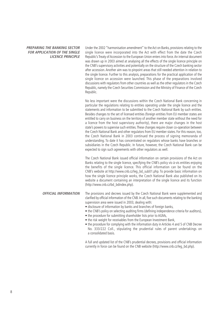**PREPARING THE BANKING SECTOR FOR APPLICATION OF THE SINGLE LICENCE PRINCIPLE** Under the 2002 "harmonisation amendment" to the Act on Banks, provisions relating to the single licence were incorporated into the Act with effect from the date the Czech Republic's Treaty of Accession to the European Union enters into force. An internal document was drawn up in 2003 aimed at analysing all the effects of the single licence principle on the CNB's supervisory activities and potentially on the structure of the Czech banking sector after accession. Another aim was to pinpoint areas that still needed attention in relation to the single licence. Further to this analysis, preparations for the practical application of the single licence on accession were launched. This phase of the preparations involved discussions with regulators from other countries as well as the other regulators in the Czech Republic, namely the Czech Securities Commission and the Ministry of Finance of the Czech Republic.

No less important were the discussions within the Czech National Bank concerning in particular the regulations relating to entities operating under the single licence and the statements and information to be submitted to the Czech National Bank by such entities. Besides changes to the set of licensed entities (foreign entities from EU member states are entitled to carry on business on the territory of another member state without the need for a licence from the host supervisory authority), there are major changes in the host state's powers to supervise such entities.These changes require closer co-operation between the Czech National Bank and other regulators from EU member states. For this reason, too, the Czech National Bank in 2003 continued the process of signing memoranda of understanding. To date it has concentrated on regulators whose banks have branches or subsidiaries in the Czech Republic. In future, however, the Czech National Bank can be expected to sign such agreements with other regulators as well.

The Czech National Bank issued official information on certain provisions of the Act on Banks relating to the single licence, specifying the CNB's policy vis-à-vis entities enjoying the benefits of the single licence. This official information can be found on the CNB's website at http://www.cnb.cz/leg\_bd\_sub01.php. To provide basic information on how the single licence principle works, the Czech National Bank also published on its website a document containing an interpretation of the single licence and its function (http://www.cnb.cz/bd\_bdindex.php).

The provisions and decrees issued by the Czech National Bank were supplemented and clarified by official information of the CNB. In all, five such documents relating to the banking supervision area were issued in 2003, dealing with: **OFFICIAL INFORMATION**

- disclosure of information by banks and branches of foreign banks.
- the CNB's policy on selecting auditing firms (defining independence criteria for auditors),
- the procedure for submitting shareholder lists prior to AGMs,
- the risk weight for receivables from the European Investment Bank,
- the procedure for complying with the information duty in Articles 4 and 5 of CNB Decree No. 333/222 Coll., stipulating the prudential rules of parent undertakings on a consolidated basis.

A full and updated list of the CNB's prudential decrees, provisions and official information currently in force can be found on the CNB website (http://www.cnb.cz/leg\_bd.php).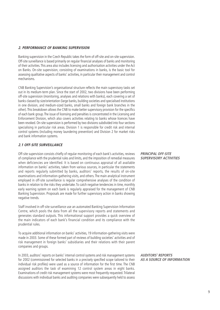#### **2. PERFORMANCE OF BANKING SUPERVISION**

Banking supervision in the Czech Republic takes the form of off-site and on-site supervision. Off-site surveillance is based primarily on regular financial analyses of banks and monitoring of their activities.This area also includes licensing and authorisation activities under the Act on Banks. On-site supervision, consisting of examinations in banks, is the basic tool for assessing qualitative aspects of banks' activities, in particular their management and control mechanisms.

CNB Banking Supervision's organisational structure reflects the main supervisory tasks set out in its medium-term plan. Since the start of 2002, two divisions have been performing off-site supervision (monitoring, analyses and relations with banks), each covering a set of banks classed by size/orientation (large banks, building societies and specialised institutions in one division, and medium-sized banks, small banks and foreign bank branches in the other).This breakdown allows the CNB to make better supervisory provision for the specifics of each bank group.The issue of licensing and penalties is concentrated in the Licensing and Enforcement Division, which also covers activities relating to banks whose licences have been revoked. On-site supervision is performed by two divisions subdivided into four sections specialising in particular risk areas. Division 1 is responsible for credit risk and internal control systems (including money laundering prevention) and Division 2 for market risks and bank information systems.

#### **2.1 OFF-SITE SURVEILLANCE**

Off-site supervision consists chiefly of regular monitoring of each bank's activities, reviews of compliance with the prudential rules and limits, and the imposition of remedial measures when deficiencies are identified. It is based on continuous appraisal of all available information on banks' activities, taken from various sources, in particular the statements and reports regularly submitted by banks, auditors' reports, the results of on-site examinations and information-gathering visits, and others. The main analytical instrument employed in off-site surveillance is regular comprehensive analyses of the condition of banks in relation to the risks they undertake.To catch negative tendencies in time, monthly early warning system on each bank is regularly appraised for the management of CNB Banking Supervision. Proposals are made for further supervisory action in banks showing negative trends.

Staff involved in off-site surveillance use an automated Banking Supervision Information Centre, which pools the data from all the supervisory reports and statements and generates standard outputs. This informational support provides a quick overview of the main indicators of each bank's financial condition and its compliance with the prudential rules.

To acquire additional information on banks' activities, 19 information-gathering visits were made in 2003. Some of these formed part of reviews of building societies' activities and of risk management in foreign banks' subsidiaries and their relations with their parent companies and groups.

In 2003, auditors' reports on banks' internal control systems and risk management systems for 2002 (commissioned for selected banks in a precisely specified scope tailored to their individual risk profiles) were used as a source of information for the first time. The CNB assigned auditors the task of examining 12 control system areas in eight banks. Examinations of credit risk management systems were most frequently requested.Trilateral discussions with individual banks and auditing companies were subsequently held to assess

## **PRINCIPAL OFF-SITE SUPERVISORY ACTIVITIES**

**AUDITORS' REPORTS AS A SOURCE OF INFORMATION**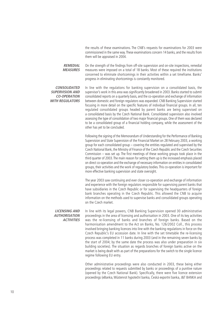the results of these examinations. The CNB's requests for examinations for 2003 were commissioned in the same way.These examinations concern 14 banks, and the results from them will be appraised in 2004.

On the strength of the findings from off-site supervision and on-site inspections, remedial measures were imposed on a total of 18 banks. Most of these required the institutions concerned to eliminate shortcomings in their activities within a set timeframe. Banks' progress in eliminating shortcomings is constantly monitored. **REMEDIAL MEASURES**

**CONSOLIDATED SUPERVISION AND CO-OPERATION WITH REGULATORS** In line with the regulations for banking supervision on a consolidated basis, the supervisor's work in this area was significantly broadened in 2003. Banks started to submit consolidated reports on a quarterly basis, and the co-operation and exchange of information between domestic and foreign regulators was expanded. CNB Banking Supervision started focusing in more detail on the specific features of individual financial groups. In all, ten regulated consolidated groups headed by parent banks are being supervised on a consolidated basis by the Czech National Bank. Consolidated supervision also involved assessing the type of consolidation of two major financial groups. One of them was declared to be a consolidated group of a financial holding company, while the assessment of the other has yet to be concluded.

Following the signing of the Memorandum of Understanding for the Performance of Banking Supervision and State Supervision of the Financial Market on 28 February 2003, a working group for each consolidated group – covering the entities regulated and supervised by the Czech National Bank, the Ministry of Finance of the Czech Republic and the Czech Securities Commission – was set up. The first meetings of these working groups took place in the third quarter of 2003.The main reason for setting them up is the increased emphasis placed on direct co-operation and the exchange of necessary information on entities in consolidated groups, their activities and the work of regulatory bodies.This co-operation is important for more effective banking supervision and state oversight.

The year 2003 saw continuing and ever closer co-operation and exchange of information and experience with the foreign regulators responsible for supervising parent banks that have subsidiaries in the Czech Republic or for supervising the headquarters of foreign bank branches operating in the Czech Republic. This allowed the CNB to acquire information on the methods used to supervise banks and consolidated groups operating on the Czech market.

**LICENSING AND AUTHORISATION ACTIVITIES**

In line with its legal powers, CNB Banking Supervision opened 30 administrative proceedings in the area of licensing and authorisation in 2003. One of its key activities was the re-licensing of banks and branches of foreign banks. Based on the harmonisation amendment to the Act on Banks, No. 126/2002 Coll., this process involved bringing banking licences into line with the banking regulations in force on the Czech Republic's EU accession date. In line with the set timetable the re-licensing process was completed in 11 banks during 2003 (and in the remaining seven banks by the start of 2004; by the same date the process was also under preparation in six building societies). The situation as regards branches of foreign banks active on the market is being dealt with as part of the preparations for the switch to the single licence regime following EU entry.

Other administrative proceedings were also conducted in 2003, these being either proceedings related to requests submitted by banks or proceedings of a punitive nature (opened by the Czech National Bank). Specifically, there were five licence extension proceedings (eBanka, Wüstenrot hypoteční banka, Česká exportní banka, J&T BANKA and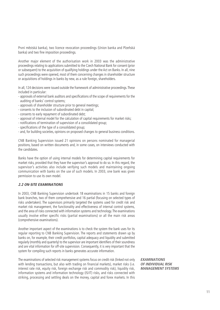První městská banka), two licence revocation proceedings (Union banka and Plzeňská banka) and two fine imposition proceedings.

Another major element of the authorisation work in 2003 was the administrative proceedings relating to applications submitted to the Czech National Bank for consent (prior or subsequent) to the acquisition of qualifying holdings under the Act on Banks. In all, nine such proceedings were opened, most of them concerning changes in shareholder structure or acquisitions of holdings in banks by new, as a rule foreign, shareholders.

In all, 124 decisions were issued outside the framework of administrative proceedings.These included in particular:

- approvals of external bank auditors and specifications of the scope of requirements for the auditing of banks' control systems;
- approvals of shareholder structure prior to general meetings;
- consents to the inclusion of subordinated debt in capital;
- consents to early repayment of subordinated debt;
- approval of internal model for the calculation of capital requirements for market risks;
- notifications of termination of supervision of a consolidated group;
- specifications of the type of a consolidated group;
- and, for building societies, opinions on proposed changes to general business conditions.

CNB Banking Supervision issued 21 opinions on persons nominated for managerial positions, based on written documents and, in some cases, on interviews conducted with the candidates.

Banks have the option of using internal models for determining capital requirements for market risks, provided that they have the supervisor's approval to do so. In this regard, the supervisor's activities also include verifying such models and maintaining ongoing communication with banks on the use of such models. In 2003, one bank was given permission to use its own model.

#### **2.2 ON-SITE EXAMINATIONS**

In 2003, CNB Banking Supervision undertook 18 examinations in 15 banks and foreign bank branches, two of them comprehensive and 16 partial (focusing on selected types of risks undertaken). The supervisors primarily targeted the systems used for credit risk and market risk management, the functionality and effectiveness of internal control systems, and the area of risks connected with information systems and technology.The examinations usually involve either specific risks (partial examinations) or all the main risk areas (comprehensive examinations).

Another important aspect of the examinations is to check the system the bank uses for its regular reporting to CNB Banking Supervision. The reports and statements drawn up by banks on, for example, their credit portfolios, capital adequacy and liquidity and submitted regularly (monthly and quarterly) to the supervisor are important identifiers of their soundness and are vital information for off-site supervision. Consequently, it is very important that the system for compiling such reports in banks generates accurate information.

The examinations of selected risk management systems focus on credit risk (linked not only with lending transactions, but also with trading on financial markets), market risks (i.e. interest rate risk, equity risk, foreign exchange risk and commodity risk), liquidity risk, information systems and information technology (IS/IT) risks, and risks connected with striking, processing and settling deals on the money, capital and forex markets. In this **EXAMINATIONS OF INDIVIDUAL RISK MANAGEMENT SYSTEMS**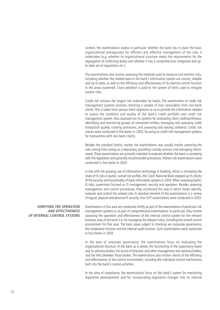context, the examinations assess in particular whether the bank has in place the basic organisational prerequisites for efficient and effective management of the risks it undertakes (e.g. whether its organisational structure meets the requirements for the segregation of conflicting duties and whether it has a comprehensive, integrated and upto-date set of regulations etc.).

The examinations also involve assessing the methods used to measure and monitor risks, including whether the related data in the bank's information system are correct, reliable and up-to-date, as well as the efficiency and effectiveness of its internal control function in the areas examined. Close attention is paid to the system of limits used to mitigate market risks.

Credit risk remains the largest risk undertaken by banks. The examination of credit risk management systems involves checking a sample of loan receivables from non-bank clients. This is taken from various client segments so as to provide the information needed to assess the condition and quality of the bank's credit portfolio and credit risk management system. Also assessed are its systems for evaluating client creditworthiness, identifying and monitoring groups of connected entities, managing and assessing credit transaction quality, creating provisions, and assessing and valuing collateral. Credit risk checks were conducted in five banks in 2003, focusing on credit risk management systems for transactions with non-bank clients.

Besides the standard checks, market risk examinations also usually involve assessing the risks arising from acting as a depositary, providing custody services and managing clients' assets.These examinations are primarily intended to evaluate whether the bank is complying with the legislation and generally recommended procedures. Market risk examinations were conducted in five banks in 2003.

In line with the growing use of information technology in banking, which is increasing the share of IS risks in banks' overall risk profiles, the Czech National Bank stepped up its checks of the security and functionality of bank information systems in 2003.When assessing banks' IS risks, supervisors focused on IS management, security and operation. Besides assessing management and control procedures, they scrutinised the way in which banks identify, evaluate and control the related risks. A standard element of the examinations is a review of logical, physical and personal IS security. Four IS/IT examinations were conducted in 2003.

**VERIFYING THE OPERATION AND EFFECTIVENESS OF INTERNAL CONTROL SYSTEMS**

Examinations in this area are conducted chiefly as part of the examinations of particular risk management systems or as part of comprehensive examinations. In particular, they involve assessing the operation and effectiveness of the internal control system for the relevant business area of the bank (i.e. for managing the relevant risks), including the overall control environment for that area. The basic areas subject to checking are corporate governance, the compliance function and the internal audit function. Such examinations were conducted in four banks in 2003.

In the area of corporate governance, the examinations focus on evaluating the organisational structure of the bank as a whole, the functioning of the supervisory board and its advisory bodies, the board of directors and other management and advisory bodies, and the links between those bodies. The examinations also involve checks of the efficiency and effectiveness of the control environment, including the individual control mechanisms built into the bank's routine activities.

In the area of compliance, the examinations focus on the bank's system for monitoring legislative developments and for incorporating legislative changes into its internal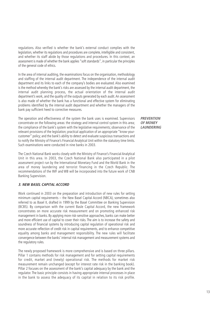regulations. Also verified is whether the bank's external conduct complies with the legislation, whether its regulations and procedures are complete, intelligible and consistent, and whether its staff abide by those regulations and procedures. In this context, an assessment is made of whether the bank applies "soft standards", in particular the principles of the general code of ethics.

In the area of internal auditing, the examinations focus on the organisation, methodology and staffing of the internal audit department. The independence of the internal audit department and its links to each of the company's bodies are evaluated. Also examined is the method whereby the bank's risks are assessed by the internal audit department, the internal audit planning process, the actual orientation of the internal audit department's work, and the quality of the outputs generated by each audit. An assessment is also made of whether the bank has a functional and effective system for eliminating problems identified by the internal audit department and whether the managers of the bank pay sufficient heed to corrective measures.

The operation and effectiveness of the system the bank uses is examined. Supervisors concentrate on the following areas: the strategy and internal control system in this area; the compliance of the bank's system with the legislative requirements; observance of the relevant provisions of the legislation; practical application of an appropriate "know-yourcustomer" policy; and the bank's ability to detect and evaluate suspicious transactions and to notify the Ministry of Finance's Financial Analytical Unit within the statutory time limits. Such examinations were conducted in nine banks in 2003.

The Czech National Bank works closely with the Ministry of Finance's Financial Analytical Unit in this area. In 2003, the Czech National Bank also participated in a pilot assessment project run by the International Monetary Fund and the World Bank in the area of money laundering and terrorist financing in the Czech Republic. The recommendations of the IMF and WB will be incorporated into the future work of CNB Banking Supervision.

#### **3. NEW BASEL CAPITAL ACCORD**

Work continued in 2003 on the preparation and introduction of new rules for setting minimum capital requirements – the New Basel Capital Accord (NBCA), sometimes also referred to as Basel II, drafted in 1999 by the Basel Committee on Banking Supervision (BCBS). By comparison with the current Basle Capital Accord, the new framework concentrates on more accurate risk measurement and on promoting enhanced risk management in banks. By applying more risk-sensitive approaches, banks can make better and more efficient use of capital to cover their risks. The aim is to increase the safety and soundness of financial systems by introducing capital regulation of operational risk and more accurate reflection of credit risk in capital requirements, and to enhance competitive equality among banks and management responsibility. The new rules will facilitate convergence between the banks' internal risk management and measurement systems and the regulatory rules.

The newly proposed framework is more comprehensive and is based on three pillars. Pillar 1 contains methods for risk management and for setting capital requirements for credit, market and (newly) operational risk. The methods for market risk measurement remain unchanged (except for interest rate risk in the banking book). Pillar 2 focuses on the assessment of the bank's capital adequacy by the bank and the regulator. The basic principle consists in having appropriate internal processes in place in the bank to assess the adequacy of its capital in relation to its risk profile.

**PREVENTION OF MONEY LAUNDERING**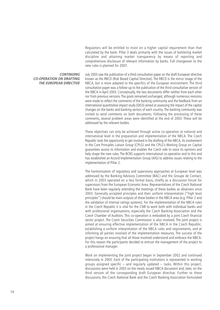Regulators will be entitled to insist on a higher capital requirement than that calculated by the bank. Pillar 3 deals primarily with the issues of bolstering market discipline and attaining market transparency by means of reporting and comprehensive disclosure of relevant information by banks. Full changeover to the new rules is planned for 2007.

#### **CONTINUING CO-OPERATION ON DRAFTING THE EUROPEAN DIRECTIVE**

July 2003 saw the publication of a third consultation paper on the draft European directive known as the RBCD (Risk Based Capital Directive). The RBCD is the mirror image of the NBCA, but is more adapted to the specifics of the European environment. The third consultation paper was a follow-up to the publication of the third consultative version of the NBCA in April 2003. Conceptually, the two documents differ neither from each other nor from previous versions. The goals remained unchanged, although numerous revisions were made to reflect the comments of the banking community and the feedback from an international quantitative impact study (QIS3) aimed at assessing the impact of the capital changes on the banks and banking sectors of each country. The banking community was invited to send comments on both documents. Following the processing of these comments, several problem areas were identified at the end of 2003. These will be addressed by the relevant bodies.

These objectives can only be achieved through active co-operation at national and international level in the preparation and implementation of the NBCA. The Czech Republic took the opportunity to get involved in the drafting of the NBCA. Its involvement in the Core Principles Liaison Group (CPLG) and the CPLG's Working Group on Capital guarantees access to information and enables the Czech side to voice its opinions and help shape the new rules. The BCBS supports international co-operation and to this end has established an Accord Implementation Group (AIG) to address issues relating to the implementation of Pillar 2.

The harmonisation of regulatory and supervisory approaches at European level was addressed by the Banking Advisory Committee (BAC) and the Groupe de Contact, which in 2003 operated on a less formal basis, chiefly as a discussion forum for supervisors from the European Economic Area. Representatives of the Czech National Bank have been regularly attending the meetings of these bodies as observers since 2003. Generally accepted principles and their uniform interpretation ("high level principles") should be main outputs of these bodies in the NBCA area (e.g. Pillar 2 and the validation of internal ratings systems). For the implementation of the NBCA rules in the Czech Republic it is vital for the CNB to work both with individual banks and with professional organisations, especially the Czech Banking Association and the Czech Chamber of Auditors. This co-operation is embodied by a joint Czech financial sector project. The Czech Securities Commission is also involved. The joint project is aimed at ensuring effective implementation of the NBCA in the Czech Republic, establishing a uniform interpretation of the NBCA rules and requirements, and at informing all parties involved of the implementation measures. The success of the project hangs on ensuring that all those involved understand and embrace the NBCA. For this reason the participants decided to entrust the management of the project to a professional manager.

Work on implementing the joint project began in September 2002 and continued intensively in 2003. Each of the participating institutions is represented in working groups assigned specific – and regularly updated – tasks. Within this project, discussions were held in 2003 on the newly issued NBCA document and, later, on the third version of the corresponding draft European directive. Further to these discussions, the Czech National Bank and the Czech Banking Association formulated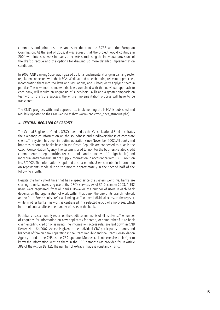comments and joint positions and sent them to the BCBS and the European Commission. At the end of 2003, it was agreed that the project would continue in 2004 with intensive work in teams of experts scrutinising the individual provisions of the draft directive and the options for drawing up more detailed implementation conditions.

In 2003, CNB Banking Supervision geared up for a fundamental change in banking sector regulation connected with the NBCA. Work started on elaborating relevant approaches, incorporating them into the laws and regulations, and subsequently applying them in practice. The new, more complex principles, combined with the individual approach to each bank, will require an upgrading of supervisors' skills and a greater emphasis on teamwork. To ensure success, the entire implementation process will have to be transparent.

The CNB's progress with, and approach to, implementing the NBCA is published and regularly updated on the CNB website at (http://www.cnb.cz/bd\_nbca\_struktura.php)

## **4. CENTRAL REGISTER OF CREDITS**

The Central Register of Credits (CRC) operated by the Czech National Bank facilitates the exchange of information on the soundness and creditworthiness of corporate clients. The system has been in routine operation since November 2002. All banks and branches of foreign banks based in the Czech Republic are connected to it, as is the Czech Consolidation Agency. The system is used to monitor the business-related credit commitments of legal entities (except banks and branches of foreign banks) and individual entrepreneurs. Banks supply information in accordance with CNB Provision No. 5/2002. The information is updated once a month. Users can obtain information on repayments made during the month approximately in the second half of the following month.

Despite the fairly short time that has elapsed since the system went live, banks are starting to make increasing use of the CRC's services. As of 31 December 2003, 1,392 users were registered, from all banks. However, the number of users in each bank depends on the organisation of work within that bank, the size of its branch network and so forth. Some banks prefer all lending staff to have individual access to the register, while in other banks this work is centralised in a selected group of employees, which in turn of course affects the number of users in the bank.

Each bank uses a monthly report on the credit commitments of all its clients. The number of enquiries for information on new applicants for credit, or some other future bank claim entailing credit risk, is rising. The information access rules are laid down in CNB Decree No. 164/2002. Access is given to the individual CRC participants – banks and branches of foreign banks operating in the Czech Republic and the Czech Consolidation Agency – and to the CNB as the CRC operator. Moreover, clients exercise their right to know the information kept on them in the CRC database (as provided for in Article 38a of the Act on Banks). The number of extracts made is constantly rising.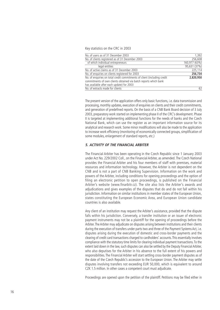#### Key statistics on the CRC in 2003

| 1,392         |
|---------------|
| 256,608       |
| 160,977 (63%) |
| 95,631 (37%)  |
| 225,114       |
| 256,734       |
| 2.820.950     |
|               |
|               |
| 62            |
|               |

The present version of the application offers only basic functions, i.e. data transmission and processing, monthly updates, execution of enquiries on clients and their credit commitments, and generation of predefined reports. On the basis of a CNB Bank Board decision of 3 July 2003, preparatory work started on implementing phase II of the CRC's development. Phase II is targeted at implementing additional functions for the needs of banks and the Czech National Bank, which can use the register as an important information source for its analytical and research work. Some minor modifications will also be made to the application to increase work efficiency (monitoring of economically connected groups, simplification of some modules, enlargement of standard reports, etc.)

#### **5. ACTIVITY OF THE FINANCIAL ARBITER**

The Financial Arbiter has been operating in the Czech Republic since 1 January 2003 under Act No. 229/2002 Coll., on the Financial Arbiter, as amended. The Czech National provides the Financial Arbiter and his four members of staff with premises, material resources and information technology. However, the Arbiter is not dependent on the CNB and is not a part of CNB Banking Supervision. Information on the work and powers of the Arbiter, including conditions for opening proceedings and the option of filing an electronic petition to open proceedings, is published on the Financial Arbiter's website (www.finarbitr.cz). The site also lists the Arbiter's awards and adjudications and gives examples of the disputes that do and do not fall within his jurisdiction. Information on similar institutions in member states of the European Union, states constituting the European Economic Area, and European Union candidate countries is also available.

Any client of an institution may request the Arbiter's assistance, provided that the dispute falls within his jurisdiction. Conversely, a transfer institution or an issuer of electronic payment instruments may not be a plaintiff for the opening of proceedings before the Arbiter.The Arbiter may adjudicate on disputes arising between institutions and their clients during the execution of transfers under parts two and three of the Payment Systems Act, i.e. disputes arising during the execution of domestic and cross-border payments and the clearing of credit card transactions charged to cardholders' accounts.This essentially involves compliance with the statutory time limits for clearing individual payment transactions.To the extent laid down in the law, such disputes can also be settled by the Deputy Financial Arbiter, who also deputises for the Arbiter in his absence to the full extent of his powers and responsibilities. The Financial Arbiter will start settling cross-border payment disputes as of the date of the Czech Republic's accession to the European Union. The Arbiter may settle disputes involving transfers not exceeding EUR 50,000, which is equivalent to around CZK 1.5 million. In other cases a competent court must adjudicate.

Proceedings are opened upon the petition of the plaintiff. Petitions may be filed either in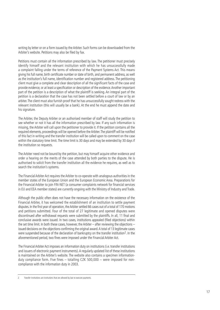writing by letter or on a form issued by the Arbiter. Such forms can be downloaded from the Arbiter's website. Petitions may also be filed by fax.

Petitions must contain all the information prescribed by law. The petitioner must precisely identify himself and the relevant institution with which he has unsuccessfully made a complaint falling under the terms of reference of the Payment Systems Act. This means giving his full name, birth certificate number or date of birth, and permanent address, as well as the institution's full name, identification number and registered address. The petitioning client must give a complete and clear description of all the significant facts of the case and provide evidence, or at least a specification or description of the evidence. Another important part of the petition is a description of what the plaintiff is seeking. An integral part of the petition is a declaration that the case has not been settled before a court of law or by an arbiter.The client must also furnish proof that he has unsuccessfully sought redress with the relevant institution (this will usually be a bank). At the end he must append the date and his signature.

The Arbiter, the Deputy Arbiter or an authorised member of staff will study the petition to see whether or not it has all the information prescribed by law. If any such information is missing, the Arbiter will call upon the petitioner to provide it. If the petition contains all the required elements, proceedings will be opened before the Arbiter.The plaintiff will be notified of this fact in writing and the transfer institution will be called upon to comment on the case within the statutory time limit. The time limit is 30 days and may be extended by 30 days if the institution so requests.

The Arbiter need not be bound by the petition, but may himself acquire other evidence and order a hearing on the merits of the case attended by both parties to the dispute. He is authorised to solicit from the transfer institution all the evidence he requires, as well as to search the institution's systems.

The Financial Arbiter Act requires the Arbiter to co-operate with analogous authorities in the member states of the European Union and the European Economic Area. Preparations for the Financial Arbiter to join FIN-NET (a consumer complaints network for financial services in EU and EEA member states) are currently ongoing with the Ministry of Industry and Trade.

Although the public often does not have the necessary information on the existence of the Financial Arbiter, it has welcomed the establishment of an institution to settle payment disputes. In the first year of operation, the Arbiter settled 66 cases out of a total of 170 motions and petitions submitted. Four of the total of 27 legitimate and opened disputes were discontinued after withdrawal requests were submitted by the plaintiffs. In all, 11 final and conclusive awards were issued. In two cases, institutions appealed (filed objections) within the set time limit. In both these cases, however, the Arbiter – after reviewing the objections – issued decisions on the objections confirming the original award.A total of 13 legitimate cases were suspended because of the declaration of bankruptcy on the transfer institution<sup>2</sup>. In the aforementioned period, two fines were imposed under the Financial Arbiter Act.

The Financial Arbiter Act imposes an information duty on institutions (i.e. transfer institutions and issuers of electronic payment instruments).A regularly updated list of these institutions is maintained on the Arbiter's website. The website also contains a specimen informationduty compliance form. Five fines – totalling CZK 500,000 – were imposed for noncompliance with the information duty in 2003.

<sup>2</sup> T ransfer institutions are institutions that are allowed by law to execute payments.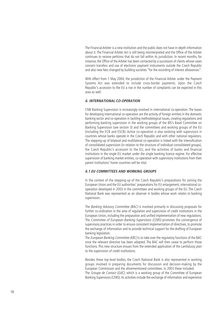The Financial Arbiter is a new institution and the public does not have in-depth information about it. The Financial Arbiter Act is still being misinterpreted and the Office of the Arbiter continues to receive petitions that do not fall within its jurisdiction. In recent months, for instance, the Office of the Arbiter has been contacted by a succession of clients whose cases concern transfers and use of electronic payment instruments outside the Czech Republic and also new fees changed by building societies "for the recording of interest allowances".

With effect from 1 May 2004, the jurisdiction of the Financial Arbiter under the Payment Systems Act was extended to include cross-border payments. Upon the Czech Republic's accession to the EU a rise in the number of complaints can be expected in this area as well.

#### **6. INTERNATIONAL CO-OPERATION**

CNB Banking Supervision is increasingly involved in international co-operation. The bases for developing international co-operation are the activity of foreign entities in the domestic banking sector and co-operation in tackling methodological issues, creating regulations and performing banking supervision in the working groups of the BIS's Basel Committee on Banking Supervision (see section 3) and the committees and working groups of the EU (including the ECB and ESCB). Active co-operation is also evolving with supervisors in countries whose banks operate in the Czech Republic and with other national regulators. The stepping-up of bilateral and multilateral co-operation is linked with the intensification of consolidated supervision (in relation to the structure of individual consolidated groups), the Czech Republic's accession to the EU, and the activities of banks and financial institutions in the single EU market under the single banking licence regime. For effective supervision of banking market entities, co-operation with supervisory institutions from their parent institutions' home countries will be vital.

#### **6.1 EU COMMITTEES AND WORKING GROUPS**

In the context of the stepping-up of the Czech Republic's preparations for joining the European Union and the EU authorities' preparations for EU enlargement, international cooperation developed in 2003 in the committees and working groups of the EU. The Czech National Bank was represented as an observer in bodies whose work relates to banking supervision.

The Banking Advisory Committee (BAC) is involved primarily in discussing proposals for further co-ordination in the area of regulation and supervision of credit institutions in the European Union, including the preparation and unified implementation of new regulations. The Committee of European Banking Supervisors (CEBS) promotes the convergence of supervisory practices in order to ensure consistent implementation of directives, to promote the exchange of information and to provide technical support for the drafting of European banking legislation.

The European Banking Committee (EBC) is to take over the regulatory functions of the BAC once the relevant directive has been adopted. The BAC will then cease to perform those functions. This new structure ensues from the extended application of the Lamfalussy plan to the supervision of credit institutions.

Besides these top-level bodies, the Czech National Bank is also represented in working groups involved in preparing documents for discussion and decision-making by the European Commission and the aforementioned committees. In 2003 these included: The *Groupe de Contact (GdC)*, which is a working group of the Committee of European Banking Supervisors (CEBS). Its activities include the exchange of information and experience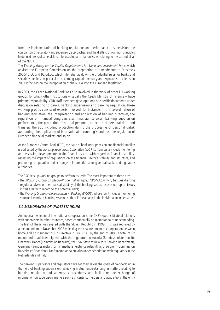from the implementation of banking regulations and performance of supervision, the comparison of regulatory and supervisory approaches, and the drafting of common principles in defined areas of supervision. It focuses in particular on issues relating to the second pillar of the NBCA.

The Working Group on the Capital Requirements for Banks and Investment Firms, which advises the European Commission on the preparation of amendments to Directives 2000/12/EC and 93/6/EEC, which inter alia lay down the prudential rules for banks and securities dealers, in particular concerning capital adequacy and exposures to clients. In 2003 it focused on the incorporation of the NBCA into the European legislation.

In 2003, the Czech National Bank was also involved in the work of other EU working groups for which other institutions – usually the Czech Ministry of Finance – have primary responsibility. CNB staff members gave opinions on specific documents under discussion relating to banks, banking supervision and banking regulation. These working groups consist of experts involved, for instance, in the co-ordination of banking legislation, the interpretation and application of banking directives, the regulation of financial conglomerates, financial services, banking supervision performance, the protection of natural persons (protection of personal data and transfers thereof, including protection during the processing of personal data), accounting, the application of international accounting standards, the regulation of European financial markets and so on.

At the European Central Bank (ECB), the issue of banking supervision and financial stability is addressed by the Banking Supervision Committee (BSC). Its main tasks include monitoring and assessing developments in the financial sector with regard to financial stability, assessing the impact of regulations on the financial sector's stability and structure, and promoting co-operation and exchange of information among central banks and regulatory authorities.

The BSC sets up working groups to perform its tasks. The most important of these are:

- the Working Group on Macro-Prudential Analyses (WGMA), which, besides drafting regular analyses of the financial stability of the banking sector, focuses on topical issues in this area with regard to the potential risks;
- the Working Group on Developments in Banking (WGDB), whose remit includes monitoring structural trends in banking systems both at EU level and in the individual member states.

#### **6.2 MEMORANDA OF UNDERSTANDING**

An important element of international co-operation is the CNB's specific bilateral relations with supervisors in other countries, based contractually on memoranda of understanding. The first of these was signed with the Slovak Republic in 1999. This was replaced by a memorandum of November 2002 reflecting the new treatment of co-operation between home and host supervisors in Directive 2000/12/EC. By the end of 2003 a total of six memoranda had been signed, with the regulators in Austria (Bundesministerium für Finanzen), France (Commission Bancaire), the USA (State of New York Banking Department), Germany (Bundesanstalt für Finanzdienstleistungsaufsicht) and Belgium (Commission Bancaire et Financiere). Draft memoranda are also under negotiation with regulators in the Netherlands and Italy.

The banking supervisors and regulators have set themselves the goals of co-operating in the field of banking supervision, achieving mutual understanding in matters relating to banking regulation and supervisory procedures, and facilitating the exchange of information on supervisory matters such as licensing, mergers and acquisitions, the entry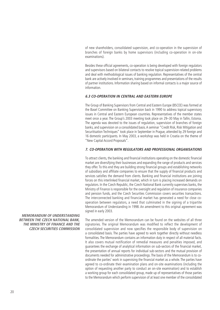of new shareholders, consolidated supervision, and co-operation in the supervision of branches of foreign banks by home supervisors (including co-operation in on-site examinations).

Besides these official agreements, co-operation is being developed with foreign regulators and supervisors based on bilateral contacts to resolve topical supervision-related problems and deal with methodological issues of banking regulation. Representatives of the central bank are actively involved in seminars, training programmes and presentations of the results of partner institutions. Information sharing based on informal contacts is a major source of information.

## **6.3 CO-OPERATION IN CENTRAL AND EASTERN EUROPE**

The Group of Banking Supervisors from Central and Eastern Europe (BSCEE) was formed at the Basel Committee on Banking Supervision back in 1990 to address topical supervisory issues in Central and Eastern European countries. Representatives of the member states meet once a year. The Group's 2003 meeting took place on 29–30 May in Tallin, Estonia. The agenda was devoted to the issues of regulation, supervision of branches of foreign banks, and supervision on a consolidated basis.A seminar "Credit Risk, Risk Mitigation and Securitisation Techniques" took place in September in Prague, attended by 29 foreign and 16 domestic participants. In May 2003, a workshop was held in Croatia on the theme of "New Capital Accord Proposals".

#### **7. CO-OPERATION WITH REGULATORS AND PROFESSIONAL ORGANISATIONS**

To attract clients, the banking and financial institutions operating on the domestic financial market are diversifying their businesses and expanding the range of products and services they offer. To this end they are building strong financial groups and establishing networks of subsidiary and affiliate companies to ensure that the supply of financial products and services satisfies the demand from clients. Banking and financial institutions are joining forces on this interlinked financial market, which in turn is placing increased demands on regulators. In the Czech Republic, the Czech National Bank currently supervises banks, the Ministry of Finance is responsible for the oversight and regulation of insurance companies and pension funds, and the Czech Securities Commission covers securities transactions. The interconnected banking and financial market has generated a need for close cooperation between regulators, a need that culminated in the signing of a tripartite Memorandum of Understanding in 1998. An amendment to this original agreement was signed in early 2003.

The amended version of the Memorandum can be found on the websites of all three signatories. The original Memorandum was modified to reflect the development of consolidated supervision and now specifies the responsible body of supervision on a consolidated basis. The parties have agreed to work together directly without needless formalities. The Memorandum contains an information duty in respect of all material facts. It also covers mutual notification of remedial measures and penalties imposed, and guarantees the exchange of analytical information on sub-sectors of the financial market, the presentation of annual reports for individual sub-sectors and the mutual provision of documents needed for administrative proceedings. The basis of the Memorandum is to coordinate the parties' work in supervising the financial market as a whole. The parties have agreed to co-ordinate their examination plans and on-site examinations (including the option of requesting another party to conduct an on-site examination) and to establish a working group for each consolidated group, made up of representatives of those parties to the Memorandum which perform supervision of at least one member of the consolidated

**MEMORANDUM OF UNDERSTANDING BETWEEN THE CZECH NATIONAL BANK, THE MINISTRY OF FINANCE AND THE CZECH SECURITIES COMMISSION**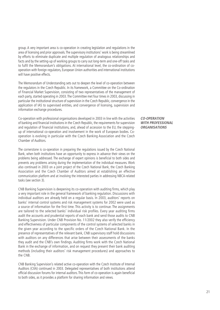group. A very important area is co-operation in creating legislation and regulations in the area of licensing and prior approvals.The supervisory institutions' work is being streamlined by efforts to eliminate duplicate and multiple regulation of analogous relationships and facts and by the setting-up of working groups to carry out long-term and one-off tasks and to fulfil the Memorandum's obligations. At international level, the co-ordination of cooperation with foreign regulators, European Union authorities and international institutions will have positive effects.

The Memorandum of Understanding sets out to deepen the level of co-operation between the regulators in the Czech Republic. In its framework, a Committee on the Co-ordination of Financial Market Supervision, consisting of two representatives of the management of each party, started operating in 2003.The Committee met four times in 2003, discussing in particular the institutional structure of supervision in the Czech Republic, convergence in the application of IAS to supervised entities, and convergence of licensing, supervision and information exchange procedures.

Co-operation with professional organisations developed in 2003 in line with the activities of banking and financial institutions in the Czech Republic, the requirements for supervision and regulation of financial institutions, and, ahead of accession to the EU, the steppingup of international co-operation and involvement in the work of European bodies. Cooperation is evolving in particular with the Czech Banking Association and the Czech Chamber of Auditors.

The cornerstone is co-operation in preparing the regulations issued by the Czech National Bank, when both institutions have an opportunity to express in advance their views on the problems being addressed. The exchange of expert opinions is beneficial to both sides and prevents any problems arising during the implementation of the individual measures. Work also continued in 2003 on a joint project of the Czech National Bank, the Czech Banking Association and the Czech Chamber of Auditors aimed at establishing an effective communication platform and at involving the interested parties in addressing NBCA-related tasks (see section 3).

CNB Banking Supervision is deepening its co-operation with auditing firms, which play a very important role in the general framework of banking regulation. Discussions with individual auditors are already held on a regular basis. In 2003, auditors' reports on banks' internal control systems and risk management systems for 2002 were used as a source of information for the first time. This activity is to continue. The assignments are tailored to the selected banks' individual risk profiles. Every year auditing firms audit the accounts and prudential reports of each bank and send those audits to CNB Banking Supervision. Under CNB Provision No. 11/2002 they also verify the efficiency and effectiveness of particular components of the control systems of selected banks in the given year according to the specific orders of the Czech National Bank. In the presence of representatives of the relevant bank, CNB supervisory staff hold discussions with auditors on any differences that arise between their assessments of the banks they audit and the CNB's own findings. Auditing firms work with the Czech National Bank in the exchange of information, and on request they present their bank auditing methods (including their auditors' risk management procedures) and approaches to the CNB.

CNB Banking Supervision's related active co-operation with the Czech Institute of Internal Auditors (CIIA) continued in 2003. Delegated representatives of both institutions attend official discussion forums for internal auditors. This form of co-operation is again beneficial to both sides, as it provides a platform for sharing information and views.

**CO-OPERATION WITH PROFESSIONAL ORGANISATIONS**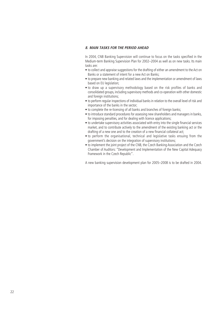## **8. MAIN TASKS FOR THE PERIOD AHEAD**

In 2004, CNB Banking Supervision will continue to focus on the tasks specified in the Medium-term Banking Supervision Plan for 2002–2004 as well as on new tasks. Its main tasks are:

- to collect and appraise suggestions for the drafting of either an amendment to the Act on Banks or a statement of intent for a new Act on Banks;
- to prepare new banking and related laws and the implementation or amendment of laws based on EU legislation;
- to draw up a supervisory methodology based on the risk profiles of banks and consolidated groups, including supervisory methods and co-operation with other domestic and foreign institutions;
- to perform regular inspections of individual banks in relation to the overall level of risk and importance of the banks in the sector;
- to complete the re-licensing of all banks and branches of foreign banks:
- to introduce standard procedures for assessing new shareholders and managers in banks, for imposing penalties, and for dealing with licence applications;
- to undertake supervisory activities associated with entry into the single financial services market, and to contribute actively to the amendment of the existing banking act or the drafting of a new one and to the creation of a new financial collateral act;
- to perform the organisational, technical and legislative tasks ensuing from the government's decision on the integration of supervisory institutions;
- to implement the joint project of the CNB, the Czech Banking Association and the Czech Chamber of Auditors: "Development and Implementation of the New Capital Adequacy Framework in the Czech Republic".

A new banking supervision development plan for 2005–2008 is to be drafted in 2004.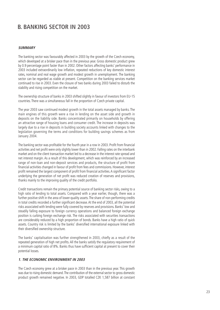# **B. BANKING SECTOR IN 2003**

#### **SUMMARY**

The banking sector was favourably affected in 2003 by the growth of the Czech economy, which developed at a brisker pace than in the previous year. Gross domestic product grew by 0.9 percentage point faster than in 2002. Other factors affecting banks' performance in 2003 included extraordinarily low inflation, repeated reductions of key domestic interest rates, nominal and real wage growth and modest growth in unemployment. The banking sector can be regarded as stable at present. Competition on the banking services market continued to rise in 2003. Even the closure of two banks during 2003 failed to disturb the stability and rising competition on the market.

The ownership structure of banks in 2003 shifted slightly in favour of investors from EU-15 countries. There was a simultaneous fall in the proportion of Czech private capital.

The year 2003 saw continued modest growth in the total assets managed by banks. The main engines of this growth were a rise in lending on the asset side and growth in deposits on the liability side. Banks concentrated primarily on households by offering an attractive range of housing loans and consumer credit. The increase in deposits was largely due to a rise in deposits in building society accounts linked with changes to the legislation governing the terms and conditions for building savings schemes as from January 2004.

The banking sector was profitable for the fourth year in a row in 2003. Profit from financial activities and net profit were only slightly lower than in 2002. Falling rates on the interbank market and on the client transaction market led to a decrease in the interest rate spread and net interest margin. As a result of this development, which was reinforced by an increased range of non-loan and non-deposit services and products, the structure of profit from financial activities changed in favour of profit from fees and commissions. However, interest profit remained the largest component of profit from financial activities.A significant factor underlying the generation of net profit was reduced creation of reserves and provisions, thanks mainly to the improving quality of the credit portfolio.

Credit transactions remain the primary potential source of banking sector risks, owing to a high ratio of lending to total assets. Compared with a year earlier, though, there was a further positive shift in the area of lower-quality assets. The share of non-performing credits in total credits recorded a further significant decrease. At the end of 2003, all the potential risks associated with lending were fully covered by reserves and provisions. Banks' low and steadily falling exposure to foreign currency operations and balanced foreign exchange position is curbing foreign exchange risk. The risks associated with securities transactions are considerably reduced by a high proportion of bonds. Banks have a high ratio of quick assets. Country risk is limited by the banks' diversified international exposure linked with their diversified ownership structure.

The banks' capitalisation was further strengthened in 2003, chiefly as a result of the repeated generation of high net profits. All the banks satisfy the regulatory requirement of a minimum capital ratio of 8%. Banks thus have sufficient capital at present to cover their potential losses.

### **1. THE ECONOMIC ENVIRONMENT IN 2003**

The Czech economy grew at a brisker pace in 2003 than in the previous year. This growth was due to rising domestic demand.The contribution of the external sector to gross domestic product growth remained negative. In 2003, GDP totalled CZK 1,587 billion at constant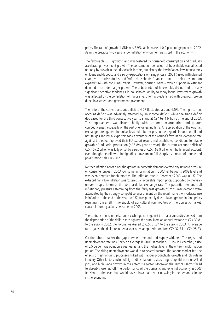prices. The rate of growth of GDP was 2.9%, an increase of 0.9 percentage point on 2002. As in the previous two years, a low-inflation environment persisted in the economy.

The favourable GDP growth trend was fostered by household consumption and gradually accelerating investment growth. The consumption behaviour of households was affected not only by growth in their disposable income, but also by the low inflation, low interest rates on loans and deposits, and also by expectations of rising prices in 2004 (linked with planned changes to excise duties and VAT). Households financed part of their consumption expenditure with consumer credit. However, housing loans – which support investment demand – recorded larger growth. The debt burden of households did not indicate any significant negative tendencies in households' ability to repay loans. Investment growth was affected by the completion of major investment projects linked with previous foreign direct investment and government investment.

The ratio of the current account deficit to GDP fluctuated around 6.5%. The high current account deficit was adversely affected by an income deficit, while the trade deficit decreased for the third consecutive year to stand at CZK 69.4 billion at the end of 2003. This improvement was linked chiefly with economic restructuring and greater competitiveness, especially on the part of engineering firms.An appreciation of the koruna's exchange rate against the dollar fostered a better position as regards imports of oil and natural gas. Industrial exporters took advantage of the koruna's favourable exchange rate against the euro, improved their EU export results and established conditions for stable growth of industrial production (of 5.8% year on year). The current account deficit of CZK 157.2 billion was fully offset by a surplus of CZK 163.9 billion on the financial account, even though the inflow of foreign direct investment fell sharply as a result of unrepeated privatisation sales in 2002.

Neither inflation abroad nor the growth in domestic demand exerted any upward pressure on consumer prices in 2003. Consumer price inflation in 2003 fell below its 2002 level and was even negative for six months. The inflation rate in December 2003 was 0.1%. The extraordinarily low inflation was fostered by favourable import prices supported by the yearon-year appreciation of the koruna-dollar exchange rate. The potential demand-pull inflationary pressures stemming from the fairly fast growth of consumer demand were attenuated by the strongly competitive environment on the retail market. A moderate rise in inflation at the end of the year (to 1%) was primarily due to faster growth in food prices resulting from a fall in the supply of agricultural commodities on the domestic market, caused in turn by adverse weather in 2003.

The contrary trends in the koruna's exchange rate against the major currencies derived from the depreciation of the dollar's rate against the euro. From an annual average of CZK 30.81 to the euro in 2002, the koruna weakened to CZK 31.84 to the euro in 2003. Its average rate against the dollar recorded a year-on-year appreciation from CZK 32.74 to CZK 28.23.

On the labour market the gap between demand and supply widened. The registered unemployment rate was 9.9% on average in 2003. It reached 10.3% in December, a rise of 0.5 percentage point on a year earlier and the highest level in the entire transformation period. The rising unemployment was due to several factors. The labour market felt the effects of restructuring processes linked with labour productivity growth and job cuts in industry. Other factors included high indirect labour costs, strong competition for unskilled jobs, and high wage growth in the enterprise sector. Moreover, the services sector failed to absorb those laid off. The performance of the domestic and external economy in 2003 fell short of the level that would have allowed a greater upswing in the demand climate in the economy.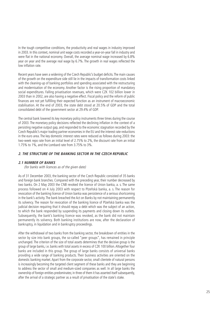In the tough competitive conditions, the productivity and real wages in industry improved in 2003. In this context, nominal unit wage costs recorded a year-on-year fall in industry and were flat in the national economy. Overall, the average nominal wage increased by 6.8% year on year and the average real wage by 6.7%. The growth in real wages reflected the low inflation rate.

Recent years have seen a widening of the Czech Republic's budget deficits.The main causes of the growth on the expenditure side still lie in the impacts of transformation costs linked with the cleaning-up of banking portfolios and spending associated with the restructuring and modernisation of the economy. Another factor is the rising proportion of mandatory social expenditures. Falling privatisation revenues, which were CZK 102 billion lower in 2003 than in 2002, are also having a negative effect. Fiscal policy and the reform of public finances are not yet fulfilling their expected function as an instrument of macroeconomic stabilisation. At the end of 2003, the state debt stood at 20.5% of GDP and the total consolidated debt of the government sector at 29.4% of GDP.

The central bank lowered its key monetary policy instruments three times during the course of 2003. The monetary policy decisions reflected the declining inflation in the context of a persisting negative output gap, and responded to the economic stagnation recorded by the Czech Republic's major trading partner economies in the EU and the interest rate reductions in the euro area. The key domestic interest rates were reduced as follows during 2003: the two-week repo rate from an initial level of 2.75% to 2%, the discount rate from an initial 1.75% to 1%, and the Lombard rate from 3.75% to 3%.

# **2. THE STRUCTURE OF THE BANKING SECTOR IN THE CZECH REPUBLIC**

#### **2.1 NUMBER OF BANKS**

(for banks with licences as of the given date)

As of 31 December 2003, the banking sector of the Czech Republic consisted of 35 banks and foreign bank branches. Compared with the preceding year, their number decreased by two banks. On 2 May 2003 the CNB revoked the licence of Union banka, a. s. The same process followed on 4 July 2003 with respect to Plzeňská banka, a. s. The reason for revocation of the banking licence of Union banka was persistence of a serious shortcoming in the bank's activity. The bank breached the Act on Banks by not maintaining permanently its solvency. The reason for revocation of the banking licence of Plzeňská banka was the judicial decision requiring that it should repay a debt which was the subject of an action, to which the bank responded by suspending its payments and closing down its outlets. Subsequently, the bank's banking licence was revoked, as the bank did not maintain permanently its solvency. Both banking institutions are now, after the declaration of bankruptcy, in liquidation and in bankruptcy proceedings.

After the withdrawal of two banks from the banking sector, the breakdown of entities in the sector by size into bank groups, the so-called "peer groups", has remained in principle unchanged. The criterion of the size of total assets determines that the decisive group is the group of large banks, i.e. banks with total assets in excess of CZK 100 billion.Altogether four banks are included in this group. The group of large banks consists of universal banks providing a wide range of banking products. Their business activities are oriented on the domestic banking market. Apart from the corporate sector, small clientele of natural persons is increasingly becoming the targeted client segment of these banks and they are beginning to address the sector of small and medium-sized companies as well. In all large banks the ownership of foreign entities predominates; in three of them it has asserted itself subsequently, after the arrival of a strategic partner as a result of privatisation of the state's stake.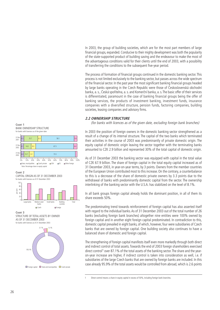In 2003, the group of building societies, which are for the most part members of large financial groups, expanded. Conducive to their mighty development was both the popularity of the state-supported product of building saving and the endeavour to make the most of the advantageous conditions valid for their clients until the end of 2003, with a possibility of transferring the conditions to the subsequent five-year period.

The process of formation of financial groups continued in the domestic banking sector. This process is not limited exclusively to the banking sector, but passes across the wide spectrum of the financial sector. In the past year the most significant banking financial groups headed by large banks operating in the Czech Republic were those of Československá obchodní banka, a. s., Česká spořitelna, a. s. and Komerční banka, a. s.The basic offer of their services is differentiated, paramount in the case of banking financial groups being the offer of banking services, the products of investment banking, investment funds, insurance companies with a diversified structure, pension funds, factoring companies, building societies, leasing companies and advisory firms.

#### **2.2 OWNERSHIP STRUCTURE**

(for banks with licences as of the given date, excluding foreign bank branches)

In 2003 the position of foreign owners in the domestic banking sector strengthened as a result of a change of its internal structure. The capital of the two banks which terminated their activities in the course of 2003 was predominantly of private domestic origin. The equity capital of domestic origin leaving the sector together with the terminating banks amounted to CZK 2.9 billion and represented 30% of the total capital of domestic origin.

As of 31 December 2003 the banking sector was equipped with capital in the total value of CZK 67.9 billion. The share of foreign capital in the total equity capital increased as of 31 December 2003, in year-on-year terms, by 3 points. Owners from the member countries of the European Union contributed most to this increase. On the contrary, a counterbalance to this is a decrease of the share of domestic private owners by 3.3 points due to the withdrawal of banks with predominantly domestic capital from the sector. The ownership interlinking of the banking sector with the U.S.A. has stabilized on the level of 8.1%.

In all bank groups foreign capital already holds the dominant position, in all of them its share exceeds 50%.

The predominating trend towards reinforcement of foreign capital has also asserted itself with regard to the individual banks. As of 31 December 2003 out of the total number of 26 banks (excluding foreign bank branches) altogether nine entities were 100% owned by foreign capital and in another eight foreign capital predominated. In contradiction to this, domestic capital prevailed in eight banks, of which, however, four were subsidiaries of Czech banks that are owned by foreign capital. One building society also continues to have a balanced share of domestic and foreign capital.

The strengthening of foreign capital manifests itself even more markedly through both direct and indirect control of total assets.Towards the end of 2003 foreign shareholders exercised direct control<sup>1</sup> over 87.1% of the total assets of the banking sector. The share and the yearon-year increase are higher, if indirect control is taken into consideration as well, i.e. if subsidiaries of the large Czech banks that are owned by foreign banks are included. In this case already 95.9% of the total assets would be controlled from abroad, which is 2.6 points







**CHART 3** STRUCTURE OF TOTAL ASSETS BY OWNER AS OF 31 DECEMBER 2003 for banks with licences as of 31 December 2003



 $\Box$  Foreign capital  $\Box$  State and municipalities  $\Box$  Czech private

<sup>1</sup> Direct control means a share in equity capital in excess of 50%, including foreign bank branches.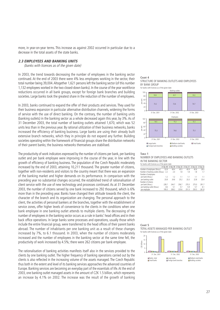more, in year-on-year terms. This increase as against 2002 occurred in particular due to a decrease in the total assets of the state banks.

#### **2.3 EMPLOYEES AND BANKING UNITS**

(banks with licences as of the given date)

In 2003, the trend towards decreasing the number of employees in the banking sector continued. At the end of 2003 there were 4% less employees working in the sector, their total number being 39,004.Altogether 1,621 persons left the banking sector (of this number 1,132 employees worked in the two closed-down banks). In the course of the year workforce reductions occurred in all bank groups, except for foreign bank branches and building societies. Large banks took the greatest share in the reduction of the number of employees.

In 2003, banks continued to expand the offer of their products and services. They used for their business expansion in particular alternative distribution channels, widening the forms of service with the use of direct banking. On the contrary, the number of banking units (banking outlets) in the banking sector as a whole decreased again this year, by 3%. As of 31 December 2003, the total number of banking outlets attained 1,670, which was 52 units less than in the previous year. By rational utilization of their business networks, banks increased the efficiency of banking business. Large banks are using their already built extensive branch networks, which they in principle do not expand any further. Building societies operating within the framework of financial groups share the distribution networks of their parent banks; the business networks themselves are stabilised.

The productivity of work indicators expressed by the number of citizens per bank, per banking outlet and per bank employee were improving in the course of the year, in line with the growth of efficiency of banking business. The population of the Czech Republic moderately increased by the end of 2003, attaining 10,211 thousand. The greater number of citizens, together with non-residents and visitors to the country meant that there was an expansion of the banking market and higher demands on its performance. In comparison with the preceding year no substantial changes occurred, the established trend of rationalisation of client service with the use of new technology and processes continued. As at 31 December 2003, the number of citizens served by one bank increased to 292 thousand, which is 6% more than in the preceding year. Banks have changed their attitude towards the client, the character of the branch and its organization are changing. The personal approach to the client, the activities of personal bankers at the branches, together with the establishment of service zones, offer higher levels of convenience to the clients in the conditions when one bank employee in one banking outlet attends to multiple clients. The decreasing of the number of employees in the banking sector occurs as a rule in banks' head offices and in their back office operations. In large banks some processes and operations, usually those which include the entire financial group, were transferred to the head offices of their parent banks abroad. The number of inhabitants per one banking unit as a result of these changes increased by 7%, to 6.1 thousand. In 2003, when the number of citizens moderately increased and the number of employees in the banking sector at the same time fell, the productivity of work increased by 4.5%; there were 262 citizens per bank employee.

The rationalisation of banking activities manifests itself also in the services provided to the clients by one banking outlet. The higher frequency of banking operations carried out by the clients is also reflected in the increasing volume of the assets managed. The Czech Republic thus both in the extent and level of its banking services approaches the advanced countries of Europe. Banking services are becoming an everyday part of the essentials of life. At the end of 2003, one banking outlet managed assets in the amount of CZK 1.5 billion, which represents an increase by 4.1% on 2002. The increase was the result of the growth of banking

#### **CHART 4** STRUCTURE OF BANKING OUTLETS AND EMPLOYEES BY BANK GROUP





#### **TABLE 1** NUMBER OF EMPLOYEES AND BANKING OUTLETS IN THE BANKING SECTOR

| for banks with licences as of the given date |            |            |            |            |            |            |
|----------------------------------------------|------------|------------|------------|------------|------------|------------|
|                                              | 31 Dec. 98 | 31 Dec. 99 | 31 Dec. 00 | 31 Dec. 01 | 31 Dec. 02 | 31 Dec. 03 |
| Number of employees (thous.)                 | 52.8       | 49.4       | 45.5       | 40.9       | 40.6       | 39.0       |
| Number of banking outlets (thous.) 2.2       |            | 2.0        | 1.8        | 1.8        | 1.8        | 1.7        |
| Number of employees                          |            |            |            |            |            |            |
| per bank (thous.)                            | 1.2        | 1.2        | 1.1        | 1.1        | 1.1        | 1.1        |
| per banking outlet                           | 23.8       | 24.6       | 25.2       | 23.3       | 22.8       | 23.4       |
| Number of citizens                           |            |            |            |            |            |            |
| per bank (thous.)                            | 228.7      | 244.7      | 256.7      | 270.3      | 275.0      | 291.7      |
| per banking outlet (thous.)                  | 4.6        | 5.1        | 5.7        | 5.9        | 5.7        | 6.1        |
| per employee                                 | 195.0      | 208.2      | 225.6      | 251.3      | 250.5      | 261.8      |



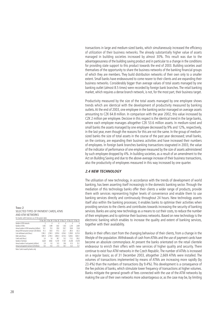transactions in large and medium-sized banks, which simultaneously increased the efficiency of utilization of their business networks. The already substantially higher value of assets managed in building societies increased by almost 30%. This result was due to the advantageousness of the building saving product and in particular to a change in the conditions for providing state support to this product towards the end of 2003. Building societies avail themselves of the opportunity to share the business networks of the banking financial groups of which they are members. They build distribution networks of their own only to a smaller extent. Small banks have endeavoured to come nearer to their clients and are expanding their business networks. Considerably bigger than average values of total assets managed by one banking outlet (almost 8.5 times) were recorded by foreign bank branches. The retail banking market, which requires a dense branch network, is not, for the most part, their business target.

Productivity measured by the size of the total assets managed by one employee shows trends which are identical with the development of productivity measured by banking outlets.At the end of 2003, one employee in the banking sector managed on average assets amounting to CZK 64.8 million. In comparison with the year 2002, this value increased by CZK 2 million per employee. Decisive in this respect is the identical trend in the large banks, where each employee manages altogether CZK 53.6 million assets. In medium-sized and small banks the assets managed by one employee decreased by 9% and 12%, respectively, in the last year, even though the reasons for this are not the same. In the group of mediumsized banks the size of total assets in the course of the past year decreased; small banks, on the contrary, are expanding their business activities and have increased their numbers of employees. In foreign bank branches banking transactions stagnated in 2003, the value of the indicator of performance of one employee measured by the size of assets administered by such employee dropped by 4%. In building societies, as a result of an amendment to the Act on Building Saving and due to the above-average increase of their business transactions, also the productivity of employees measured in this way increased by one quarter.

## **2.4 NEW TECHNOLOGY**

The utilisation of new technology, in accordance with the trends of development of world banking, has been asserting itself increasingly in the domestic banking sector. Through the mediation of this technology banks offer their clients a wider range of products, provide them with services representing higher levels of convenience and enable them to use banking services directly and continuously throughout 24 hours. New technology asserts itself also within the banking processes; it enables banks to optimise their activities when providing services to the clients and contributes towards increasing the security of banking services. Banks are using new technology as a means to cut their costs, to reduce the number of their employees and to optimise their business networks. Based on new technology is the electronic banking which enables to increase the quality and extent of banking services, together with their availability.

Banks in their offers start from the changing behaviour of their clients, from a change in the lifestyle of the population.Withdrawals of cash from ATMs and the use of payment cards have become an absolute commonplace. At present the banks orientated on the retail clientele endeavour to enrich their offers with new services of higher quality and security. There continue to exist four ATM networks in the Czech Republic.The number of ATMs is increased on a regular basis; as of 31 December 2003, altogether 2,669 ATMs were installed. The volumes of transactions implemented by means of ATMs are increasing more rapidly (by 23.4%) than the numbers of transactions (by 9.4%). This development is a consequence of the fee policies of banks, which stimulate lower frequency of transactions at higher volumes. Banks mitigate the general growth of fees connected with the use of the ATM networks by making the use of their own networks more advantageous or, as the case may be, by limiting

#### **TABLE 2** SELECTED TYPES OF PAYMENT CARDS, ATMS AND ATM NETWORKS for banks with licences as of the given date

|                                                |         | 31 Dec. 98 31 Dec. 99 31 Dec. 00 |         | 31 Dec. 01 | 31 Dec. 02 31 Dec. 03 |         |
|------------------------------------------------|---------|----------------------------------|---------|------------|-----------------------|---------|
| Number of ATM networks                         | 5       | 4                                | 4       | 4          | 4                     | 4       |
| Number of ATMs                                 | 1.463   | 1.499                            | 1.602   | 1.923      | 2.254                 | 2,669   |
| Annual number of ATM transactions (millions)   | 59.1    | 70.0                             | 85.8    | 100.7      | 106.8                 | 116.8   |
| Annual ATM transaction turnover (CZK billions) | 91.3    | 128.0                            | 175.5   | 232.7      | 285.4                 | 352.3   |
| Cash withdrawal cards (thous.)                 | 1.590.2 | 2.784.5                          | 3.976.6 | 4.556.3    | 5.768.9               | 6,373.6 |
| Debit cards (thous.)                           | 1.881.8 | 2.790.0                          | 3.960.4 | 4.516.3    | 5.658.3               | 5.803.1 |
| Credit cards (thous.)                          | 3.6     | 5.6                              | 38.7    | 53.2       | 113.2                 | 206.2   |
| Number of terminals                            | 6.628   | 8.962                            | 13.187  | 17.931     | 25.358                | 31,678  |
| Annual number of card payments (millions)      | 2.8     | 6.0                              | 14.5    | 76.6       | 41.0                  | 55.1    |
| Annual card payment turnover (CZK billions)    | 8.4     | 14.0                             | 27.0    | 44.7       | 52.5                  | 73.7    |
|                                                |         |                                  |         |            |                       |         |

Note: Cards issued by banks only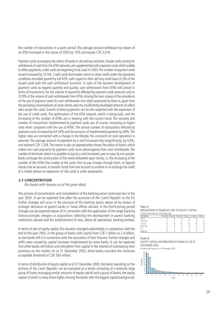the number of transactions in a given period. The average amount withdrawn by means of an ATM increased in the course of 2003 by 13% and equals CZK 3,016.

Payment cards accompany the clients of banks in all ordinary activities. Simple cards serving for withdrawal of cash from the ATM networks are supplemented with payment cards which enable to effect payments; credit cards are beginning to be used. In 2003, the number of payment cards issued increased by 10.5%. Credit cards that enable clients to draw credit under the stipulated conditions recorded growth by full 82%, with regard to their still very small base (3.2% of the issued cards with the cash withdrawal function). In spite of the dynamic development of payment cards as regards quantity and quality, cash withdrawals from ATMs still prevail in terms of transactions, for the volume of payments effected by payment cards amounts only to 20.9% of the volume of cash withdrawals from ATMs.Among the main causes of the prevalence of the use of payment cards for cash withdrawals over direct payments by them is, apart from the persisting conservativism of some clients, also the insufficiently developed network of sellers who accept the cards. Growth of direct payments can be also expected with the expansion of the use of credit cards. The optimisation of the ATM network, which is being built, and the increasing of the number of ATMs are in keeping with the current trend. The volumes and number of transactions implemented by payment cards are, of course, increasing at higher rates when compared with the use of ATMs. The annual number of transactions effected by payment cards increased by full 34% and the turnover of implemented payments by 40%. The higher rates are connected with a change in the lifestyle, the constraint on cash operations is asserted. The average amount of payments by a card increased only insignificantly, by 4.6%, and attained CZK 1,338. The reason is also an appropriately chosen fee policy of banks, which makes non-cash payments by payment cards more advantageous than cash withdrawals. The number of terminals where it is possible to pay by a card increased, year-on-year, by one quarter. Banks envisage the continuation of the newly embarked-upon trends, i.e. the increasing of the number of the ATMs that enable at the same time to pay charges through them, to deposit money into an account, to transfer funds from one account to another or to recharge the credit of a mobile phone. An expansion of chip cards is under preparation.

#### **2.5 CONCENTRATION**

(for banks with licences as of the given date)

The process of concentration and consolidation of the banking sector continued also in the year 2003. It can be expected that after the accession of the Czech Republic to the EU further changes will occur in the structure of the banking sector, above all by reason of strategic decisions of parent banks or head offices abroad. In the forthcoming period changes can be expected above all in connection with the application of the single banking licence principle, mergers or acquisitions reflecting the development in parent banking institutions abroad and the establishment of new, above all specialized, banking entities.

In terms of size of equity capital, the situation changed substantially, in comparison with the end of the year 2002, in the group of banks with capital from CZK 1 billion to 2.4 billion, as two banks left it in connection with the revocation of their licences. Further changes and shifts were caused by capital increases implemented by some banks. It can be expected that other banks will follow and strengthen their capital in the interest of maintaining their positions on the market. As at 31 December 2003, three banks recorded the minimum acceptable threshold of CZK 500 million.

In terms of distribution of equity capital as of 31 December 2003, the banks operating on the territory of the Czech Republic can be evaluated as a whole consisting of a relatively large group of banks managing similar amounts of equity capital and a group of banks, the equity capital of which is many times higher.Among the banks with the biggest capital background,

#### **TABLE 3** BREAKDOWN OF BANKS BY SIZE OF EQUITY CAPITAL for banks with licences as of the given date

| C7K billions |  |   | 31 Dec. 98 31 Dec. 99 31 Dec. 00 31 Dec. 01 31 Dec. 02 31 Dec. 03 |  |
|--------------|--|---|-------------------------------------------------------------------|--|
| over 5       |  |   |                                                                   |  |
| 2.5 to 4.9   |  |   |                                                                   |  |
| 1 to 2.4     |  |   | 10                                                                |  |
| 0.5 to 0.9   |  | h |                                                                   |  |
| 0.5          |  |   |                                                                   |  |
| under 0.5    |  |   |                                                                   |  |

#### **CHART 6**

EQUITY CAPITAL DISTRIBUTION OF BANKS AS OF 31 DECEMBER 2003 for banks with licences as of 31 December 2003

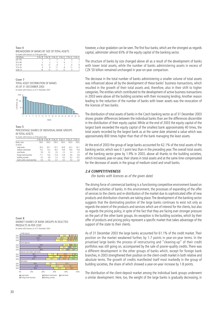**TABLE 4** BREAKDOWN OF BANKS BY SIZE OF TOTAL ASSETS

| for banks with licences as of the given date |  |                                                                   |   |
|----------------------------------------------|--|-------------------------------------------------------------------|---|
| CZK billions                                 |  | 31 Dec. 98 31 Dec. 99 31 Dec. 00 31 Dec. 01 31 Dec. 02 31 Dec. 03 |   |
| over 100                                     |  |                                                                   |   |
| 50 to 99                                     |  |                                                                   |   |
| 25 to 49                                     |  |                                                                   | 8 |
| 10 to 24                                     |  |                                                                   | 9 |
| under 10                                     |  |                                                                   |   |

**CHART 7** TOTAL ASSET DISTRIBUTION OF BANKS AS OF 31 DECEMBER 2003 for banks with licences as of 31 December 2003



**TABLE 5** PERCENTAGE SHARES OF INDIVIDUAL BANK GROUPS IN TOTAL ASSETS

| for banks with licences as of the given date |       |                                  |       |       |                                  |       |  |
|----------------------------------------------|-------|----------------------------------|-------|-------|----------------------------------|-------|--|
|                                              |       | 31 Dec. 98 31 Dec. 99 31 Dec. 00 |       |       | 31 Dec. 01 31 Dec. 02 31 Dec. 03 |       |  |
| Banks, total                                 | 100.0 | 100.0                            | 100.0 | 100.0 | 100.0                            | 100.0 |  |
| of which:                                    |       |                                  |       |       |                                  |       |  |
| large banks                                  | 65.3  | 65.1                             | 61.5  | 63.8  | 62.2                             | 62.1  |  |
| medium-sized banks                           | 15.2  | 13.2                             | 18.2  | 14.8  | 16.6                             | 15.8  |  |
| small banks                                  | 3.9   | 3.3                              | 2.6   | 2.3   | 3.4                              | 2.0   |  |
| foreign bank branches                        | 11.1  | 13.6                             | 11.8  | 12.8  | 9.6                              | 9.6   |  |
| building societies                           | 4.5   | 4.8                              | 5.2   | 6.3   | 8.2                              | 10.5  |  |
| banks under conservatorship                  | 0.0   | 0.0                              | 0.7   | 0.0   | 0.0                              | 0.0   |  |

however, a clear gradation can be seen.The first four banks, which are the strongest as regards capital, administer almost 65% of the equity capital of the banking sector.

The structure of banks by size changed above all as a result of the development of banks with lower total assets, while the number of banks administering assets in excess of CZK 50 billion remained unchanged in year-on-year comparison.

The decrease in the total number of banks administering a smaller volume of total assets was influenced above all by the development of these banks' business transactions, which resulted in the growth of their total assets and, therefore, also in their shift to higher categories.The entities which contributed to the development of active business transactions in 2003 were above all the building societies with their increasing lending. Another reason leading to the reduction of the number of banks with lower assets was the revocation of the licences of two banks.

The distribution of total assets of banks in the Czech banking sector as of 31 December 2003 shows greater differences between the individual banks than are the differences discernible in the distribution of their equity capital. While at the end of 2003 the equity capital of the largest bank exceeded the equity capital of the smallest bank approximately 40 times, the total assets recorded by the largest bank as at the same date attained a value which was approximately 800 times higher than that of the bank managing the least assets.

At the end of 2003 the group of large banks accounted for 62.1% of the total assets of the banking sector, which was 0.1 point less than in the preceding year. The overall total assets of the banking sector grew by 1.9% in 2003, above all thanks to the building societies, which increased, year-on-year, their shares in total assets and at the same time compensated for the decrease of assets in the group of medium-sized and small banks.

#### **2.6 COMPETITIVENESS**

(for banks with licences as of the given date)

The driving force of commercial banking is a functioning competitive environment based on diversified activities of banks. In this environment, the processes of expanding of the offer of services to the clients and re-distribution of the market due to sophisticated offer of new products and distribution channels are taking place.The development of the banking sector suggests that the dominating position of the large banks continues to exist not only as regards the extent of the products and services which are of interest for the clients, but also as regards the pricing policy, in spite of the fact that they are facing ever stronger pressure on the part of the other bank groups. An exception is the building societies, which by their offer of products and pricing policy represent a specific market that takes advantage of the support of the state to their clients.

As of 31 December 2003 the large banks accounted for 61.1% of the credit market. Their position on the market weakened further, by 1.7 points in year-on-year terms. In the privatised large banks the process of restructuring and "cleaning-up" of their credit portfolios was still going on, accompanied by the sale of poorer-quality credits. There was a different development in the other groups of banks which, except for foreign bank branches, in 2003 strengthened their position on the client-credit market in both relative and absolute terms. The growth of credits manifested itself most markedly in the group of building societies, the share of which showed a year-on-year increase by 1.8 points.

The distribution of the client-deposit market among the individual bank groups underwent a similar development. Here, too, the weight of the large banks is gradually decreasing, in

**CHART 8** MARKET SHARES OF BANK GROUPS IN SELECTED PRODUCTS IN PER CENT for banks with licences as of 31 December 2003

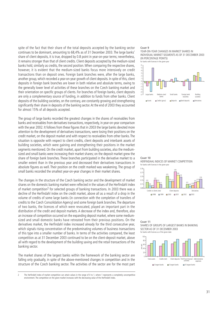spite of the fact that their share of the total deposits accepted by the banking sector continues to be dominant, amounting to 68,4% as of 31 December 2003. The large banks' share of client deposits, it is true, dropped by 0.8 point in year-on-year terms; nevertheless, it remains stronger than that of client credits. Client deposits accepted by the medium-sized banks hold, similarly as credits, the second position. When comparing the respective shares, however, it is evident that the medium-sized banks focus more intensively on credit transactions than on deposit ones. Foreign bank branches were, after the large banks, another group, which recorded a year-on-year growth of client deposits. In spite of this, client deposits in foreign bank branches are lower in both relative and absolute terms, owing to the generally lower level of activities of these branches on the Czech banking market and their orientation on specific groups of clients. For branches of foreign banks, client deposits are only a complementary source of funding, in addition to funds from other banks. Client deposits of the building societies, on the contrary, are constantly growing and strengthening significantly their share in deposits of the banking sector. At the end of 2003 they accounted for almost 15% of all deposits accepted.

The group of large banks recorded the greatest changes in the shares of receivables from banks and receivables from derivatives transactions, respectively, in year-on-year comparison with the year 2002. It follows from these figures that in 2003 the large banks devoted more attention to the development of derivatives transactions, were losing their positions on the credit market, on the deposit market and with respect to receivables from other banks. The situation is opposite with respect to client credits, client deposits and interbank assets of building societies, which were gaining and strengthening their positions in the market segments mentioned. On the credit market, apart from building societies, also the mediumsized and small banks were increasing their market shares; on the deposit market grew the share of foreign bank branches. These branches participated in the derivative market to a smaller extent than in the previous year and decreased their derivatives transactions in absolute figures as well. Their position on the credit marked was weakening. The group of small banks recorded the smallest year-on-year changes in their market shares.

The changes in the structure of the Czech banking sector and the development of market shares on the domestic banking market were reflected in the values of the Herfindahl index of market competition<sup>2</sup> for selected groups of banking transactions. In 2003 there was a decline of the Herfindahl index on the credit market, above all as a result of a drop in the volume of credits of some large banks (in connection with the completion of transfers of credits to the Czech Consolidation Agency) and some foreign bank branches. The departure of two banks, the licences of which were revocated, played an important part in the distribution of the credit and deposit markets. A decrease of the index and, therefore, also an increase of competition occurred on the expanding deposit market, where some mediumsized and small domestic banks have retreated from their previous positions. On the derivatives market, the Herfindahl index increased already for the third consecutive year, which signals rising concentration of the predominating volumes of business transactions of this type into a smaller number of banks. In terms of the activities compared, the least competition as at 31 December 2003 continued to be on the client-deposit market, above all with regard to the development of the building saving and the retail transactions of the banking sector.

The market shares of the largest banks within the framework of the banking sector are falling only gradually, in spite of the above-mentioned changes in competition and in the structure of the Czech banking sector. The activities of the sector are for the most part

The Herfindahl index of market competition can attain values in the range of 0 to 1, where 1 represents a completely uncompetitive environment. The competition on the given market increases with the decreasing value of the Herfindahl index.

#### **CHART 9**

YEAR-ON-YEAR CHANGES IN MARKET SHARES IN INDIVIDUAL MARKET SEGMENTS AS OF 31 DECEMBER 2003 (IN PERCENTAGE POINTS) for banks with licences in the given year









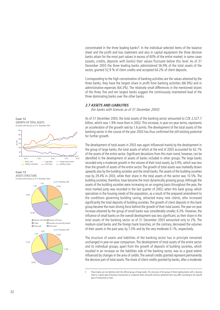

Corresponding to the high concentration of banking activities are the values attained by the three banks; they have the largest share in profit from banking activities (66.9%) and in administrative expenses (64.3%). The relatively small differences in the mentioned shares of the three, five and ten largest banks suggest the continuously maintained lead of the three dominating banks over the other banks.

#### **2.7 ASSETS AND LIABILITIES**

(for banks with licences as of 31 December 2003)

As of 31 December 2003, the total assets of the banking sector amounted to CZK 2,527.7 billion, which was 1.9% more than in 2002.This increase, in year-on-year terms, represents an acceleration of the growth rate by 1.6 points. The development of the total assets of the banking sector in the course of the year 2003 has thus confirmed the still existing potential for further growth.

The development of total assets in 2003 was again influenced mainly by the development in the group of large banks, the total assets of which at the end of 2003 accounted for 62.1% of the assets of the entire sector. Significant deviations from this main trend, however, can be identified in the development of assets of banks included in other groups. The large banks recorded only a moderate growth in the volume of their total assets, by 0.9%, which was less than the growth of assets of the entire sector.The growth of total assets was markedly drawn upwards also by the building societies and the small banks.The assets of the building societies rose by 29.4% in 2003, while their share in the total assets of the sector was 10.5%. The building societies, therefore, have become the most dynamically growing group.Although the assets of the building societies were increasing on an ongoing basis throughout the year, the most marked jump was recorded in the last quarter of 2003, when this bank group, which specializes in the housing needs of the population, as a result of the prepared amendment to the conditions governing building saving, attracted many new clients, who increased significantly the total deposits of building societies. The growth of client deposits in this bank group became the main driving force behind the growth of their total assets.The year-on-year increase attained by the group of small banks was considerably smaller, 6.3%. However, the influence of small banks on the overall development was less significant, as their share in the total assets of the banking sector as of 31 December 2003 amounted only to 2%. The medium-sized banks and the foreign bank branches, on the contrary, decreased the volumes of their assets in the past year, by 7.0% and by the very moderate 0.1%, respectively.

The structure of assets and liabilities of the banking sector has in principle remained unchanged in year-on-year comparison. The development of total assets of the entire sector and its individual groups, apart from the growth of deposits of building societies, which resulted in an increase on the liabilities side of the banking sector, was to a great extent influenced by changes in the area of credits. The overall credits granted represent permanently the decisive part of total assets.The share of client credits granted by banks, after a moderate



**CHART 13** ASSETS STRUCTURE for banks with licences as of 31 December 2003

**CHART 12**



<sup>3</sup> These banks are not identical with the official group of large banks. The structure of the group of three leading banks with a decisive share in a given type of business transactions or a balance-sheet and profit and loss statement item may differ according to the specific type of transaction or item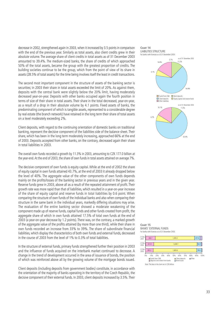decrease in 2002, strengthened again in 2003, when it increased by 3.5 points in comparison with the end of the previous year. Similarly as total assets, also client credits grew in their absolute volume. The average share of client credits in total assets as of 31 December 2003 amounted to 39.4%. The medium-sized banks, the share of credits of which approached 50% of the total assets, became the group with the greatest proportion of credits. The building societies continue to be the group, which from the point of view of its share in assets (28.5% of total assets) for the time being involves itself the least in credit transactions.

The second most important component in the structure of assets of the banking sector is securities; in 2003 their share in total assets exceeded the limit of 20%. As against them, deposits with the central bank were slightly below the 20% limit, having moderately decreased year-on-year. Deposits with other banks occupied again the fourth position in terms of size of their share in total assets. Their share in the total decreased, year-on-year, as a result of a drop in their absolute volume by 4.1 points. Fixed assets of banks, the predominating component of which is tangible assets, represented to a considerable degree by real estate (the branch network) have retained in the long term their share of total assets on a level moderately exceeding 2%.

Client deposits, with regard to the continuing orientation of domestic banks on traditional banking, represent the decisive component of the liabilities side of the balance sheet. Their share, which has been in the long term moderately increasing, approached 66% at the end of 2003. Deposits accepted from other banks, on the contrary, decreased again their share in total liabilities in 2003.

The overall own funds recorded a growth by 11.3% in 2003, amounting to CZK 177.0 billion at the year-end.At the end of 2003, the share of own funds in total assets attained on average 7%.

The decisive component of own funds is equity capital. While at the end of 2002 the share of equity capital in own funds attained 43.7%, at the end of 2003 it already dropped below the level of 40%. The aggregate value of the other components of own funds depends mainly on the profits/losses of the banking sector in previous years and in the given year. Reserve funds grew in 2003, above all as a result of the repeated attainment of profit. Their growth rate was more rapid than that of liabilities, which resulted in a year-on-year increase of the share of equity capital and reserve funds in total liabilities by 0.6 point. When comparing the structure of own funds of the individual banks and also when comparing their structure in the same bank in the individual years, markedly differing situations may arise. The evaluation of the entire banking sector showed a moderate weakening of the component made up of reserve funds, capital funds and other funds created from profit, the aggregate share of which in own funds attained 17.5% of total own funds at the end of 2003 (a year-on-year decrease by 1.2 points). There was, on the contrary, a marked growth of the aggregate value of the profits attained (by more than one third), while their share in own funds recorded an increase from 33% to 39%. The share of subordinate financial liabilities, which display the characteristics of both own funds and external funds, decreased in the course of 2003 from the level of 1% to 0.3% of total liabilities.

In the structure of external funds, primary funds strengthened further their position in 2003 and the influence of funds acquired on the interbank market continued to decrease. A change in the trend of development occurred in the area of issuance of bonds, the position of which was reinforced above all by the growing volume of the mortgage bonds issued.

Client deposits (including deposits from government bodies) constitute, in accordance with the orientation of the majority of banks operating in the territory of the Czech Republic, the decisive component of their external funds. In 2003, client deposits increased by 3.5%. Their



**CHART 15** BANKS' EXTERNAL FUNDS for banks with licences as of 31 December 2003

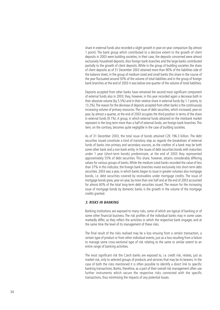share in external funds also recorded a slight growth in year-on-year comparison (by almost 1 point). The bank group which contributed to a decisive extent to the growth of client deposits in 2003 were building societies; in their case, the deposits concerned were almost exclusively household deposits. Also foreign bank branches and the large banks contributed partially to the growth of client deposits. While in the group of building societies the share of client deposits as of 31 December 2003 attained more than 90% of the liabilities side of the balance sheet, in the group of medium-sized and small banks this share in the course of the year fluctuated around 50% of the volume of total liabilities and in the group of foreign bank branches at the end of 2003 it was below one quarter of the volume of total liabilities.

Deposits accepted from other banks have remained the second most significant component of external funds also in 2003; they, however, in this year recorded again a decrease both in their absolute volume (by 5.5%) and in their relative share in external funds (by 1.1 points, to 13.2%).The reason for the decrease of deposits accepted from other banks is the continuously increasing volume of primary resources. The issue of debt securities, which increased, year-on year, by almost a quarter, at the end of 2003 occupies the third position in terms of the share in external funds (9.1%). A group, in which external funds obtained on the interbank market represent in the long term more than a half of external funds, are foreign bank branches. This item, on the contrary, becomes quite negligible in the case of building societies.

As of 31 December 2003, the total issue of bonds attained CZK 196.3 billion. The debt securities issued constitute a kind of transitory step as regards the breakdown of external funds of banks into primary and secondary sources, as the creditor of a bank may be both some other bank and a non-bank entity. In the issues of debt securities bonds with maturities under 1 year (short-term bonds) predominate; at the end of 2003 they represented approximately 55% of debt securities. This share, however, attains considerably differing values for various groups of banks. While the medium-sized banks recorded the value of less than 37% in this indicator, the foreign bank branches invest exclusively into short-term debt securities. 2003 was a year, in which banks began to issue in greater volumes also mortgage bonds, i.e. debt securities covered by receivables under mortgage credits. The issue of mortgage bonds grew, year-on-year, by more than one half and at the end of 2003 accounted for almost 60% of the total long-term debt securities issued. The reason for the increasing issue of mortgage bonds by domestic banks is the growth in the volume of the mortgage credits granted.

#### **3. RISKS IN BANKING**

Banking institutions are exposed to many risks, some of which are typical of banking or of some other financial business. The risk profiles of the individual banks may in some cases markedly differ, as they reflect the activities in which the respective bank engages and at the same time the level of its management of these risks.

The final result of the risks realised may be a loss ensuing from a certain transaction, a certain type of product or from other individual events, just as a loss resulting from a failure to manage some cross-sectional type of risk relating to the same or similar extent to an entire range of banking activities.

The most significant risk the Czech banks are exposed to, i.e. credit risk, relates, just as market risk, only to selected groups of products and services that may be its bearers. In the case of both the risks mentioned it is often possible to identify a direct link to specific banking transactions. Banks, therefore, as a part of their overall risk management often use further instruments which secure the respective risks connected with the specific transactions, thus minimising the impacts of any potential losses.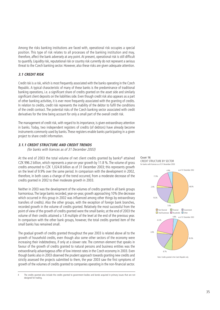Among the risks banking institutions are faced with, operational risk occupies a special position. This type of risk relates to all processes of the banking institution and may, therefore, affect the bank adversely at any point. At present, operational risk is still difficult to quantify. Liquidity risk, reputational risk or country risk currently do not represent a serious threat to the Czech banking sector. However, also these risks are given adequate attention.

## **3.1 CREDIT RISK**

Credit risk is a risk, which is most frequently associated with the banks operating in the Czech Republic. A typical characteristic of many of these banks is the predominance of traditional banking operations, i.e. a significant share of credits granted on the asset side and similarly significant client deposits on the liabilities side. Even though credit risk also appears as a part of other banking activities, it is ever more frequently associated with the granting of credits. In relation to credits, credit risk represents the inability of the debtor to fulfil the conditions of the credit contract. The potential risks of the Czech banking sector associated with credit derivatives for the time being account for only a small part of the overall credit risk.

The management of credit risk, with regard to its importance, is given extraordinary attention in banks. Today, two independent registers of credits (of debtors) have already become instruments commonly used by banks. These registers enable banks participating in a given project to share credit information.

## **3.1.1 CREDIT STRUCTURE AND CREDIT TRENDS**

(for banks with licences as of 31 December 2003)

At the end of 2003 the total volume of net client credits granted by banks<sup>4</sup> attained CZK 996.2 billion, which represents a year-on-year growth by 11.8 %. The volume of gross credits amounted to CZK 1,024.8 billion as of 31 December 2003; this represents growth on the level of 9.9% over the same period. In comparison with the development in 2002, therefore, in both cases a change of the trend occurred, from a moderate decrease of the credits granted in 2002 to their moderate growth in 2003.

Neither in 2003 was the development of the volumes of credits granted in all bank groups harmonious.The large banks recorded, year-on-year, growth approaching 10% (the decrease which occurred in this group in 2002 was influenced among other things by extraordinary transfers of credits). Also the other groups, with the exception of foreign bank branches, recorded growth in the volume of credits granted. Relatively the most successful from the point of view of the growth of credits granted were the small banks; at the end of 2003 the volume of their credits attained a 1.8 multiple of the level at the end of the previous year. In comparison with the other bank groups, however, the total credits granted item of the small banks has remained small.

The gradual growth of credits granted throughout the year 2003 is related above all to the growth of household credits, even though also some other sectors of the economy were increasing their indebtedness, if only at a slower rate. The common element that speaks in favour of the growth of credits granted to natural persons and business entities was the extraordinarily advantageous offer of low interest rates in the Czech economy in 2003. Even though banks also in 2003 observed the prudent approach towards granting new credits and strictly assessed the projects submitted to them, the year 2003 saw the first symptoms of growth of the volumes of credits granted to companies operating in the non-financial sector.





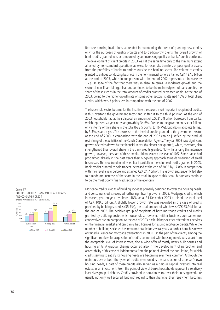Because banking institutions succeeded in maintaining the trend of granting new credits only for the purposes of quality projects and to creditworthy clients, the overall growth of bank credits granted was accompanied by an increasing quality of banks' credit portfolios. The development of client credits in 2003 was at the same time only to the minimum extent affected by non-standard operations as were, for example, transfers of poor quality assets from the portfolios of banks to entities outside the banking sector. The volume of credits granted to entities conducting business in the non-financial sphere attained CZK 427.5 billion at the end of 2003, which in comparison with the end of 2002 represents an increase by 1.7%. In spite of the fact that there was, in absolute terms,, a moderate growth and the sector of non-financial organizations continues to be the main recipient of bank credits, the share of these credits in the total amount of credits granted decreased again. At the end of 2003, owing to the higher growth rate of some other sectors, it attained 45% of total client credits, which was 3 points less in comparison with the end of 2002.

The household sector became for the first time the second most important recipient of credits; it thus overtook the government sector and shifted it to the third position. At the end of 2003 households had at their disposal an amount of CZK 210.8 billion borrowed from banks, which represents a year-on-year growth by 34.6%. Credits to the government sector fell not only in terms of their share in the total (by 2.5 points, to 16.7%), but also in absolute terms,, by 5.3%, year-on-year. The decrease in the level of credits granted to the government sector at the end of 2003 in comparison with the end of 2002 can be justified by the gradual restraining of the activities of the Czech Consolidation Agency.The year 2003 saw significant growth of credits drawn by the financial sector (by almost one quarter), which, therefore, also strengthened their overall share in the bank credits granted. Notwithstanding this intensive growth, however, the share of these credits did not exceed the level of 10%. Some banks had proclaimed already in the past years their outgoing approach towards financing of small businesses.The new trend manifested itself partially in the volume of credits granted in 2003. Bank credits granted to sole traders increased at the end of 2003 by 17.8% in comparison with their level a year before and attained CZK 24.7 billion.This growth subsequently led also to a moderate increase of the share in the total. In spite of this, small businesses continue to be the most poorly financed sector of the economy.

Mortgage credits, credits of building societies primarily designed to cover the housing needs, and consumer credits recorded further significant growth in 2003. Mortgage credits, which increased, year-on-year, by almost 48%, as at 31 December 2003 attained the total level of CZK 109.0 billion. A slightly lower growth rate was recorded in the case of credits provided by building societies (35.7%), the total amount of which was CZK 63,9 billion at the end of 2003. The decisive group of recipients of both mortgage credits and credits granted by building societies is households; however, neither business companies nor cooperatives are an exception.At the end of 2003, six building societies offered their services on the financial market and ten banks had licences for issuing mortgage credits. While the number of building societies has remained stable for several years, a further bank has newly obtained a licence for mortgage transactions in 2003. On the part of the clients, among the significant motives for acquisition of credits connected with housing needs was, apart from the acceptable level of interest rates, also a wide offer of mostly newly built houses and housing units. A gradual change occurred also in the development of perception and acceptability of this type of indebtedness from the point of view of the population, for which credits serving to satisfy its housing needs are becoming ever more common. Although the main purpose of both the types of credits mentioned is the satisfaction of a person's own housing needs, a part of these credits also served as a paid-in capital invested into real estate, as an investment. From the point of view of banks households represent a relatively least risky group of debtors. Credits provided to households to cover their housing needs are usually not only well secured, but with regard to their character their repayment becomes



31 Dec. 2001 31 Dec. 2002 31 Dec. 2003

loans

**CHART 17**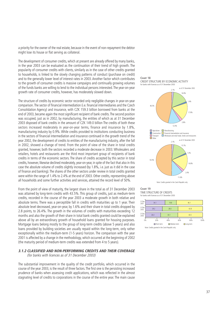a priority for the owner of the real estate, because in the event of non-repayment the debtor might lose its house or flat serving as collateral.

The development of consumer credits, which at present are already offered by many banks, in the year 2003 can be evaluated as the continuation of their trend of high growth. The popularity of consumer credits with clients, similarly as in the case of other credits granted to households, is linked to the slowly changing patterns of conduct (purchase on credit) and to the generally lower level of interest rates in 2003. Another factor which contributes to the growth of consumer credits is massive campaigns and continually growing volumes of the funds banks are willing to lend to the individual persons interested.The year-on-year growth rate of consumer credits, however, has moderately slowed down.

The structure of credits by economic sector recorded only negligible changes in year-on-year comparison.The sector of financial intermediation (i.e. financial intermediaries and the Czech Consolidation Agency) and insurance, with CZK 159.3 billion borrowed from banks at the end of 2003, became again the most significant recipient of bank credits.The second position was occupied, just as in 2002, by manufacturing, the entities of which as at 31 December 2003 disposed of bank credits in the amount of CZK 149.0 billion The credits of both these sectors increased moderately in year-on-year terms, finance and insurance by 1.8%, manufacturing industry by 0.9%. While credits provided to institutions conducting business in the sectors of financial intermediation and insurance continued in the growth trend of the year 2002, the development of credits to entities of the manufacturing industry, after the fall in 2002, showed a change of trend. From the point of view of the share in total credits granted, however, both the sectors recorded a moderate decrease in 2003. Wholesalers and retailers, hotels and restaurants are the third most important group of recipients of bank credits in terms of the economic sectors. The share of credits accepted by this sector in total credits, however, likewise declined moderately, year-on-year, in spite of the fact that also in this case the absolute volume of credits slightly increased (by 1.8%, i.e. just as it did in the case of finance and banking). The shares of the other sectors under review in total credits granted were within the range of 1.4% to 2.4% at the end of 2003. Other credits, representing above all households and some further activities and services, attained the record level of 50%.

From the point of view of maturity, the largest share in the total as of 31 December 2003 was attained by long-term credits with 43.5%. This group of credits, just as medium-term credits, recorded in the course of the year 2003 a moderate growth in both relative and absolute terms. There was a perceptible fall in credits with maturities up to 1 year. Their absolute level decreased, year-on-year, by 1.6% and their share in total credits dropped by 2.8 points, to 26.4%. The growth in the volumes of credits with maturities exceeding 12 months and also the growth of their share in total bank credits granted could be explained above all by an extraordinary growth of household loans granted for housing purposes. Mortgage loans belong mostly to the group of long-term credits (above 5 years) and also loans provided by building societies are usually repaid within the long-term, only rather exceptionally within the medium-term (1-5 years) horizon. The comparison with the year 2001 is affected by a change in the methodology, which occurred at the beginning of 2002 (the maturity period of medium-term credits was extended from 4 to 5 years).

# **3.1.2 CLASSIFIED AND NON-PERFORMING CREDITS AND THEIR COVERAGE**

(for banks with licences as of 31 December 2003)

The substantial improvement in the quality of the credit portfolio, which occurred in the course of the year 2003, is the result of three factors.The first one is the persisting increased prudence of banks when assessing credit applications, which was reflected in the almost stagnating level of credits to corporations in the course of the entire year. The main cause





#### **CHART 19** TIME STRUCTURE OF CREDITS

for banks with licences as of 31 December 2003

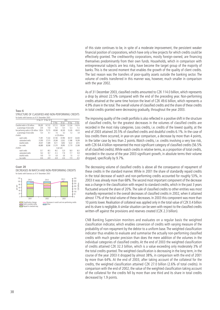of this state continues to be, in spite of a moderate improvement, the persistent weaker financial position of corporations, which have only a few projects for which credits could be effectively granted. The creditworthy corporations, mostly foreign-owned, are financing themselves predominantly from their own funds. Households, which in comparison with entrepreneurial subjects are less risky, have become the target group of the majority of banks. This is the second moment that enables the growth of the quality of client credits. The last reason was the transfers of poor-quality assets outside the banking sector. The volume of credits transferred in this manner was, however, much smaller in comparison with the year 2002.

As of 31 December 2003, classified credits amounted to CZK 114.0 billion, which represents a drop by almost 22.5% compared with the end of the preceding year. Non-performing credits attained at the same time horizon the level of CZK 49.6 billion, which represents a 4.9% share in the total.The overall volume of classified credits and the share of these credits in total credits granted were decreasing gradually, throughout the year 2003.

The improving quality of the credit portfolio is also reflected in a positive shift in the structure of classified credits, for the greatest decreases in the volumes of classified credits are recorded in the most risky categories. Loss credits, i.e. credits of the lowest quality, at the end of 2003 attained 20.5% of classified credits and doubtful credits 6.1%. In the case of loss credits there occurred, in year-on-year comparison, a decrease by more than 4 points, in the latter case by less than 2 points. Watch credits, i.e. credits involving a very low risk, with CZK 64.4 billion represented the most significant category of classified credits (56.5% of all classified credits).While watch credits in relative terms, as a proportion of total credits, recorded in the course of the year 2003 significant growth, in absolute terms their volume dropped, specifically by 9.7%.

The decreasing volume of classified credits is above all the consequence of repayment of these credits in the standard manner. While in 2001 the share of standardly repaid credits in the total decrease of watch and non-performing credits accounted for roughly 53%, in 2003 it was already more than 68%.The second most important component of the decrease was a change in the classification with respect to standard credits, which in the past 3 years fluctuated around the share of 20%. The sale of classified credits to other entities was most markedly represented in the overall decreases of classified credits in 2002, when it attained almost 17% of the total volume of these decreases. In 2003 this component was more than 10 points lower. Realisation of collateral was applied only in the total value of CZK 0.4 billion and its share is negligible.A similar situation can be seen with respect to the classified credits written-off against the provisions and reserves created (CZK 2.3 billion).

CNB Banking Supervision monitors and evaluates on a regular basis the weighted classification indicator, which enables conversion of credits with varying measure of the probability of non-repayment by the debtor to a uniform base. The weighted classification indicator thus enables to evaluate and summarise the actually non-performing classified credits with much greater precision than does the mere addition of the volumes in the individual categories of classified credits. At the end of 2003 the weighted classification of credits attained CZK 32.3 billion, which is a value exceeding only moderately 3% of the total credits granted. The weighted classification is decreasing in the long term, in the course of the year 2003 it dropped by almost 38%, in comparison with the end of 2001 by more than 64%. At the end of 2003, after taking account of the collateral for the credits, the weighted classification attained CZK 27.0 billion (2.6% of total credits). In comparison with the end of 2002, the value of the weighted classification taking account of the collateral for the credits fell by more than one third and its share in total credits decreased by 1.9 points.

| STRUCTURE OF CLASSIFIED AND NON-PERFORMING CREDITS |
|----------------------------------------------------|
| for banks with licences as of 31 December 2003     |

|                                               | 31 Dec. 01 31 Dec. 02 |         |         | 2003            |         |         |  |  |  |
|-----------------------------------------------|-----------------------|---------|---------|-----------------|---------|---------|--|--|--|
|                                               |                       |         | 31 Mar. | 30 Jun.         | 30 Sep. | 31 Dec. |  |  |  |
| Classified credits in CZK millions            | 199.285               | 147.102 | 137,712 | 128.504         | 121.534 | 114.014 |  |  |  |
| as percentage of total credits                | 20.8                  | 15.8    | 15.0    | 13.4            | 12.3    | 11.2    |  |  |  |
| Non-performing credits in CZK millions 128,94 |                       | 75,770  | 69.948  | 60.509          | 52.426  | 49.610  |  |  |  |
| as percentage of total credits                | 13.4                  | 8.1     | 7.6     | 6.3             | 5.3     | 4.9     |  |  |  |
| of which:                                     |                       |         |         | in C7K millions |         |         |  |  |  |
| watch credits                                 | 71.091                | 71.332  | 67.764  | 67.994          | 69.107  | 64.404  |  |  |  |
| substandard credits                           | 31.859                | 27.515  | 29.268  | 22.822          | 21.486  | 19.299  |  |  |  |
| doubtful credits                              | 29.447                | 11.689  | 9.311   | 8.692           | 9.222   | 6.913   |  |  |  |
| loss credits                                  | 66.889                | 36.566  | 31.370  | 28.995          | 21.719  | 23.398  |  |  |  |
| of which:                                     |                       |         |         | in per cent     |         |         |  |  |  |
| watch credits                                 | 35.7                  | 48.5    | 49.2    | 52.9            | 56.9    | 56.5    |  |  |  |
| substandard credits                           | 16.0                  | 18.7    | 21.3    | 17.8            | 17.7    | 16.9    |  |  |  |
| doubtful credits                              | 14.8                  | 7.9     | 6.8     | 6.8             | 7.6     | 6.1     |  |  |  |
| loss credits                                  | 33.6                  | 24.9    | 22.8    | 72.6            | 17.9    | 20.5    |  |  |  |

#### **CHART 20**

**TABLE 6**

#### DECREASES IN WATCH AND NON-PERFORMING CREDITS for banks with licences as of 31 December 2003

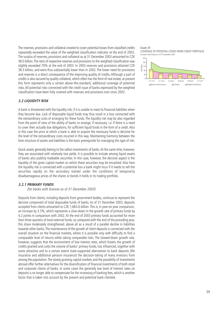The reserves, provisions and collateral created to cover potential losses from classified credits repeatedly exceeded the value of the weighted classification indicator at the end of 2003. The surplus of reserves, provisions and collateral as at 31 December 2003 amounted to CZK 38.0 billion.The ratio of respective reserves and provisions to the weighted classification was slightly exceeded 70% at the end of 2003. In 2003 reserves and provisions attained CZK 38.3 billion, and were thus substantially lower than in 2002. The lower need for provisions and reserves is a direct consequence of the improving quality of credits. Although a part of credits is also secured by quality collateral, which often has the form of real estate, at present this form represents only a certain above-the-standard, additional coverage of potential risks. All potential risks connected with the credit issue of banks expressed by the weighted classification have been fully covered with reserves and provisions ever since 2002.

## **3.2 LIQUIDITY RISK**

A bank is threatened with the liquidity risk, if it is unable to meet its financial liabilities when they become due. Lack of disposable liquid funds may thus result in a loss connected with the extraordinary costs of arranging for these funds. The liquidity risk may be also regarded from the point of view of the ability of banks to arrange, if necessary, i.e. if there is a need to cover their actually due obligations, for sufficient liquid funds in the form of a credit. Also in this case the price at which a bank is able to acquire the necessary funds is decisive for the level of the extraordinary costs incurred in this way. Maintaining harmony between the time structure of assets and liabilities is the basic prerequisite for managing this type of risk.

Quick assets generally belong to the safest investments of banks.At the same time, however, they are associated with relatively low yields. It is possible to include among liquid assets of banks also publicly tradeable securities. In this case, however, the decisive aspect is the liquidity of the given capital market on which these securities may be encashed. Also here the liquidity risk is connected with a potential loss a bank might incur if it needs to sell the securities rapidly on the secondary market under the conditions of temporarily disadvantageous prices of the shares or bonds it holds in its trading portfolio.

## **3.2.1 PRIMARY FUNDS**

(for banks with licences as of 31 December 2003)

Deposits from clients, including deposits from government bodies, continue to represent the decisive component of total disposable funds of banks. As of 31 December 2003, deposits accepted from clients amounted to CZK 1,665.6 billion. This is, in year-on-year comparison, an increase by 3.5%, which represents a slow-down in the growth rate of primary funds by 4.2 points in comparison with 2002. At the end of 2003 primary funds accounted for more than three quarters of total external funds; as compared with the end of the preceding year, this share moderately strengthened, above all as a result of a parallel decline in liabilities towards other banks.The maintenance of the growth of client deposits is connected with the overall situation on the financial markets, where it is possible only with difficulty to find a comparable level of returns while taking comparable risks. The slowed-down growth rate, however, suggests that the environment of low interest rates, which fosters the growth of credits granted and curbs the volume of banks' primary funds, has influenced, together with some attractive and to a certain extent state-supported alternatives to bank deposits (life insurance and additional pension insurance) the decision-taking of many investors from among the population. The slowly growing capital markets and the possibility of investments abroad offer further alternatives for the diversification of financial investments of both retail and corporate clients of banks. In some cases the generally low level of interest rates on deposits is no longer able to compensate for the increasing of banking fees, which is another factor that is taken into account by the present and potential bank clientele.

#### **CHART 21** COVERAGE OF POTENTIAL LOSSES FROM CREDIT PORTFOLIO for banks with licences as of 31 December 2003

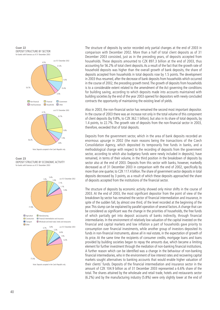



Note: Deposits accepted in the Czech Republic only

**CHART 23** DEPOSIT STRUCTURE BY ECONOMIC ACTIVITY for banks with licences as of 31 December 2003



The structure of deposits by sector recorded only partial changes at the end of 2003 in comparison with December 2002. More than a half of total client deposits as of 31 December 2003 consisted, just as in the preceding years, of deposits accepted from households. These deposits amounted to CZK 897.3 billion at the end of 2003, thus accounting for 56.2% of total client deposits. As a result of the fact that the growth rate of household deposits was higher than the overall growth of bank deposits, the share of deposits accepted from households in total deposits rose by 1.5 points. The development in 2003 thus resumed, after the decrease of bank deposits from households which occurred in the course of 2002, the preceding growth trend.The growth of deposits from households is to a considerable extent related to the amendment of the Act governing the conditions for building saving, according to which deposits made into accounts maintained with building societies by the end of the year 2003 opened for depositors with newly concluded contracts the opportunity of maintaining the existing level of yields.

Also in 2003, the non-financial sector has remained the second most important depositor. In the course of 2003 there was an increase not only in the total volume of this component of client deposits (by 9.8%, to CZK 362.1 billion), but also in its share of total deposits, by 1.4 points, to 22.7%. The growth rate of deposits from the non-financial sector in 2003, therefore, exceeded that of total deposits.

Deposits from the government sector, which in the area of bank deposits recorded an enormous upsurge in 2002 (the main reasons being the transactions of the Czech Consolidation Agency, which deposited its temporarily free funds in banks, and a methodological change with respect to the recording of deposits from the government sector, according to which also budgetary funds were newly included in deposits), have remained, in terms of their volume, in the third position in the breakdown of deposits by sector also at the end of 2003. Deposits from this sector with banks, however, markedly decreased as of 31 December 2003 in comparison with the end of 2002, specifically by more than one quarter, to CZK 117.4 billion.The share of government sector deposits in total deposits decreased by 3 points, as a result of which these deposits approached the share of deposits accepted from the institutions of the financial sector.

The structure of deposits by economic activity showed only minor shifts in the course of 2003. At the end of 2003, the most significant depositor from the point of view of the breakdown by sector has remained the sector of financial intermediation and insurance, in spite of the sudden fall, by almost one third, of the level recorded at the beginning of the year.This slump can be explained by parallel operation of several factors.A change that can be considered as significant was the change in the priorities of households, the free funds of which partially get into deposit accounts of banks indirectly, through financial intermediaries. In the environment of relatively low valuation of the capital invested on the financial and capital markets and low inflation a part of households gave priority to consumption over financial investments, while another group of investors deposited its funds in non-financial instruments, above all in real estate, in the expectation of growth of its price. At the same time the recipients of consumer credits, mortgage loans and loans provided by building societies began to repay the amounts due, which became a limiting element for further investment through the mediation of non-banking financial institutions. A further reason which can be identified was a change in the behaviour of non-banking financial intermediaries, who in the environment of low interest rates and recovering capital markets sought alternatives to banking accounts that would enable higher valuation of their clients' funds. Deposits of the financial intermediation and insurance sector in the amount of CZK 104.9 billion as of 31 December 2003 represented a 6.6% share of the total. The shares attained by the wholesale and retail trade, hotels and restaurants sector (6.2%) and by the manufacturing industry (5.8%) were only slightly lower at the end of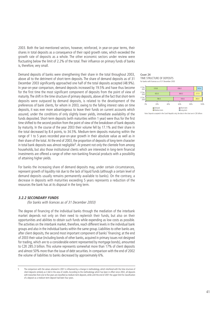2003. Both the last-mentioned sectors, however, reinforced, in year-on-year terms, their shares in total deposits as a consequence of their rapid growth rates, which exceeded the growth rate of deposits as a whole. The other economic sectors under review were fluctuating below the limit of 2.2% of the total. Their influence on primary funds of banks is, therefore, very small.

Demand deposits of banks were strengthening their share in the total throughout 2003, above all to the detriment of short-term deposits. The share of demand deposits as of 31 December 2003 significantly approached one half of the total deposits accepted (48.9%). In year-on-year comparison, demand deposits increased by 19.5% and have thus become for the first time the most significant component of deposits from the point of view of maturity.The shift in the time structure of primary deposits, above all the fact that short-term deposits were outpaced by demand deposits, is related to the development of the preferences of bank clients, for whom in 2003, owing to the falling interest rates on time deposits, it was ever more advantageous to leave their funds on current accounts which assured, under the conditions of only slightly lower yields, immediate availability of the funds deposited. Short-term deposits (with maturities within 1 year) were thus for the first time shifted to the second position from the point of view of the breakdown of bank deposits by maturity. In the course of the year 2003 their volume fell by 17.1% and their share in the total decreased by 8.4 points, to 34.5%. Medium-term deposits maturing within the range of 1 to 5 years recorded year-on-year growth in their absolute value as well as in their share of the total. At the end of 2003, the proportion of deposits of long-term character in total bank deposits was almost negligible<sup>5</sup>. At present not only the clientele from among households, but also those institutional clients which are interested in long-term financial investments are offered a range of other non-banking financial products with a possibility of attaining higher yields.

For banks the increasing share of demand deposits may, under certain circumstances, represent growth of liquidity risk due to the lack of liquid funds (although a certain level of demand deposits usually remains permanently available to banks). On the contrary, a decrease in deposits with maturities exceeding 5 years represents a reduction of the resources the bank has at its disposal in the long term.

#### **3.2.2 SECONDARY FUNDS**

(for banks with licences as of 31 December 2003)

The degree of financing of the individual banks through the mediation of the interbank market depends not only on their need to replenish their funds, but also on their opportunities and abilities to obtain such funds while expending as low costs as possible. The activities on the interbank market, therefore, reach different levels in the individual bank groups and also in the individual banks within the same group. Liabilities to other banks are, after client deposits, the second most important component of banks' financing; at the end of 2003 their value (including bonds of other banks, acquired in primary issues not designed for trading, which are to a considerable extent represented by mortgage bonds), amounted to CZK 285.3 billion. This volume represents somewhat more than 17% of client deposits and almost 50% more than the issue of debt securities. In comparison with the end of 2002 the volume of liabilities to banks decreased by approximately 6%.

#### **CHART 24** TIME STRUCTURE OF DEPOSITS for banks with licences as of 31 December 2003



Note: Deposits accepted in the Czech Republic only; the data in the chart are in CZK billions

<sup>5</sup> The comparison with the values attained in 2001 is influenced by a change in methodology, which interfered with the time structure of client deposits similarly as it did in the area of credits. According to the methodology which has been in effect since 2002, all deposits with maturities from one to five years are classified as medium-term deposits, while until the end of 2001 the upper limit for classification of a deposit as a medium-term deposit had been four years.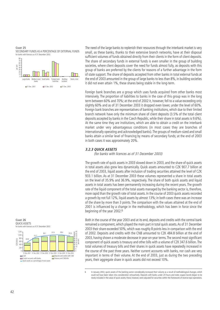**CHART 25** SECONDARY FUNDS AS A PERCENTAGE OF EXTERNAL FUNDS for banks with licences as of 31 December 2003



The need of the large banks to replenish their resources through the interbank market is very small, as these banks, thanks to their extensive branch networks, have at their disposal sufficient volumes of funds obtained directly from their clients in the form of client deposits. The share of secondary funds in external funds is even smaller in the group of building societies, where client deposits cover the need for funds almost fully, as deposits with this group of banks are preferred by the clients for reasons of a further advantage in the form of state support. The share of deposits accepted from other banks in total external funds at the end of 2003 amounted in the group of large banks to less than 8%, in building societies it did not even attain 1%, these shares being stable in the long-term.

Foreign bank branches are a group which uses funds acquired from other banks most intensively. The proportion of liabilities to banks in the case of this group was in the long term between 60% and 70%; at the end of 2002 it, however, fell to a value exceeding only slightly 60% and as of 31 December 2003 it dropped even lower, under the level of 60%. Foreign bank branches are representatives of banking institutions, which due to their limited branch network have only the minimum share of client deposits (3.5% of the total client deposits accepted by banks in the Czech Republic, while their share in total assets is 9.6%). At the same time they are institutions, which are able to obtain a credit on the interbank market under very advantageous conditions (in most cases they are branches of internationally operating and acknowledged banks).The groups of medium-sized and small banks attain a similar level of financing by means of secondary funds; at the end of 2003 in both cases it was approximately 20%.

#### **3.2.3 QUICK ASSETS**

(for banks with licences as of 31 December 2003)

The growth rate of quick assets in 2003 slowed down in 2003, and the share of quick assets in total assets also grew less dynamically. Quick assets amounted to CZK 907.7 billion at the end of 2003, liquid assets after inclusion of trading securities attained the level of CZK 933.1 billion. As at 31 December 2003 these volumes represented a share in total assets on the level of 35.9% and 36.9%, respectively. The share of both quick assets and liquid assets in total assets has been permanently increasing during the recent years. The growth rate of the liquid component of the total assets managed by the banking sector is, therefore, more rapid than the growth rate of total assets. In the course of 2003 quick assets recorded a growth by not full 12%, liquid assets by almost 13%; in both cases there was an increase of the share by more than 3 points. The comparison with the values attained at the end of 2001 is influenced by a change in the methodology, which has been in force since the beginning of the year 2002.6

Both in the course of the year 2003 and at its end, deposits and credits with the central bank remained a component, which played the main part in total quick assets.As of 31 December 2003 their share exceeded 50%, which was roughly 8 points less in comparison with the end of 2002. Deposits and credits with the CNB amounted to CZK 484.8 billion at the end of 2003, having shown a moderate decrease in year-on-year terms.The second most significant component of quick assets is treasury and other bills with a volume of CZK 347.6 billion.The total volumes of treasury bills and their shares in quick assets have repeatedly increased in the course of the past three years. Neither current accounts with banks, nor cash are very important in terms of their volume. At the end of 2003, just as during the two preceding years, their aggregate share in quick assets did not exceed 10%.





<sup>6</sup> In January 2002, quick assets of the banking sector considerably increased their volume as a result of methodological changes, which could not have been taken into consideration retroactively. Deposits with banks under 24 hours and state coupon bonds began to be newly included in the value of quick assets; these, however, were adjusted for securities within the framework of reverse repo-operations.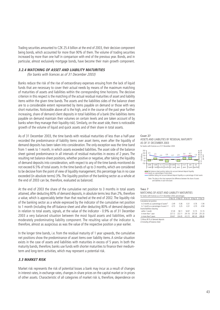Trading securities amounted to CZK 25.4 billion at the end of 2003, their decisive component being bonds, which accounted for more than 90% of them. The volume of trading securities increased by more than one half in comparison with end of the previous year. Bonds, and in particular, almost exclusively mortgage bonds, have become their main growth component.

## **3.2.4 MATCHING OF ASSET AND LIABILITY MATURITIES**

(for banks with licences as of 31 December 2003)

Banks reduce the risk of the rise of extraordinary expenses ensuing from the lack of liquid funds that are necessary to cover their actual needs by means of the maximum matching of maturities of assets and liabilities within the corresponding time horizons. The decisive criterion in this respect is the matching of the actual residual maturities of asset and liability items within the given time bands. The assets and the liabilities sides of the balance sheet are to a considerable extent represented by items payable on demand or those with very short maturities. Noticeable above all is the high, and in the course of the past year further increasing, share of demand client deposits in total liabilities of a bank (the liabilities items payable on demand maintain their volumes on certain levels and are taken account of by banks when they manage their liquidity risk). Similarly, on the asset side, there is noticeable growth of the volume of liquid and quick assets and of their share in total assets.

As of 31 December 2003, the time bands with residual maturities of less than a half-year recorded the predominance of liability items over asset items, even after the liquidity of demand deposits has been taken into consideration. The only exception was the time band from 1 week to 1 month, in which assets exceeded liabilities. The asset side of the balance sheet gained predominance in all intervals of residual maturities in excess of 2 years. The resulting net balance-sheet positions, whether positive or negative, after taking the liquidity of demand deposits into consideration, with respect to any of the time bands monitored do not exceed 6.5% of total assets. In the time bands of up to 3 months, which are considered to be decisive from the point of view of liquidity management, this percentage has in no case exceeded (in absolute terms) 3%. The liquidity position of the banking sector as a whole at the end of 2003 can be, therefore, evaluated as balanced.

At the end of 2003 the share of the cumulative net position to 3 months in total assets attained, after deducting 80% of demand deposits, in absolute terms less than 2%, therefore a value, which is appreciably better than that reached at the end of 2002. The liquidity risk of the banking sector as a whole expressed by the indicator of the cumulative net position to 1 month (including the off-balance sheet and after deducting 80% of demand deposits) in relation to total assets, signals, at the value of the indicator - 0.9% as of 31 December 2003 a very balanced situation between the most liquid assets and liabilities, with a moderately predominating liability component. The resulting value of the indicator is, therefore, almost as auspicious as was the value of the respective position a year earlier.

In the longer time bands, i.e. from the residual maturity of 1 year upwards, the cumulative net positions show the predominance of asset items over liability items. A similar situation exists in the case of assets and liabilities with maturities in excess of 5 years. In both the maturity bands, therefore, banks use funds with shorter maturities to finance their mediumterm and long-term activities, which may represent a potential risk.

## **3.3 MARKET RISK**

Market risk represents the risk of potential losses a bank may incur as a result of changes in interest rates, in exchange rates, changes in share prices on the capital market or in prices of other assets. Characteristic of all categories of market risk is, therefore, dependence on

#### **CHART 27** ASSETS AND LIABILITIES BY RESIDUAL MATURITY AS OF 31 DECEMBER 2003 for banks with licences as of 31 December 2003



#### **TABLE 7**

MATCHING OF ASSET AND LIABILITY MATURITIES for banks with licences as of 31 December 2003; percent

|                                                     |         | 31 Dec. 02 31 Mar. 03 30 Jun. 03 30 Sep. 03 31 Dec. 03 |         |         |         |
|-----------------------------------------------------|---------|--------------------------------------------------------|---------|---------|---------|
| Cumulative net position:                            |         |                                                        |         |         |         |
| to 3 months as a percentage of assets <sup>1)</sup> | $-2.49$ | $-0.36$                                                | $-0.31$ | $-0.76$ | $-1.94$ |
| to 1 month as a percentage of assets1).2)           | $-0.73$ | 0.25                                                   | $-0.31$ | $-0.70$ | $-0.94$ |
| Assets/liabilities maturing:                        |         |                                                        |         |         |         |
| within 1 month                                      | 57.39   | 58.11                                                  | 54.97   | 51.75   | 51.73   |
| in more than 1 year                                 | 227.12  | 222.11                                                 | 241.16  | 257.39  | 251.33  |
| in more than 5 years                                | 354.67  | 334.45                                                 | 412.72  | 482.40  | 498.46  |
| 1) Minus 80 % of demand deposits                    |         |                                                        |         |         |         |

1) Minus 80 % of demand deposits 2) Including off-balance sheet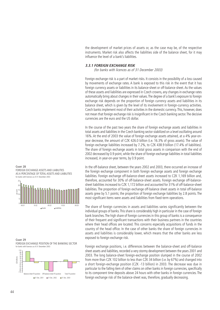the development of market prices of assets or, as the case may be, of the respective instruments. Market risk also affects the liabilities side of the balance sheet, for it may influence the level of a bank's liabilities.

## **3.3.1 FOREIGN EXCHANGE RISK**

(for banks with licences as of 31 December 2003)

Foreign exchange risk is a part of market risks. It consists in the possibility of a loss caused by movements of exchange rates. A bank is exposed to this risk in the event that it has foreign currency assets or liabilities in its balance-sheet or off-balance sheet. As the values of these assets and liabilities are expressed in Czech crowns, any changes in exchange rates automatically bring about changes in their values.The degree of a bank's exposure to foreign exchange risk depends on the proportion of foreign currency assets and liabilities in its balance sheet, which is given by the level of its involvement in foreign-currency activities. Czech banks implement most of their activities in the domestic currency.This, however, does not mean that foreign exchange risk is insignificant in the Czech banking sector.The decisive currencies are the euro and the US dollar.

In the course of the past two years the share of foreign exchange assets and liabilities in total assets and liabilities in the Czech banking sector stabilized on a level oscillating around 16%. At the end of 2003 the value of foreign exchange assets attained, at a 4% year-onyear decrease, the amount of CZK 426.0 billion (i.e. 16.3% of gross assets). The value of foreign exchange liabilities increased by 7.2%, to CZK 438.9 billion (17.4% of liabilities). The share of foreign exchange assets in total gross assets in comparison with the end of 2002 decreased by 0.9 point, while the share of foreign exchange liabilities in total liabilities increased, in year-on-year terms, by 0.9 point.

In the off-balance sheet, between the years 2002 and 2003, there occurred an increase of the foreign exchange component in both foreign exchange assets and foreign exchange liabilities. Foreign exchange off-balance-sheet assets increased to CZK 1,169 billion and, therefore, accounted for 30% of off-balance-sheet assets. Foreign exchange off-balancesheet liabilities increased to CZK 1,172 billion and accounted for 31% of off-balance-sheet liabilities. The proportion of foreign exchange off-balance sheet assets in total off-balance assets grew by 5.1 points; the proportion of foreign exchange liabilities by 2.8 points. The most significant items were assets and liabilities from fixed-term operations.

The share of foreign currencies in assets and liabilities varies significantly between the individual groups of banks.This share is considerably high in particular in the case of foreign bank branches.The high share of foreign currencies in this group of banks is a consequence of their frequent and significant transactions with their business partners in the countries where their head offices are located. This concerns especially acquisitions of funds in the country of the head office. In the case of other banks the share of foreign currencies in assets and liabilities is considerably lower, which means that the other banks are less exposed to foreign exchange risk.

Foreign exchange positions, i.e. differences between the balance-sheet and off-balance sheet assets and liabilities, recorded a very stormy development between the years 2001 and 2003. The long balance-sheet foreign-exchange position slumped in the course of 2002 from more than CZK 102 billion to less than CZK 34 billion (i.e. by 67%) and changed into a short foreign-exchange position (CZK -13 billion) in 2003. The decrease was due in particular to the falling item of other claims on other banks in foreign currencies, specifically to its component time deposits above 24 hours with other banks in foreign currencies. The foreign exchange risk of the balance-sheet was, therefore, gradually decreasing.





**CHART 29** FOREIGN EXCHANGE POSITION OF THE BANKING SECTOR for banks with licences as of 31 December 2003



0 5

**CHART 28**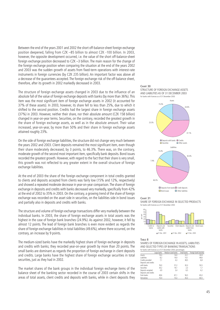Between the end of the years 2001 and 2002 the short off-balance-sheet foreign exchange position deepened, falling from CZK –85 billion to almost CZK -100 billion. In 2003, however, the opposite development occurred, i.e. the value of the short off-balance-sheet foreign exchange position decreased to CZK –3 billion. The main reason for the change of the foreign exchange position when comparing the situation at the end of the years 2002 and 2003 was the sudden growth of assets from fixed-term operations with interest-rate instruments in foreign currencies (by CZK 235 billion). An important factor was above all a decrease of the guarantees accepted. The foreign exchange risk of the off-balance sheet, therefore, after its growth in 2002 markedly decreased in 2003.

The structure of foreign exchange assets changed in 2003 due to the influence of an absolute fall of the value of foreign exchange deposits with banks (by more than 36%). This item was the most significant item of foreign exchange assets in 2002 (it accounted for 37% of these assets). In 2003, however, its share fell to less than 25%, due to which it shifted to the second position. Credits had the largest share in foreign exchange assets (37%) in 2003. However, neither their share, nor their absolute amount (CZK 158 billion) changed in year-on-year terms. Securities, on the contrary, recorded the greatest growth in the share of foreign exchange assets, as well as in the absolute amount. Their value increased, year-on-year, by more than 50% and their share in foreign exchange assets attained roughly 23%.

On the side of foreign exchange liabilities, the structure did not change very much between the years 2002 and 2003. Client deposits remained the most significant item, even though their share moderately decreased, by 3 points, to 46.3%. There was, on the contrary, moderate growth of the second most important item, specifically bank deposits. Bond issues recorded the greatest growth. However, with regard to the fact that their share is very small, this growth was not reflected to any greater extent in the overall structure of foreign exchange liabilities.

At the end of 2003 the share of the foreign exchange component in total credits granted to clients and deposits accepted from clients was fairly low (15% and 12%, respectively) and showed a repeated moderate decrease in year-on-year comparison.The share of foreign exchange in deposits and credits with banks decreased very markedly, specifically from 42% at the end of 2002 to 35% in 2003. On the contrary, a growing trend of the share of foreign exchange was recorded on the asset side in securities, on the liabilities side in bond issues and partially also in deposits and credits with banks.

The structure and volume of foreign exchange transactions differ very markedly between the individual banks. In 2003, the share of foreign exchange assets in total assets was the highest in the case of foreign bank branches (24.9%). As against 2002, however, it fell by almost 12 points. The lead of foreign bank branches is even more evident as regards the share of foreign exchange liabilities in total liabilities (49.6%), where there occurred, on the contrary, an increase by 9 points.

The medium-sized banks have the markedly highest share of foreign exchange in deposits and credits with banks; they recorded year-on-year growth by more than 20 points. The small banks are dominant as regards the proportion of foreign exchange in client deposits and credits. Large banks have the highest share of foreign exchange securities in total securities, just as they had in 2002.

The market shares of the bank groups in the individual foreign exchange items of the balance sheet of the banking sector recorded in the course of 2003 certain shifts in the areas of total assets, client credits and deposits with banks, while in client deposits they





**CHART 31** SHARE OF FOREIGN EXCHANGE IN SELECTED PRODUCTS for banks with licences as of 31 December 2003



**TABLE 8**

SHARES OF FOREIGN EXCHANGE IN ASSETS, LIABILITIES AND SELECTED TYPES OF BANKING TRANSACTIONS for banks with licences as of 31 December 2003; percentages

|                      | Large banks | Medium-sized banks | Small banks | Foreign bank branches |
|----------------------|-------------|--------------------|-------------|-----------------------|
| Assets               | 19,3        | 14,0               | 22,1        | 24,9                  |
| Liabilities          | 8,2         | 19,4               | 14,1        | 49,6                  |
| Credits provided     | 7.1         | 4,3                | 38,5        | 6,8                   |
| Deposits and credits |             |                    |             |                       |
| with banks           | 76,0        | 57,2               | 30,3        | 50,5                  |
| Securities           | 34,2        | 19,1               | 2,3         | 1,7                   |
| Deposits accepted    | 4.9         | 3.4                | 6,5         | 4,2                   |
| Deposits and credits |             |                    |             |                       |
| from banks           | 49,6        | 67,1               | 56,5        | 65,0                  |
| Derivatives          | 70,4        | 73,3               | 43,3        | 64,5                  |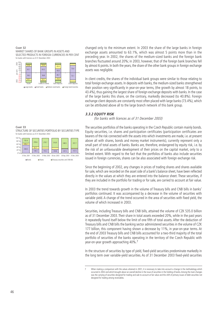**CHART 32** MARKET SHARES OF BANK GROUPS IN ASSETS AND SELECTED PRODUCTS IN FOREIGN CURRENCIES IN PER CENT for banks with licences as of 31 December 2003



changed only to the minimum extent. In 2003 the share of the large banks in foreign exchange assets amounted to 63.1%, which was almost 5 points more than in the preceding year. In 2002, the shares of the medium-sized banks and the foreign bank branches fluctuated around 20%; in 2003, however, that of the foreign bank branches fell by almost 6 points. In both the years, the share of the other bank groups in foreign exchange assets was negligible.

In client credits, the shares of the individual bank groups were similar to those relating to total foreign exchange assets. In deposits with banks, the medium-sized banks strengthened their position very significantly in year-on-year terms, (the growth by almost 18 points, to 43.4%), thus gaining the largest share of foreign exchange deposits with banks. In the case of the large banks this share, on the contrary, markedly decreased (to 40.8%). Foreign exchange client deposits are constantly most often placed with large banks (73.4%), which can be attributed above all to the large branch network of this bank group.

## **3.3.2 EQUITY RISK**

(for banks with licences as of 31 December 2003)

The securities portfolios of the banks operating in the Czech Republic contain mainly bonds. Equity securities, i.e. shares and participation certificates (participation certificates are bearers of the risk connected with the assets into which investments are made, i.e. at present above all with shares, bonds and money market instruments), currently represent only a small part of total assets of banks. Banks are, therefore, endangered by equity risk, i.e. by the risk of an unfavourable development of their prices on the capital market, only to a limited extent. With regard to the fact that the portfolios of banks also include securities issued in foreign currencies, shares can be also associated with foreign exchange risk.

Since the beginning of 2002, any changes in prices of trading shares and shares available for sale, which are recorded on the asset side of a bank's balance sheet, have been reflected directly in the values at which they are entered into the balance sheet. These securities, if they are included in the portfolio for trading or for sale, are carried to account at fair value.

In 2003 the trend towards growth in the volume of Treasury bills and CNB bills in banks' portfolios continued. It was accompanied by a decrease in the volume of securities with variable yield. A change of the trend occurred in the area of securities with fixed yield, the volume of which increased in 2003.

Securities, including Treasury bills and CNB bills, attained the volume of CZK 535.0 billion as of 31 December 2003. Their share in total assets exceeded 20%, while in the past years it repeatedly found itself below the limit of one fifth of total assets. After the deduction of Treasury bills and CNB bills the banking sector administered securities in the volume of CZK 177 billion, this component having shown a decrease by 11%, in year-on-year terms. At the end of 2003 Treasury bills and CNB bills accounted for a two-third majority of the total portfolio of securities of the banks operating in the territory of the Czech Republic with year-on-year growth approaching 40%.7

In the structure of securities by type of yield, fixed-yield securities predominate markedly in the long term over variable-yield securities. As of 31 December 2003 fixed-yield securities

#### **CHART 33** STRUCTURE OF SECURITIES PORTFOLIO BY SECURITIES TYPE for banks with licences as of 31 December 2003

| 100 % |                                                                         |  |              |  |                           |  |       |       |  |                           |  |
|-------|-------------------------------------------------------------------------|--|--------------|--|---------------------------|--|-------|-------|--|---------------------------|--|
| 80 %  | 150.4                                                                   |  | 259.6        |  | 279.7                     |  | 316.9 |       |  |                           |  |
| 60 %  | 65.2                                                                    |  |              |  |                           |  |       | 348.5 |  | 357.7                     |  |
| 40 %  |                                                                         |  | 62.7         |  |                           |  |       |       |  |                           |  |
| 20 %  | 258.5                                                                   |  | 136.5        |  | 142.2                     |  | 139.8 | 147.5 |  | 157.5                     |  |
| 0%    |                                                                         |  |              |  |                           |  |       |       |  |                           |  |
|       | 31 Dec. 2001                                                            |  | 31 Dec. 2002 |  | 31 Mar. 2003 30 Jun. 2003 |  |       |       |  | 30 Sep. 2003 31 Dec. 2003 |  |
|       | <b>□</b> Bonds<br>$\square$ Shares<br>Treasury securities and CNB bills |  |              |  |                           |  |       |       |  |                           |  |

When making a comparison with the values attained in 2001, it is necessary to take into account a change in the methodology which occurred in 2002 and which brought about an overall decline in the issue of securities in the holding of banks.Among the main changes was the carrying of securities designed for trading and sale to account at fair value and the shift of primary issues of debt securities not designed for trading among receivables.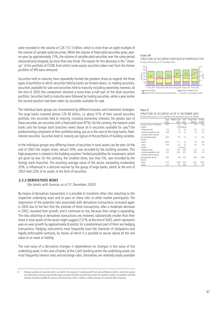were recorded in the volume of CZK 157.5 billion, which is more than an eight-multiple of the volume of variable-yield securities.While the volume of fixed-yield securities grew, yearon-year, by approximately 15%, the volume of variable-yield securities over the same period extraordinarily dropped, by more than two thirds. The reason for this decrease is the "cleanup" of the portfolio of ČSOB, from which some equity securities taken over from the former portfolio of IPB were removed.

Securities held to maturity have repeatedly formed the greatest share as regards the three types of portfolios in which securities held by banks are broken down, i.e. trading securities, securities available for sale and securities held to maturity including ownership interests.At the end of 2003 this component attained a-more-than-a-half part of the total securities portfolio. Securities held to maturity were followed by trading securities, while a year earlier the second position had been taken by securities available for sale.

The individual bank groups are characterised by different business and investment strategies. The large banks invested almost CZK 85 billion, i.e. about 57% of their overall securities portfolio, into securities held to maturity, including ownership interests; the greater part of these securities are securities with a fixed yield (over 87%). On the contrary, the medium-sized banks and the foreign bank branches invest above all in securities available for sale.<sup>8</sup> the predominating component of their portfolios being, just as in the case of the large banks, fixedinterest securities. Securities held to maturity are typical of the portfolios of building societies.

In the individual groups very differing shares of securities in total assets can be seen.At the end of 2003 the largest share, almost 50%, was recorded by the building societies. This high proportion is related to the building societies' limited possibilities for investment, which are given by law. On the contrary, the smallest share, less than 5%, was recorded by the foreign bank branches. The resulting average value of the sector, exceeding moderately 20%, is influenced in a decisive manner by the group of large banks, which at the end of 2003 held 22% of its assets in the form of securities.

#### **3.3.3 DERIVATIVES RISKS**

(for banks with licences as of 31 December 2003)

By means of derivatives transactions it is possible to transform other risks attaching to the respective underlying asset and to pass on these risks to other market participants. The importance of the potential risks associated with derivatives transactions increased again in 2003 due to the fact that the volumes of these transactions, after a moderate decrease in 2002, resumed their growth, and it continues to rise, because their range is expanding. The risks attaching to derivatives transactions are, however, substantially smaller than their share in total assets of the sector might suggest (131% at the end of 2003, which represents year-on-year growth by approximately 8 points), for a predominant part of them are hedging transactions. Hedging instruments most frequently have the character of obligations and legally enforceable contracts, by means of which it is possible to secure above all the real value of an asset or liability.

The real value of a derivative changes in dependence on changes in the value of the underlying asset; in the case of banks of the Czech banking sector the underlying assets are most frequently interest rates and exchange rates. Derivatives are relatively easily available

#### **CHART 34**

STRUCTURE OF SECURITIES PORTFOLIO BY PORTFOLIO TYPE for banks with licences as of 31 December 2003



#### **TABLE 9**

|  |  | STRUCTURE OF SECURITIES AS OF 31 DECEMBER 2003                                   |  |  |  |  |
|--|--|----------------------------------------------------------------------------------|--|--|--|--|
|  |  | for banks with licences as of 31 December 2003; excluding Treasury and CNB bills |  |  |  |  |

|                                    | Large | Medium-sized | Small           | Foriegn bank | Building  |
|------------------------------------|-------|--------------|-----------------|--------------|-----------|
|                                    | banks | banks        | banks           | branches     | societies |
| Securities, total, in CZK billions | 149.5 | 12.2         | 0.6             | 0.4          | 14.6      |
| of which:                          |       |              | in CZK billions |              |           |
| trading securities                 | 21.2  | 3.7          | 0.2             | 0.0          | 0.2       |
| securities available for sale      | 43.8  | 7.9          | 0.2             | 0.3          | 0.0       |
| securities held to maturity        |       |              |                 |              |           |
| and ownership interests            | 84.5  | 0.6          | 0.1             | 0.1          | 14.4      |
| of which:                          |       |              |                 |              |           |
| bonds                              | 130.5 | 11.7         | 0.3             | 0.4          | 14.6      |
| shares                             | 19.0  | 0.5          | 0.3             | 0.0          | 0.0       |
| of which:                          |       |              | in per cent     |              |           |
| trading securities                 | 14.2  | 30.7         | 39.0            | 0.0          | 1.6       |
| securities available for sale      | 29.3  | 64.5         | 38.7            | 79.4         | 0.0       |
| securities held to maturity        |       |              |                 |              |           |
| and ownership interests            | 56.5  | 4.8          | 22.4            | 20.6         | 98.4      |
| of which:                          |       |              |                 |              |           |
| bonds                              | 87.3  | 95.8         | 45.4            | 99.3         | 100.0     |
| shares                             | 12.7  | 4.2          | 54.6            | 0.7          | 0.0       |
|                                    |       |              |                 |              |           |

Trading securities are securities which are held for the purpose of attaining profit from price differences within a short-term period. Securities held to maturity may be both equity securities and debt securities that a bank has resolved to keep in its portfolio until their maturity. Securities available for sale are a financial asset, which is neither a trading security, nor a security held to maturity.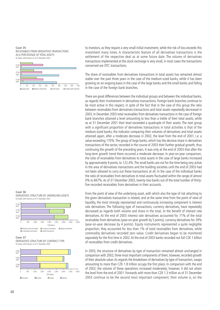**CHART 35** RECEIVABLES FROM DERIVATIVES TRANSACTIONS AS A PERCENTAGE OF TOTAL ASSETS for banks with licences as of 31 December 2003



to investors, as they require a very small initial investment, while the risk of loss exceeds this investment many times. A characteristic feature of all derivatives transactions is the settlement of the respective deal as at some future date. The volume of derivatives transactions implemented at the stock exchange is very small, in most cases the transactions concerned are OTC transactions.

The share of receivables from derivatives transactions in total assets has remained almost stable over the past three years in the case of the medium-sized banks, while it has been growing on an ongoing basis in the case of the large banks and the small banks and falling in the case of the foreign bank branches.

There are great differences between the individual groups and between the individual banks, as regards their involvement in derivatives transactions. Foreign bank branches continue to be most active in this respect, in spite of the fact that in the case of this group the ratio between receivables from derivatives transactions and total assets repeatedly decreased in 2003. In December 2003 total receivables from derivatives transactions in the case of foreign bank branches attained a level amounting to less than a treble of their total assets, while as at 31 December 2001 their level exceeded a quadruple of their assets. The next group with a significant proportion of derivatives transactions in total activities is that of the medium-sized banks; the indicator comparing their volumes of derivatives and total assets attained again, after a moderate decrease in 2002, the level from the end of 2001, i.e. a value exceeding 170%.The group of large banks, which has the decisive share in derivatives transactions of the sector, recorded in the course of 2003 their further gradual growth, thus continuing the growth of the preceding years. It was only at the end of 2003 that after the long-term growth trend there occurred a moderate decrease. In year-on-year comparison, the ratio of receivables from derivatives to total assets in the case of large banks increased by approximately 9 points, to 122.4%.The small banks are not for the time being very active in the area of derivatives transactions and the building societies until the end of 2003 had not been allowed to carry out these transactions at all. In the case of the individual banks the ratio of receivables from derivatives to total assets fluctuated within the range of almost 0% to 667%.As of 31 December 2003, twenty-two banks out of the total number of thirtyfive recorded receivables from derivatives in their accounts.

From the point of view of the underlying asset, with which also the type of risk attaching to the given derivatives transaction is related, and at the same time from the point of view of liquidity, the most strongly represented and continuously increasing component is interest rate derivatives. The following type of transactions, currency derivatives, have repeatedly decreased as regards both volume and share in the total, to the benefit of interest rate derivatives. At the end of 2003 interest rate derivatives accounted for 71% of the total receivables from derivatives (year-on-year growth by 5 points), currency derivatives for 29% (year-on-year decrease by 4 points). Equity instruments represented a quite negligible proportion; they accounted for less than 1% of total receivables from derivatives, while commodity derivatives recorded zero value. Credit derivatives began to be monitored separately for the first time in 2002. At the end of 2003 banks recorded not full CZK 1 billion of receivables from credit derivatives.

In 2003, the structure of derivatives by type of transaction remained almost unchanged in comparison with 2002; three most important components of them, however, recorded growth of their absolute value.As regards the breakdown of derivatives by type of transaction, swaps amounting to more than CZK 1.8 trillion occupy the first place. In comparison with the end of 2002, the volume of these operations increased moderately; however, it did not attain the level from the end of 2001. Forwards with more than CZK 1.3 trillion as of 31 December 2003 continue to be the second most important component; their volume is, on the

**CHART 36** DERIVATIVES STRUCTURE BY UNDERLYING ASSETS for banks with licences as of 31 December 2003



**CHART 37**

DERIVATIVES STRUCTURE BY CONTRACT TYPE for banks with licences as of 31 December 2003

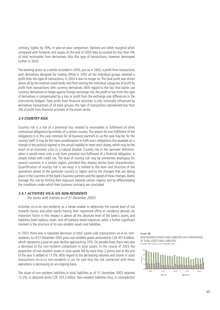contrary, higher, by 18%, in year-on-year comparison. Options are rather marginal when compared with forwards and swaps. At the end of 2003 they accounted for less than 4% of total receivables from derivatives. Also this type of transactions, however, developed further in 2003.

The banking sector as a whole recorded in 2003, just as in 2002, a profit from transactions with derivatives designed for trading. While in 2002 all the individual groups attained a profit from this type of transactions, in 2003 it was no longer so. The total profit was driven above all by the medium-sized banks and from among the individual categories of profit by profit from transactions with currency derivatives. With regard to the fact that banks use currency derivatives to hedge against foreign exchange risk, the profit or loss from this type of derivatives is compensated by a loss or profit from the exchange rate differences in the instruments hedged. Total profit from financial activities is only minimally influenced by derivatives transactions of all bank groups; this type of transactions represented less than 3% of profit from financial activities of the entire sector.

## **3.4 COUNTRY RISK**

Country risk is a risk of a potential loss related to receivables or fulfilment of other contractual obligations by entities of a certain country. The reason for non-fulfilment of the obligations is in this case common for all business partners or, as the case may be, for the country itself. It may be the mere unwillingness to fulfil one's obligations (for example on a change of the political regime) or the actual inability to meet one's duties, which may be the result of an economic crisis or a natural disaster. Country risk in the narrower definition, when it would mean only a risk from potential non-fulfilment of a financial obligation, is closely linked with credit risk. The level of country risk may be sometimes analogous for several countries in a certain region, provided they display similar basic characteristics. Quantification of country risk is not easy; it is related to the level and structure of the operations aimed at the particular country or region and to the changes that are taking place in the countries of the bank's business partners and the speed of these changes. Banks manage this risk by limiting their exposure towards certain regions and by differentiating the conditions under which their business contracts are concluded.

## **3.4.1 ACTIVITIES VIS-À-VIS NON-RESIDENTS**

(for banks with licenses as of 31 December 2003)

Activities vis-à-vis non-residents as a whole enable to determine the overall level of risk towards clients and other banks having their registered office or residence abroad. An important factor in this respect is above all the absolute level of the bank's assets and liabilities (both balance sheet, and off-balance sheet) exposure, while a further significant moment is the structure of its non-resident assets and liabilities.

In 2003 there was a repeated decrease in total assets-side transactions vis-à-vis nonresidents.As of 31 December 2003 gross non-resident assets amounted to CZK 457.6 billion, which represents a year-on-year decline approaching 10%. On parallel lines, there was also a decrease of the non-resident component in total assets. In the course of 2003 the proportion of non-resident assets in total assets fell by more than 2 points and at the end of the year it settled at 17.5%. With regard to the decreasing volumes and shares in asset transactions vis-à-vis non-residents it can be said that the risk connected with these operations is decreasing on an ongoing basis.

The share of non-resident liabilities in total liabilities as of 31 December 2003 attained 13.2%, in absolute terms CZK 333.2 billion. Non-resident liabilities thus, in contradiction

**CHART 38** NON-RESIDENT ASSETS AND LIABILITIES AS A PERCENTAGE OF TOTAL ASSETS AND LIABILITIES for banks with licences as of 31 December 2003

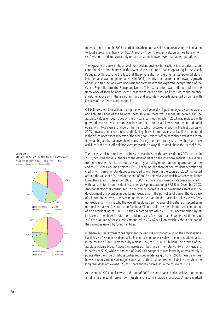to asset transactions, in 2003 recorded growth in both absolute and relative terms in relation to total assets, specifically by 10.3% and by 1 point, respectively. Liabilities transactions vis-à-vis non-residents constantly remain on a much lower level than asset operations.

The exposure of banks in the area of non-resident business transactions is to a certain extent conditional on the changes in the ownership structure of banks operating in the Czech Republic. With regard to the fact that the privatisation of the original state-owned stakes in large banks was completed already in 2001, the only other factor acting towards growth of banking transactions with non-resident partners was the expected incorporation of the Czech Republic into the European Union. This expectation was reflected within the framework of their balance-sheet transactions only on the liabilities side of the balance sheet, i.e. above all in the area of primary and secondary deposits accepted by banks with licences of the Czech National Bank.

Off-balance sheet transactions during the two past years developed analogously on the assets and liabilities sides of the balance sheet. In 2002 there was a moderate decrease in the absolute values on both sides of the off-balance sheet, which in 2003 was replaced with growth driven by derivatives transactions (on the contrary, a fall was recorded in traditional operations). Not even a change of the trend, which occurred already in the first quarter of 2003, however, sufficed to reverse the falling shares in total assets, or liabilities, monitored in the off-balance-sheet. In terms of the order, non-resident off-balance sheet activities are ten times as big as the balance-sheet items. During the past three years, the share of these activities in the total off-balance sheet transaction always fluctuated above the level of 60%.

The decrease of non-resident business transactions on the asset side in 2003, just as in 2002, occurred above all thanks to the development on the interbank market. Receivables from non-resident banks recorded a year-on-year fall by more than one quarter and at the end of 2003 their volume attained CZK 171.9 billion.The share of non-resident deposits and credits with banks in total deposits and credits with banks in the course of 2003 fluctuated around the value of 60% and at the end of 2003 attained a value which was only negligibly lower than as of 31 December 2002. In 2003 the share of non-resident deposits and credits with banks in total non-resident assets fell by 8 points, attaining 37.6% in December 2003. Another factor that contributed to the overall decrease of non-resident assets was the development of securities issued by non-residents in the portfolios of banks. The decrease of this component was, however, more moderate than the decrease of total assets vis-à-vis non-residents, which is why the overall result was an increase of the share of securities in non-resident assets (by more than 2 points). Client credits are the third decisive component of non-resident assets. In 2003 they recorded growth by 16.5%, accompanied by an increase of the share in total non-resident assets (by more than 3 points). At the end of 2003 the volume of these credits amounted to CZK 67.9 billion, which is about one half of the securities issued by foreign entities.

Interbank business transactions represent the decisive component also on the liabilities side. Liabilities vis-à-vis non-resident banks, in contradiction to receivables from non-resident banks, in the course of 2003 increased (by almost 18%, to CZK 169.8 billion). The growth of the absolute volume brought about an increase of the share in the total vis-à-vis non-residents in excess of 50%, while at the end of 2002 this component was lower by approximately 3 points. Also the issue of debt securities recorded moderate growth in 2003; these securities, however, represent only an insignificant share of the total non-resident liabilities, which in the long term does not exceed 5%; this share slightly decreased in the course of 2003.

At the end of 2003 and likewise at the end of 2002 the large banks had a decisive, more than a half, share in total non-resident assets and also in individual products. A more marked

#### **CHART 39** STRUCTURE OF ASSETS AND LIABILITIES VIS-À-VIS NON-RESIDENTS AS OF 31 DECEMBER 2003 for banks with licences as of 31 December 2003

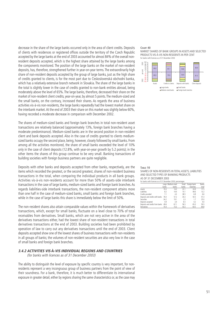decrease in the share of the large banks occurred only in the area of client credits. Deposits of clients with residences or registered offices outside the territory of the Czech Republic accepted by the large banks at the end of 2003 accounted for almost 84% of the overall nonresident deposits accepted, which is the highest share attained by the large banks among the components monitored. The position of the large banks on the market of non-resident deposits, has, therefore, strengthened further in year-on-year terms. The extraordinarily high share of non-resident deposits accepted by the group of large banks, just as the high share of credits granted to clients, is for the most part due to Československá obchodní banka, which has a relatively extensive branch network in Slovakia. The share of the large banks in the total is slightly lower in the case of credits granted to non-bank entities abroad, being moderately above the level of 65%. The large banks, therefore, decreased their share on the market of non-resident client credits, year-on-year, by almost 5 points.The medium-sized and the small banks, on the contrary, increased their shares. As regards the area of business activities vis-à-vis non-residents, the large banks repeatedly had the lowest market share on the interbank market.At the end of 2003 their share on this market was slightly below 60%, having recorded a moderate decrease in comparison with December 2002.

The shares of medium-sized banks and foreign bank branches in total non-resident asset transactions are relatively balanced (approximately 13%, foreign bank branches having a moderate predominance). Medium-sized banks are in the second position in non-resident client and bank deposits accepted. Also in the case of credits granted to clients mediumsized banks occupy the second place, being, however, closely followed by small banks. From among all the activities monitored, the share of small banks exceeded the level of 10% only in the case of client deposits (12.8%, with year-on-year growth by 5.2 points); in the other items the shares of this group continue to be very small. Banking transactions of building societies with foreign business partners are quite negligible.

Deposits with other banks and deposits accepted from other banks, respectively, are the items which recorded the greatest, or the second greatest, shares of non-resident business transactions in the total, when comparing the individual products in all bank groups. Activities vis-à-vis non-residents account for more than 50% of assets-side interbank transactions in the case of large banks, medium-sized banks and foreign bank branches.As regards liabilities-side interbank transactions, the non-resident component attains more than one half in the case of medium-sized banks, small banks and foreign bank branches, while in the case of large banks this share is immediately below the limit of 50%.

The non-resident shares also attain comparable values within the framework of derivatives transactions, which, except for small banks, fluctuate on a level close to 70% of total receivables from derivatives. Small banks, which are not very active in the area of the derivatives transactions either, had the lowest share of non-resident transactions in total derivatives transactions at the end of 2003. Building societies had been prohibited by operation of law to carry out any derivatives transactions until the end of 2003. Client deposits accepted show one of the lowest shares of business transactions with non-residents in all groups of banks; the volumes of non-resident securities are also very low in the case of small banks and foreign bank branches.

## **3.4.2 ACTIVITIES VIS-À-VIS INDIVIDUAL REGIONS AND COUNTRIES**

(for banks with licences as of 31 December 2003)

The ability to distinguish the level of exposure by specific country is very important, for nonresidents represent a very incongruous group of business partners from the point of view of their soundness. For a bank, therefore, it is much better to differentiate its international exposure in greater detail, either by regions sharing the same characteristics or, as the case may

#### **CHART 40**

MARKET SHARES OF BANK GROUPS IN ASSETS AND SELECTED PRODUCTS VIS-<sup>À</sup>-VIS NON-RESIDENTS IN PER CENT for banks with licences as of 31 December 2003



#### **TABLE 10**

SHARES OF NON-RESIDENTS IN TOTAL ASSETS, LIABILITIES AND SELECTED TYPES OF BANKING PRODUCTS AS OF 31 DECEMBER 2003 for banks with licences as of 31 December 2003; percentages

|                                 |       | Large Medium-sized | Small | Foreign bank | Banks |
|---------------------------------|-------|--------------------|-------|--------------|-------|
|                                 | banks | banks              | banks | branches     | total |
| Assets                          | 19.3  | 14.0               | 22.1  | 24.9         | 17.5  |
| Liabilities                     | 8.2   | 19.4               | 14.1  | 49.6         | 13.2  |
| Credits provided                | 7.1   | 4.3                | 38.5  | 6.8          | 6.6   |
| Deposits and credits with banks | 76.0  | 57.2               | 30.3  | 50.5         | 57.3  |
| Securities                      | 34.2  | 19.1               | 2.3   | 1.7          | 25.0  |
| Deposits accepted               | 4.9   | 3.4                | 6.5   | 4.2          | 4.0   |
| Deposits and credits from banks | 49.6  | 67.1               | 56.5  | 65.0         | 59.5  |
| Derivatives                     | 70.4  | 73.3               | 43.3  | 64.5         | 69.8  |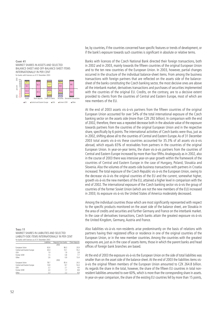# **CHART 41**

MARKET SHARES IN ASSETS AND SELECTED BALANCE-SHEET AND OFF-BALANCE-SHEET ITEMS INTERNATIONALLY IN PER CENT



be, by countries, if the countries concerned have specific features or trends of development, or if the bank's exposure towards such countries is significant in absolute or relative terms.

Banks with licences of the Czech National Bank directed their foreign transactions, both in 2002 and in 2003, mainly towards the fifteen countries of the original European Union and to the ten new countries of the European Union. In 2003, however, partial changes occurred in the structure of the individual balance-sheet items. From among the business transactions with foreign partners that are reflected on the assets side of the balancesheet of the banks constituting the Czech banking sector, the most decisive ones are above all the interbank market, derivatives transactions and purchases of securities implemented with the countries of the original EU. Credits, on the contrary, are to a decisive extent provided to clients from the countries of Central and Eastern Europe, most of which are new members of the EU.

At the end of 2003 assets vis-à-vis partners from the fifteen countries of the original European Union accounted for over 54% of the total international exposure of the Czech banking sector on the assets side (more than CZK 292 billion). In comparison with the end of 2002, therefore, there was a repeated decrease both in the absolute value of the exposure towards partners from the countries of the original European Union and in the respective share, specifically by 6 points. The international activities of Czech banks were thus, just as in 2002, shifting above all to the countries of Central and Eastern Europe.As of 31 December 2003 total assets vis-à-vis these countries accounted for 35.3% of all assets vis-à-vis abroad, which equals 65% of receivables from partners in the countries of the original European Union. In year-on-year terms, the share vis-à-vis partners from the countries of Central and Eastern Europe increased by more than four fifths.Analogously as in 2002, also in the course of 2003 there was intensive year-on-year growth within the framework of the countries of Central and Eastern Europe in the case of Hungary, Poland, Slovakia and Slovenia.Also the volumes of the assets-side business transactions with partners in Croatia increased.The total exposure of the Czech Republic vis-à-vis the European Union, owing to the decrease vis-à-vis the original countries of the EU and the current, somewhat higher, growth vis-à-vis the new members of the EU, attained a higher level in comparison with the end of 2002. The international exposure of the Czech banking sector vis-à-vis the group of countries of the former Soviet Union (which are not the new members of the EU) increased in 2003; its exposure vis-à-vis the United States of America moderately decreased.

Among the individual countries those which are most significantly represented with respect to the specific products monitored on the asset side of the balance sheet, are Slovakia in the area of credits and securities and further Germany and France on the interbank market. In the case of derivatives transactions, Czech banks attain the greatest exposure vis-à-vis the United Kingdom, Germany, Austria and France.

Also liabilities vis-à-vis non-residents arise predominantly on the basis of relations with partners having their registered office or residence in one of the original countries of the European Union, or in the new member countries. Among the countries with the greatest exposures are, just as in the case of assets items, those in which the parent banks and head offices of foreign bank branches are based.

At the end of 2003 the exposure vis-à-vis the European Union on the side of total liabilities was smaller than on the asset side of the balance sheet. At the end of 2003 the liabilities items visà-vis the original fifteen members of the European Union amounted to CZK 264.8 billion. As regards the share in the total, however, the share of the fifteen EU countries in total nonresident liabilities amounted to over 60%, which is more than the corresponding share in assets. In year-on-year comparison, the share of the existing EU countries fell by more than 15 points,

| TABLE 11                                         |
|--------------------------------------------------|
| MARKET SHARES IN LIABILITIES AND SELECTED        |
| LIABILITY-SIDE ITEMS INTERNATIONALLY IN PER CENT |
| for banks with licences as of 31 December 2003   |

|                            | Liabilities | Deposits from banks    Client deposits |      |
|----------------------------|-------------|----------------------------------------|------|
|                            |             | 2003                                   |      |
| European Union             | 63.6        | 86.3                                   | 20.9 |
| Central and Eastern Europe | 30.4        | 10.1                                   | 55.2 |
| <b>USA</b>                 | 1.9         | 1.9                                    | 2.8  |
| Former USSR                | 1.5         | 0.8                                    | 7.7  |
| Other                      | 2.6         | 0.9                                    | 13.4 |
|                            |             | 2002                                   |      |
| European Union             | 78.7        | 85.4                                   | 24.3 |
| Central and Eastern Europe | 14.8        | 8.7                                    | 53.4 |
| <b>USA</b>                 | 2.2         | 2.1                                    | 4.6  |
| Former USSR                | 2.0         | 1.7                                    | 8.8  |
| Other                      | 2.3         | 2.2                                    | 8.9  |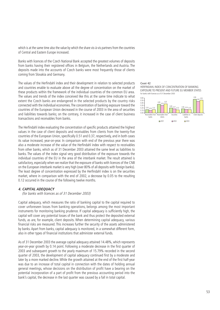which is at the same time also the value by which the share vis-à-vis partners from the countries of Central and Eastern Europe increased.

Banks with licences of the Czech National Bank accepted the greatest volumes of deposits from banks having their registered offices in Belgium, the Netherlands and Austria. The deposits made into the accounts of Czech banks were most frequently those of clients coming from Slovakia and Germany.

The values of the Herfindahl index and their development in relation to selected products and countries enable to evaluate above all the degree of concentration on the market of these products within the framework of the individual countries of the common EU area. The values and trends of the index conceived like this at the same time indicate to what extent the Czech banks are endangered in the selected products by the country risks connected with the individual economies.The concentration of banking exposure toward the countries of the European Union decreased in the course of 2003 in the area of securities and liabilities towards banks; on the contrary, it increased in the case of client business transactions and receivables from banks.

The Herfindahl index evaluating the concentration of specific products attained the highest values in the case of client deposits and receivables from clients from the twenty-five countries of the European Union, specifically 0.51 and 0.37, respectively, and in both cases its value increased, year-on-year. In comparison with end of the previous year there was also a moderate increase of the value of the Herfindahl index with respect to receivables from other banks, which as of 31 December 2003 attained the same level as liabilities to banks. The values of the index signal very good distribution of the exposure towards the individual countries of the EU in the area of the interbank market. The result attained is satisfactory, especially when we realize that the exposure of banks with licences of the CNB on the European interbank market is very high (over 80% of all deposits with foreign banks). The least degree of concentration expressed by the Herfindahl index is on the securities market, where in comparison with the end of 2002, a decrease by 0.05 to the resulting 0.12 occurred in the course of the following twelve months.

## **4. CAPITAL ADEQUACY**

(for banks with licences as of 31 December 2003)

Capital adequacy, which measures the ratio of banking capital to the capital required to cover unforeseen losses from banking operations, belongs among the most important instruments for monitoring banking prudence. If capital adequacy is sufficiently high, the capital will cover any potential losses of the bank and thus protect the deposited external funds, as are, for example, client deposits. When determining capital adequacy, various financial risks are measured. This increases further the security of the assets administered by banks. Apart from banks, capital adequacy is monitored, in a somewhat different form, also in other types of financial institutions that administer external funds.

As of 31 December 2003 the average capital adequacy attained 14.48%, which represents year-on-year growth by 0.14 point. Following a moderate decrease in the first quarter of 2003 and subsequent growth to the yearly maximum of 15.79% recorded in the second quarter of 2003, the development of capital adequacy continued first by a moderate and later by a more marked decline. While the growth attained at the end of the first half-year was due to an increase of total capital in connection with the dates of holding annual general meetings, whose decisions on the distribution of profit have a bearing on the potential incorporation of a part of profit from the previous accounting period into the bank's capital, the decrease in the last quarter was caused by a fall in total capital.

#### **CHART 42** HERFINDAHL INDEX OF CONCENTRATION OF BANKING EXPOSURE TO PRESENT AND FUTURE EU MEMBER STATES for banks with licences as of 31 December 2003

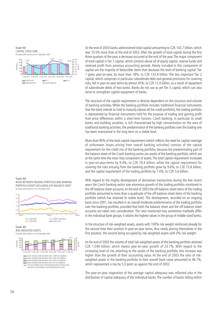**CHART 43** CAPITAL STRUCTURE for banks with licences as of 31 December 2003



At the end of 2003 banks administered total capital amounting to CZK 143.7 billion, which was 10.5% more than at the end of 2002. After the growth of total capital during the first three quarters of the year, a decrease occurred at the end of the year.The major component of total capital is Tier 1 capital, which consists above all of equity capital, reserve funds and retained profit from previous accounting periods. Newly included in this component of capital are the majority of deductible items that decrease the level of banking capital. Tier 1 grew, year-on-year, by more than 18%, to CZK 133.9 billion. The less important Tier 2 capital, which comprises in particular subordinate debt and general provisions for covering risks, fell in year-on-year terms by almost 45%, to CZK 12.0 billion, as a result of repayment of subordinate debts of two banks. Banks do not use as yet Tier 3 capital, which can also serve to strengthen capital equipment of banks.

The structure of the capital requirement is directly dependent on the structure and volume of banking activities. While the banking portfolio includes traditional financial instruments that the bank intends to hold to maturity (above all the credit portfolio), the trading portfolio is represented by financial instruments held for the purpose of trading and gaining profit from price differences within a short-term horizon. Czech banking, in particular its small banks and building societies, is still characterised by high concentration on the area of traditional banking activities; the predominance of the banking portfolio over the trading one has been maintained in the long term on a stable level.

More than 90% of the total capital requirement (which reflects the need for capital coverage of unforeseen losses arising from overall banking activities) consists of the capital requirement for the credit risk of the banking portfolio, because the predominating part of the balance sheet of the Czech banking sector are assets of the banking portfolio, which are at the same time the most risky component of assets.The total capital requirement increased in year-on-year-terms by 9.4%, to CZK 79.4 billion, while the capital requirement for covering the risks ensuing from the banking portfolio grew by 9.6%, to CZK 73.8 billion, and the capital requirement of the trading portfolio by 7.4%, to CZK 5.6 billion.

With regard to the mighty development of derivatives transactions during the few recent years the Czech banking sector saw enormous growth of the trading portfolio monitored in the off-balance sheet accounts.At the end of 2003 the off-balance-sheet items of the trading portfolio amounted to more than a quadruple of the off-balance-sheet items of the banking portfolio (which has retained its stable level). This development, recorded on an ongoing basis since 2001, has resulted in an overall moderate predominance of the trading portfolio over the banking portfolio, provided that both the balance sheet and the off-balance sheet accounts are taken into consideration. The ratio monitored may sometimes markedly differ in the individual bank groups; it attains the highest values in the group of middle-sized banks.

In the structure of risk-weighted assets, assets with 100% risk weight reinforced already for the second time their position in year-on-year terms, thus newly placing themselves in the first position, the second being occupied by risk-weighted assets with 0% risk weight.

At the end of 2003 the volume of total risk-weighted assets of the banking portfolio attained CZK 1,040 billion, which means year-on-year growth of 23.7%. With regard to the increasing level of risk attaching to the assets of the banking portfolio, this increase was higher than the growth of their accounting value. At the end of 2003 the ratio of riskweighted assets in the banking portfolio to their overall book value amounted to 46.7%, which represented a rise by 5.0 point as against the end of 2002.

The year-on-year stagnation of the average capital adequacy was reflected also in the distribution of capital adequacy of the individual banks. The number of banks falling within

**CHART 44** RATIO BETWEEN TRADING PORTFOLIO AND BANKING PORTFOLIO ASSETS INCLUDING OFF-BALANCE SHEET for banks with licences as of 31 December 2003



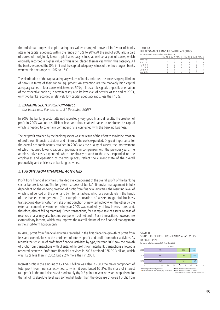the individual ranges of capital adequacy values changed above all in favour of banks attaining capital adequacy within the range of 15% to 20%.At the end of 2003 also a part of banks with originally lower capital adequacy values, as well as a part of banks, which originally recorded a higher value of this ratio, placed themselves within this category. All the banks exceeded the 8% limit and the capital adequacy values of the three largest banks were within the range of 10% to 16%.

The distribution of the capital adequacy values of banks indicates the increasing equilibrium of banks in terms of their capital equipment. An exception are the markedly high capital adequacy values of four banks which exceed 50%; this as a rule signals a specific orientation of the respective bank or, in certain cases, also its low level of activity. At the end of 2003, only two banks recorded a relatively low capital adequacy ratio, less than 10%.

#### **5. BANKING SECTOR PERFORMANCE**

(for banks with licences as of 31 December 2003)

In 2003 the banking sector attained repeatedly very good financial results. The creation of profit in 2003 was on a sufficient level and thus enabled banks to reinforce the capital which is needed to cover any contingent risks connected with the banking business.

The net profit attained by the banking sector was the result of the effort to maximise creation of profit from financial activities and minimise the costs expended. Of great importance for the overall economic results attained in 2003 was the quality of assets, the improvement of which required lower creation of provisions in comparison with the previous years. The administrative costs expended, which are closely related to the costs expended on the employees and operation of the workplaces, reflect the current state of the overall productivity and efficiency of banking activities.

## **5.1 PROFIT FROM FINANCIAL ACTIVITIES**

Profit from financial activities is the decisive component of the overall profit of the banking sector before taxation. The long-term success of banks' financial management is fully dependent on the ongoing creation of profit from financial activities, the resulting level of which is influenced on the one hand by internal factors, which are completely in the hands of the banks' managements (for example allocation of assets to gainful business transactions, diversification of risks or introduction of new technology), on the other by the external economic environment (the year 2003 was marked by of low interest rates and, therefore, also of falling margins). Other transactions, for example sale of assets, release of reserves, et alia, may also become components of net profit. Such transactions, however, are extraordinary income, which may improve the overall picture of the financial management in the short-term horizon only.

In 2003, profit from financial activities recorded in the first place the growth of profit from fees and commissions to the detriment of interest profit and profit from other activities. As regards the structure of profit from financial activities by type, the year 2003 saw the growth of profit from transactions with clients, while profit from interbank transactions showed a repeated decrease. Profit from financial activities in 2003 attained CZK 90.3 billion, which was 1.2% less than in 2002, but 2.2% more than in 2001.

Interest profit in the amount of CZK 54.3 billion was also in 2003 the major component of total profit from financial activities, to which it contributed 60.2%. The share of interest rate profit in the total decreased moderately (by 0.2 point) in year-on-year comparison, for the fall of its absolute level was somewhat faster than the decrease of overall profit from

**TABLE 12** BREAKDOWN OF BANKS BY CAPITAL ADEQUACY for banks with licences as of 31 December 2003

|            |  |  | 31 Dec. 98 31 Dec. 99 31 Dec. 00 31 Dec. 01 31 Dec. 02 31 Dec. 03 |  |
|------------|--|--|-------------------------------------------------------------------|--|
| under 8 %  |  |  |                                                                   |  |
| 8 to 12 %  |  |  |                                                                   |  |
| 12 to 15 % |  |  |                                                                   |  |
| 15 to 20 % |  |  |                                                                   |  |
| 20 to 50 % |  |  |                                                                   |  |
| over 50 %  |  |  |                                                                   |  |

STRUCTURE OF PROFIT FROM FINANCIAL ACTIVITIES BY PROFIT TYPE for banks with licences as of 31 December 2003

**CHART 46**

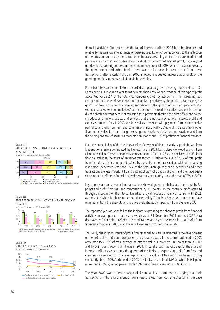financial activities. The reason for the fall of interest profit in 2003 both in absolute and relative terms was low interest rates on banking credits, which corresponded to the reflection of the rates announced by the central bank in rates prevailing on the interbank market and partly also in client interest rates.The individual components of interest profit, however, did not develop according to the same scenario in the course of 2003.While in relation towards the government and other banks there was a decrease, interest profit from client transactions, after a certain drop in 2002, showed a repeated increase as a result of the growing credit issue above all vis-à-vis households.

Profit from fees and commissions recorded a repeated growth, having increased as at 31 December 2003 in year-on-year terms by more than 12%. Annual creation of this type of profit accounted for 29.2% of the total (year-on-year growth by 3.5 points). The increasing fees charged to the clients of banks were not perceived positively by the public. Nevertheless, the growth of fees is to a considerable extent related to the growth of non-cash payments (for example salaries sent to employees' current accounts instead of salaries paid out in cash or direct debitting current accounts replacing thus payments through the post office) and to the introduction of new products and services that are not connected with interest profit and expenses, but with fees. In 2003 fees for services connected with payments formed the decisive part of total profit from fees and commissions, specifically 66%. Profits derived from other financial activities, i.e. from foreign exchange transactions, derivatives transactions and from the holding and sale of securities accounted only for about 11% of profit from financial activities.

From the point of view of the breakdown of profit by type of financial activity, profit derived from fees and commissions contributed the highest share in 2003, being closely followed by profit from client transactions.These components represent about 29% and 25%, respectively, of profit from financial activities. The share of securities transactions is below the level of 20% of total profit from financial activities and profit gained by banks from their transactions with other banking institutions generated less than 15% of the total. Foreign exchange, derivative and other transactions are less important from the point of view of creation of profit and their aggregate share in total profit from financial activities was only moderately above the level of 7% in 2003.

In year-on-year comparison, client transactions showed growth of their share in the total by 6.1 points and profit from fees and commissions by 3.5 points. On the contrary, profit attained through transactions on the interbank market fell by almost one third in comparison with 2002, as a result of which its share in the total decreased by 7.4 points. Securities transactions have retained, in both the absolute and relative evaluations, their position from the year 2002.

The repeated year-on-year fall of the indicator expressing the share of profit from financial activities in average net total assets, which as at 31 December 2003 attained 3.62% (a decrease by 0.09 point), reflects the moderate year-on-year decrease in total profit from financial activities in 2003 and the simultaneous growth of total assets.

The slowly changing structure of profit from financial activities is reflected in the development of the ratios of its individual components to average assets. Interest profit attained in 2003 amounted to 2.18% of total average assets; this value is lower by 0.06 point than in 2002 and by 0.21 point lower than it was in 2001. In parallel with the decrease of the share of interest profit in assets occurs the growth of the indicator expressing profit from fees and commissions related to total average assets. The value of this ratio has been growing constantly since 1999. At the end of 2003 this indicator attained 1.06%, which is 0.1 point more than in 2002; in comparison with 1999 the difference amounts to 0.36 point.

The year 2003 was a period when all financial institutions were carrying out their transactions in the environment of low interest rates. There was a further fall in the base

#### **CHART 47** STRUCTURE OF PROFIT FROM FINANCIAL ACTIVITIES BY ACTIVITY TYPE for banks with licences as of 31 December 2003



4.15 3.57 3.77 3.71 3.62 2.34 2.39 2.24 2.18 0.70 0.77 0.88 0.96 1.06 2.69 0 2 3 4 5 1999 2000 2001 2002 2003 per cent Profit from financial activities as a percentage of assets Interest profit as a percentage of assets Profit from fees and commissions as a percentage of assets **CHART 48** PROFIT FROM FINANCIAL ACTIVITIES AS A PERCENTAGE OF ASSETS for banks with licences as of 31 December 2003 **CHART 49** SELECTED PROFITABILITY INDICATORS for banks with licences as of 31 December 2003

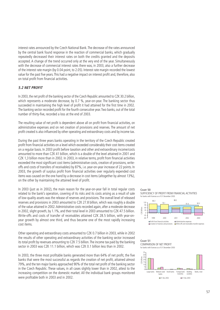interest rates announced by the Czech National Bank.The decrease of the rates announced by the central bank found response in the reaction of commercial banks, which gradually repeatedly decreased their interest rates on both the credits granted and the deposits accepted. A change of the trend occurred only at the very end of the year. Simultaneously with the decrease of commercial interest rates there was, in 2003, also a further decrease of the interest rate margin (by 0.04 point, to 2.05). Interest rate margin recorded the lowest value for the past five years.This had a negative impact on interest profit and, therefore, also on total profit from financial activities.

## **5.2 NET PROFIT**

In 2003, the net profit of the banking sector of the Czech Republic amounted to CZK 30.2 billion, which represents a moderate decrease, by 0.7 %, year-on-year. The banking sector thus succeeded in maintaining the high level of profit it had attained for the first time in 2002. The banking sector recorded profit for the fourth consecutive year.Two banks, out of the total number of thirty-five, recorded a loss at the end of 2003.

The resulting value of net profit is dependent above all on profit from financial activities, on administrative expenses and on net creation of provisions and reserves. The amount of net profit created is also influenced by other operating and extraordinary costs and by income tax.

During the past three years banks operating in the territory of the Czech Republic created profit from financial activities on a level which exceeded considerably their cost items created on a regular basis. In 2003 profit before taxation and other and extraordinary income/costs amounted to more than CZK 41 billion, which is a double of the level attained in 2001 and CZK 1,3 billion more than in 2002. In 2003, in relative terms, profit from financial activities exceeded the most significant cost items (administrative costs, creation of provisions, writeoffs and costs of transfers of receivables) by 87%, i.e. year-on-year increase of 22 points. In 2003, the growth of surplus profit from financial activities over regularly expended cost items was caused on the one hand by a decrease in cost items (altogether by almost 13%), on the other by maintaining the attained level of profit.

In 2003 (just as in 2002), the main reason for the year-on-year fall in total regular costs related to the bank's operation, covering of its risks and its costs arising as a result of sale of low-quality assets was the release of reserves and provisions.The overall level of released reserves and provisions in 2003 amounted to CZK 27.8 billion, which was roughly a double of the value attained in 2002.Administrative costs recorded again, after a moderate decrease in 2002, slight growth, by 1.1%, and their total level in 2003 amounted to CZK 47.5 billion. Write-offs and costs of transfer of receivables attained CZK 28.5 billion, with year-onyear growth by almost one third, and thus became one of the most rapidly increasing cost items.

Other operating and extraordinary costs amounted to CZK 0.7 billion in 2003, while in 2002 the results of other operating and extraordinary activities of the banking sector increased its total profit by revenues amounting to CZK 7.5 billion.The income tax paid by the banking sector in 2003 was CZK 11.1 billion, which was CZK 0.1 billion less than in 2002.

In 2003, the three most profitable banks generated more than 64% of net profit, the five banks that were the most successful as regards the creation of net profit, attained almost 79%, and the ten major banks approached 90% of the total net profit of the banking sector in the Czech Republic. These values, in all cases slightly lower than in 2002, attest to the increasing competition on the domestic market. All the individual bank groups monitored were profitable both in 2003 and in 2002.

#### **CHART 50** SUFFICIENCY OF PROFIT FROM FINANCIAL ACTIVITIES for banks with licences as of 31 December 2003





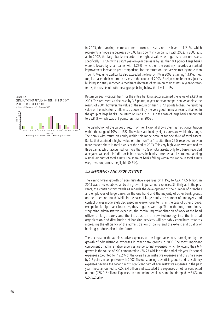

Return on equity capital Tier 1 for the entire banking sector attained the value of 23.8% in 2003. This represents a decrease by 3.6 points, in year-on-year comparison. As against the results of 2001, however, the value of the return on Tier 1 is 7.1 points higher. The resulting value of the indicator is influenced above all by the very good financial results attained in the group of large banks. The return on Tier 1 in 2003 in the case of large banks amounted to 25.8 % (which was 5.1 points less than in 2002).

The distribution of the values of return on Tier 1 capital shows their marked concentration within the range of 10% to 15%. The values attained by eight banks are within this range. The banks with return on equity within this range account for one third of total assets. Banks that attained a higher value of return on Tier 1 capital than 25% recorded an even more marked share in total assets at the end of 2003. This very high value was attained by three banks, which accounted for more than 40% of total assets. Only two banks recorded a negative value of this indicator. In both cases the banks concerned are institutions handling a small amount of total assets. The share of banks falling within this range in total assets was, therefore, almost negligible (0.5%).

#### **5.3 EFFICIENCY AND PRODUCTIVITY**

The year-on-year growth of administrative expenses by 1.1%, to CZK 47.5 billion, in 2003 was affected above all by the growth in personnel expenses. Similarly as in the past years, the contradictory trends as regards the development of the number of branches and employees of large banks on the one hand and the majority of other bank groups on the other continued. While in the case of large banks the number of employees and contact places moderately decreased in year-on-year terms, in the case of other groups, except for foreign bank branches, these figures went up. The in the long term almost stagnating administrative expenses, the continuing rationalisation of work at the head offices of large banks and the introduction of new technology into the internal organization and distribution of banking services will probably contribute towards increasing the efficiency of the administration of banks and the extent and quality of banking products also in the future.

The decrease in the administrative expenses of the large banks was outweighed by the growth of administrative expenses in other bank groups in 2003. The most important component of administrative expenses are personnel expenses, which following their 6% growth in the course of 2003 amounted to CZK 23.4 billion at the end of this year. Personnel expenses accounted for 49.2% of the overall administrative expenses and this share rose by 2.2 points in comparison with 2002. The outsourcing, advertising, audit and consultancy expenses became the second most significant item of administrative expenses in the past year; these amounted to CZK 9.4 billion and exceeded the expenses on other contracted outputs (CZK 9.2 billion). Expenses on rent and material consumption dropped by 5.6%, to  $CZK$  5.2 billion.



< 0 % 0 %-5 % 5 %-10 % 10 %-15 % 15 %-20 % 20 %-25 % >25 % ROE bands<br>Percentage of total number of banks Percentage of total assets

5

**CHART 52**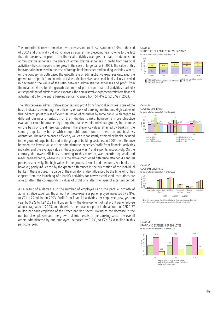The proportion between administrative expenses and total assets attained 1.9% at the end of 2003 and practically did not change as against the preceding year. Owing to the fact that the decrease in profit from financial activities was greater than the decrease in administrative expenses, the share of administrative expenses in profit from financial activities (the cost-income ratio) grew in the case of large banks in 2003. The value of this indicator also increased in the case of foreign bank branches and building societies, where, on the contrary, in both cases the growth rate of administrative expenses outpaced the growth rate of profit from financial activities. Medium-sized and small banks also succeeded in decreasing the value of the ratio between administrative expenses and profit from financial activities, for the growth dynamics of profit from financial activities markedly outstripped that of administrative expenses.The administrative expenses/profit from financial activities ratio for the entire banking sector increased from 51.4% to 52.6 % in 2003.

The ratio between administrative expenses and profit from financial activities is one of the basic indicators evaluating the efficiency of work of banking institutions. High values of this indicator point to less efficient utilisation of resources by some banks. With regard to different business orientation of the individual banks, however, a more objective evaluation could be attained by comparing banks within individual groups, for example on the basis of the differences between the efficiency values attained by banks in the same group, i.e. by banks with comparable conditions of operation and business orientation. The most balanced efficiency values are constantly attained by banks included in the group of large banks and in the group of building societies. In 2003 the difference between the lowest value of the administrative expenses/profit from financial activities indicator and the average value in these groups was 7 and 9 points, respectively. On the contrary, the lowest efficiency, according to this criterion, was recorded by small and medium-sized banks, where in 2003 the above-mentioned difference attained 43 and 30 points, respectively. The high values in the groups of small and medium-sized banks are, however, partly influenced by the greater differences in the orientation of the individual banks in these groups. The value of the indicator is also influenced by the time which has elapsed from the launching of a bank's activities, for newly-established institutions are able to attain the corresponding values of profit only after the lapse of a certain period.

As a result of a decrease in the number of employees and the parallel growth of administrative expenses, the amount of these expenses per employee increased by 2.8%, to CZK 1.22 million in 2003. Profit from financial activities per employee grew, year on year, by 0.2% to CZK 2.31 million. Similarly, the development of net profit per employee almost stagnated in 2003, and, therefore, there was net profit in the amount of CZK 0.77 million per each employee of the Czech banking sector. Owing to the decrease in the number of employees and the growth of total assets of the banking sector the overall assets administered by one employee increased by 3.2%, to CZK 64.8 million in this particular year.

#### **CHART 53** STRUCTURE OF ADMINISTRATIVE EXPENSES for banks with licences as of 31 December 2003











Note: The figures express the difference between the group average and the most cost-effective bank in that group, as measured by the cost-income ratio.



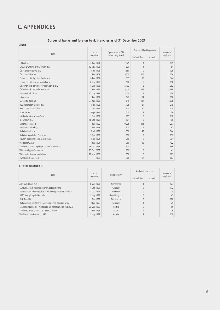# **C. APPENDICES**

## **Survey of banks and foreign bank branches as of 31 December 2003**

**I. Banks**

|                                                    | Start of     | Equity capital in CZK | Number of banking outlets | Number of |           |  |
|----------------------------------------------------|--------------|-----------------------|---------------------------|-----------|-----------|--|
| Bank                                               | operation    | millions (registered) | in Czech Rep.             | abroad    | employees |  |
| Citibank a.s.                                      | 24 Jun. 1991 | 2.925                 | $\overline{4}$            |           | 649       |  |
| CREDIT LYONNAIS BANK PRAHA, a.s.                   | 12 Nov. 1992 | 600                   |                           |           | 84        |  |
| Česká exportní banka, a.s.                         | 1 Jul. 1995  | 1,650                 | $\mathbf{0}$              |           | 125       |  |
| Česká spořitelna, a.s.                             | 1 Jan. 1969  | 15,200                | 666                       |           | 11,276    |  |
| Českomoravská hypoteční banka, a.s.                | 10 Jan. 1991 | 1,319                 | 36                        |           | 344       |  |
| Českomoravská stavební spořitelna, a.s.            | 8 Sep. 1993  | 1,500                 | 5                         |           | 610       |  |
| Českomoravská záruční a rozvojová banka, a.s.      | 1 Mar. 1992  | 2,132                 | 6                         |           | 262       |  |
| Československá obchodní banka, a.s                 | 1 Jan. 1965  | 5,105                 | 216                       | 77        | 8,599     |  |
| Dresdner Bank C7 a.s.                              | 12 May 1992  | 1,000                 | 3                         |           | 138       |  |
| eBanka, a.s.                                       | 1 Jan. 1991  | 1,042                 | 64                        |           | 816       |  |
| GE Capital Bank, a.s.                              | 22 Jun. 1998 | 510                   | 184                       |           | 2,038     |  |
| HVB Bank Czech Republic a.s.                       | 1 Jul. 1992  | 5,125                 | 24                        |           | 1,219     |  |
| HYPO stavební spořitelna a.s.                      | 1 Oct. 1994  | 500                   | 10                        |           | 110       |  |
| IC Banka, a.s.                                     | 6 Apr. 1994  | 500                   | 1                         |           | 38        |  |
| Interbanka, akciová společnost                     | 1 Feb. 1991  | 1,709                 | $\mathbf{0}$              |           | 110       |  |
| J&T BANKA, a.s.                                    | 18 Dec. 1992 | 501                   | $\Omega$                  |           | 90        |  |
| Komerční banka, a.s.                               | 1 Jan. 1990  | 19,005                | 341                       |           | 8,207     |  |
| První městská banka, a.s.                          | 1 Sep. 1993  | 500                   | $\overline{2}$            |           | 87        |  |
| Raiffeisenbank a.s.                                | 1 Jul. 1993  | 2,500                 | 43                        |           | 1,044     |  |
| Raiffeisen stavební spořitelna a.s.                | 7 Sep. 1993  | 650                   | $\mathbf{0}$              |           | 192       |  |
| Stavební spořitelna České spořitelny, a.s.         | 1 Jul. 1994  | 750                   | $\mathbf{0}$              |           | 304       |  |
| Volksbank CZ, a.s.                                 | 1 Jan. 1994  | 750                   | 18                        | 1         | 422       |  |
| Všeobecná stavební spořitelna Komerční banky, a.s. | 16 Dec. 1993 | 500                   | $\mathbf{0}$              |           | 366       |  |
| Wüstenrot hypoteční banka a.s.                     | 23 Dec. 2002 | 600                   | $\mathbf{0}$              |           | 41        |  |
| Wüstenrot - stavební spořitelna a.s.               | 11 Nov. 1993 | 550                   | $\mathbf{0}$              |           | 173       |  |
| Živnostenská banka, a.s.                           | 1868         | 1,360                 | 27                        |           | 803       |  |

## **II. Foreign bank branches**

| <b>Bank</b>                                                       | Start of<br>operation |                    | Number of local outlets |        | Number of |
|-------------------------------------------------------------------|-----------------------|--------------------|-------------------------|--------|-----------|
|                                                                   |                       | Home country       | in Czech Rep.           | abroad | employees |
| ABN AMRO Bank N.V.                                                | 6 May 1993            | <b>Netherlands</b> |                         |        | 123       |
| COMMERZBANK Aktiengesellschaft, pobočka Praha                     | 1 Dec. 1992           | Germany            |                         |        | 172       |
| Deutsche Bank Aktiengesellschaft Filiale Prag, organizační složka | 1 Dec. 1993           | Germany            |                         |        | 70        |
| HSBC Bank plc - pobočka Praha                                     | 1 May 1997            | United Kingdom     |                         |        | 43        |
| ING Bank N.V.                                                     | 1 Sep. 1993           | <b>Netherlands</b> |                         |        | 170       |
| Raiffeisenbank im Stiftland eG pobočka Cheb, odštěpný závod       | 2 Jan. 1995           | Germany            |                         |        | 29        |
| Sparkasse Mühlviertel - West banka a.s. pobočka České Budějovice  | 20 Mar. 1995          | Austria            | 6                       |        | 55        |
| Všeobecná úverová banka a.s., pobočka Praha                       | 14 Jan. 1993          | Slovakia           |                         |        | 76        |
| Waldviertler Sparkasse von 1842                                   | 1 May 1994            | Austria            | F                       |        | 119       |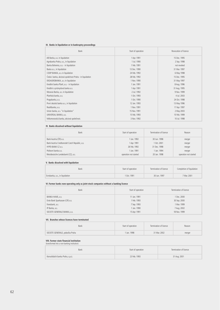#### **III. Banks in liquidation or in bankruptcy proceedings**

| Bank                                                   | Start of operation | Revocation of licence |
|--------------------------------------------------------|--------------------|-----------------------|
| AB Banka, a.s. in liquidation                          | 1 Apr. 1991        | 15 Dec. 1995          |
| Agrobanka Praha, a.s., in liquidation                  | 1 Jul. 1990        | 2 Sep. 1998           |
| Banka Bohemia, a.s. - in liquidation                   | 1 Feb. 1991        | not revoked           |
| Baska a.s., in liquidation                             | 13 Dec. 1990       | 31 Mar. 1997          |
| COOP BANKA, a.s. in liquidation                        | 24 Feb. 1992       | 6 May 1998            |
| Česká banka, akciová společnost Praha - in liquidation | 28 Feb. 1992       | 15 Dec. 1995          |
| EKOAGROBANKA, a.s. in liquidation                      | 1 Nov. 1990        | 31 May 1997           |
| Kreditní banka Plzeň, a.s. - in liquidation            | 1 Jan. 1991        | 8 Aug. 1996           |
| Kreditní a průmyslová banka a.s.                       | 1 Apr. 1991        | 31 Aug. 1995          |
| Moravia Banka, a.s. in liquidation                     | 2 Jul. 1992        | 9 Nov. 1999           |
| Plzeňská banka, a.s.                                   | 1 Oct. 1993        | 4 Jul. 2003           |
| Pragobanka, a.s.                                       | 1 Oct. 1990        | 24 Oct. 1998          |
| První slezská banka a.s., in liquidation               | 12 Jan. 1993       | 13 May 1996           |
| Realitbanka, a.s.                                      | 1 Nov. 1991        | 17 Apr. 1997          |
| Union banka, a.s. "in liquidation"                     | 15 Nov. 1991       | 2 May 2003            |
| UNIVERSAL BANKA, a.s.                                  | 15 Feb. 1993       | 10 Feb. 1999          |
| Velkomoravská banka, akciová společnost.               | 3 Nov. 1992        | 10 Jul. 1998          |

#### **IV. Banks dissolved without liquidation**

| <b>Bank</b>                                     | Start of operation    | Termination of licence | Reason                |
|-------------------------------------------------|-----------------------|------------------------|-----------------------|
| Bank Austria (ČR) a.s.                          | 1 Jan. 1992           | 30 Jun. 1998           | merger                |
| Bank Austria Creditanstalt Czech Republic, a.s. | 1 Apr. 1991           | 10ct.2001              | merger                |
| HYPO-BANK CZ a.s.                               | 26 Feb. 1992          | 31 Dec. 1998           | merger                |
| Poštovní banka a.s.                             | 1 Jan. 1991           | 1 Jan. 1994            | merger                |
| Westdeutsche Landesbank (CZ), a.s.              | operation not started | 20 Jan. 1998           | operation not started |

#### **V. Banks dissolved with liquidation**

| Bank                            | Start of operation     | Termination of licence | Completion of liquidation |
|---------------------------------|------------------------|------------------------|---------------------------|
| Evrobanka, a.s., in liquidation | <sup>1</sup> Oct. 1991 | 30 Jun. 1997           | 7 Mar. 2001               |

#### **VI. Former banks now operating only as joint-stock companies without a banking licence**

| Bank                            | Start of operation | Termination of licence |
|---------------------------------|--------------------|------------------------|
| BANKA HANÁ, a.s.                | 11 Jan. 1991       | 1 Dec. 2000            |
| Erste Bank Sparkassen (CR) a.s. | 1 Feb. 1993        | 30 Sep. 2000           |
| Foresbank, a.s.                 | 7 Sep. 1993        | 1 Mar. 1999            |
| IP Banka, a.s.                  | 1 Jan. 1990        | 7 Aug. 2002            |
| SOCIETE GENERALE BANKA, a.s.    | 15 Apr. 1991       | 18 Nov. 1999           |

#### **VII. Branches whose licences have terminated**

| Bank                            | Start of operation | Termination of licence | Reason |
|---------------------------------|--------------------|------------------------|--------|
| SOCIETE GENERALE, pobočka Praha | 1 Jan. 1998        | 31 Mar. 2002           | merger |

# **VIII. Former state financial institution** (transformed into a non-banking institution)

| Bank                             | Start of operation | Termination of licence |  |  |
|----------------------------------|--------------------|------------------------|--|--|
| Konsolidační banka Praha, s.p.ú. | 23 Feb. 1993       | 31 Aug. 2001           |  |  |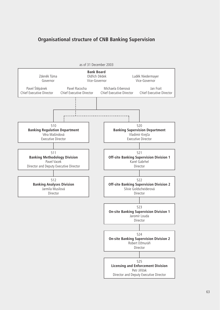# **Organisational structure of CNB Banking Supervision**

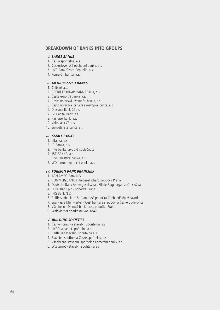## **BREAKDOWN OF BANKS INTO GROUPS**

#### **I. LARGE BANKS**

- 1. Česká spořitelna, a.s.
- 2. Československá obchodní banka, a.s.
- 3. HVB Bank Czech Republic a.s.
- 4. Komerční banka, a.s.

## **II. MEDIUM-SIZED BANKS**

- 1. Citibank a.s.
- 2. CREDIT LYONNAIS BANK PRAHA, a.s.
- 3. Česká exportní banka, a.s.
- 4. Českomoravská hypoteční banka, a.s.
- 5. Českomoravská záruční a rozvojová banka, a.s.
- 6. Dresdner Bank CZ a.s.
- 7. GE Capital Bank, a.s.
- 8. Raiffeisenbank a.s.
- 9. Volksbank CZ, a.s.
- 10. Živnostenská banka, a.s.

#### **III. SMALL BANKS**

- 1. eBanka, a.s.
- 2. IC Banka, a.s.
- 3. Interbanka, akciová společnost
- 4. J&T BANKA, a.s.
- 5. První městská banka, a.s.
- 6. Wüstenrot hypoteční banka a.s.

## **IV. FOREIGN BANK BRANCHES**

- 1. ABN AMRO Bank N.V.
- 2. COMMERZBANK Aktiegesellschaft, pobočka Praha
- 3. Deutsche Bank Aktiengesellschaft Filiale Prag, organizační složka
- 4. HSBC Bank plc pobočka Praha
- 5. ING Bank N.V.
- 6. Raiffeisenbank im Stiftland eG pobočka Cheb, odštěpný závod
- 7. Sparkasse Mühlviertel West banka a.s. pobočka České Budějovice
- 8. Všeobecná úverová banka a.s., pobočka Praha
- 9. Waldviertler Sparkasse von 1842

#### **V. BUILDING SOCIETIES**

- 1. Českomoravská stavební spořitelna, a.s.
- 2. HYPO stavební spořitelna a.s.
- 3. Raiffeisen stavební spořitelna a.s.
- 4. Stavební spořitelna České spořitelny, a.s.
- 5. Všeobecná stavební spořitelna Komerční banky, a.s.
- 6. Wüstenrot stavební spořitelna a.s.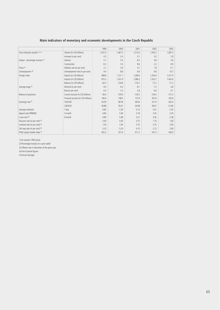## **Main indicators of monetary and economic developments in the Czech Republic**

|                                 |                                     | 1999    | 2000     | 2001     | 2002     | 2003     |
|---------------------------------|-------------------------------------|---------|----------|----------|----------|----------|
| Gross domestic product 1), 2)   | Volume (in CZK billions)            | 1,421.0 | 1,467.3  | 1,512.6  | 1,542.2  | 1,587.2  |
|                                 | Increase (in per cent)              | 0.5     | 3.3      | 3.1      | 2.0      | 2.9      |
| Output - percentage increase 2) | Industry                            | $-3.1$  | 5.4      | 6.5      | 4.8      | 5.8      |
|                                 | Construction                        | $-6.5$  | 5.3      | 9.6      | 2.5      | 8.9      |
| Prices 3)                       | Inflation rate (in per cent)        | 7.1     | 3.9      | 4.7      | 1.8      | 0.1      |
| Unemployment <sup>4)</sup>      | Unemployment rate (in per cent)     | 9.4     | 8.8      | 8.9      | 9.8      | 10.3     |
| Foreign trade                   | Exports (in CZK billions)           | 908.8   | 1,121.1  | 1,269.6  | 1,254.4  | 1,371.4  |
|                                 | Imports (in CZK billions)           | 973.2   | 1,241.9  | 1,386.3  | 1,325.7  | 1,442.6  |
|                                 | Balance (in CZK billions)           | $-64.4$ | $-120.8$ | $-116.7$ | $-71.3$  | $-71.2$  |
| Average wage 2)                 | Nominal (in per cent)               | 8.4     | 6.5      | 8.7      | 7.2      | 6.8      |
|                                 | Real (in per cent)                  | 6.3     | 2.5      | 3.8      | 6.6      | 6.7      |
| Balance of payments             | Current account (in CZK billions)   | $-50.6$ | $-104.9$ | $-124.5$ | $-136.4$ | $-157.2$ |
|                                 | Financial account (in CZK billions) | 106.6   | 148.0    | 172.9    | 347.8    | 163.9    |
| Exchange rate 5)                | CZK/USD                             | 34.59   | 38.59    | 38.04    | 32.74    | 28.23    |
|                                 | CZK/EUR                             | 36.88   | 35.61    | 34.08    | 30.81    | 31.84    |
| Average interbank               | 7-day                               | 6.85    | 5.29     | 5.15     | 3.61     | 2.30     |
| deposit rate (PRIBOR)           | 3-month                             | 6.85    | 5.36     | 5.18     | 3.55     | 2.30     |
| in per cent 5)                  | 6-month                             | 6.89    | 5.48     | 5.21     | 3.56     | 2.28     |
| Discount rate (in per cent) 4)  |                                     | 5.00    | 5.00     | 3.75     | 1.75     | 1.00     |
| Lombard rate (in per cent) 4)   |                                     | 7.50    | 7.50     | 5.75     | 3.75     | 3.00     |
| 2W repo rate (in per cent) 4)   |                                     | 5.25    | 5.25     | 4.75     | 2.75     | 2.00     |
| PX50 capital market index 5)    |                                     | 455.2   | 551.9    | 411.5    | 437.5    | 549.9    |

1) At constant 1995 prices

2) Percentage increase on a year earlier

3) Inflation rate in December of the given year

4) End-of-period figures

5) Annual averages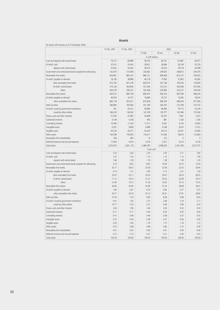## (for banks with licences as of 31 December 2003)

#### **Assets**

|                                                            | 31 Dec. 2001    | 31 Dec. 2002 | 2003        |           |              |              |
|------------------------------------------------------------|-----------------|--------------|-------------|-----------|--------------|--------------|
|                                                            |                 |              | 31 Mar.     | 30 Jun.   | 30 Sep.      | 31 Dec.      |
|                                                            | in CZK millions |              |             |           |              |              |
| Cash and deposits with central banks                       | 79,215          | 69,884       | 58,105      | 60,701    | 67,867       | 65,677       |
| of which: cash                                             | 37,613          | 35,442       | 28,631      | 28,646    | 28,149       | 35,278       |
| deposits with central banks                                | 41,602          | 34,442       | 29,473      | 32,055    | 39,718       | 30,398       |
| Government and central bank bonds accepted for refinancing | 142,070         | 214,048      | 220,682     | 249,935   | 268,813      | 304,476      |
| Receivables from banks                                     | 833,861         | 860,247      | 880,131     | 838,958   | 814,137      | 756,953      |
| of which: payable on demand                                | 18,156          | 38,868       | 46,118      | 77,850    | 57,802       | 40,260       |
| other receivables from banks                               | 815,705         | 821,378      | 834,013     | 761,108   | 756,336      | 716.693      |
| of which: central banks                                    | 275,126         | 464,856      | 531,504     | 510,125   | 502,608      | 457,493      |
| others                                                     | 540,579         | 356,522      | 302,508     | 250,983   | 253,727      | 259,200      |
| Receivables from clients                                   | 907,072         | 890,758      | 892,647     | 930,316   | 967,509      | 996,200      |
| of which: payable on demand                                | 46,954          | 16,737       | 18,989      | 20,737    | 19,265       | 18.916       |
| other receivables from clients                             | 860,118         | 874,021      | 873,658     | 909,578   | 948,244      | 977,284      |
| Debt securities                                            | 266,890         | 182,060      | 201,180     | 206,763   | 227,209      | 210,733      |
| of which: issued by government institutions                | 361             | 45,521       | 58,980      | 66,985    | 79,713       | 53,239       |
| issued by other entities                                   | 266,529         | 136,540      | 142,199     | 139,777   | 147,496      | 157,494      |
| Shares, units and other interests                          | 51,030          | 47,085       | 45,699      | 50,707    | 7,961        | 7,673        |
| Substantial interests                                      | 4,108           | 4,258        | 995         | 881       | 1,326        | 1,326        |
| Controlling interests                                      | 10,046          | 11,329       | 11,317      | 9,591     | 9,136        | 10,820       |
| Intangible assets                                          | 6,307           | 9,858        | 9,489       | 9,168     | 8,910        | 11,473       |
| Tangible assets                                            | 50,278          | 45,377       | 44,535      | 44,213    | 43,441       | 43,560       |
| Other assets                                               | 104,789         | 140,934      | 116,411     | 91,446    | 78,614       | 112,659      |
| Receivables from shareholders                              | 364             | 660          | 14          | 272       | $\mathbf{0}$ | $\mathbf{0}$ |
| Deferred revenues and accrued expenses                     | 17,944          | 4,619        | 5,579       | 5,251     | 6,514        | 6,150        |
| Total assets                                               | 2,473,974       | 2,481,118    | 2,486,785   | 2,498,200 | 2,501,436    | 2,527,701    |
|                                                            |                 |              | in per cent |           |              |              |
| Cash and deposits with central banks                       | 3.20            | 2.82         | 2.34        | 2.43      | 2.71         | 2.60         |
| of which: cash                                             | 1.52            | 1.43         | 1.15        | 1.15      | 1.13         | 1.40         |
| deposits with central banks                                | 1.68            | 1.39         | 1.19        | 1.28      | 1.59         | 1.20         |
| Government and central bank bonds accepted for refinancing | 5.74            | 8.63         | 8.87        | 10.00     | 10.75        | 12.05        |
| Receivables from banks                                     | 33.71           | 34.67        | 35.39       | 33.58     | 32.55        | 29.95        |
| of which: payable on demand                                | 0.73            | 1.57         | 1.85        | 3.12      | 2.31         | 1.59         |
| other receivables from banks                               | 32.97           | 33.11        | 33.54       | 30.47     | 30.24        | 28.35        |
| of which: central banks                                    | 11.12           | 18.74        | 21.37       | 20.42     | 20.09        | 18.10        |
| others                                                     | 21.85           | 14.37        | 12.16       | 10.05     | 10.14        | 10.25        |
| Receivables from clients                                   | 36.66           | 35.90        | 35.90       | 37.24     | 38.68        | 39.41        |
| of which: payable on demand                                | 1.90            | 0.67         | 0.76        | 0.83      | 0.77         | 0.75         |
| other receivables from clients                             | 34.77           | 35.23        | 35.13       | 36.41     | 37.91        | 38.66        |
| Debt securities                                            | 10.79           | 7.34         | 8.09        | 8.28      | 9.08         | 8.34         |
| of which: issued by government institutions                | 0.01            | 1.83         | 2.37        | 2.68      | 3.19         | 2.11         |
| issued by other entities                                   | 10.77           | 5.50         | 5.72        | 5.60      | 5.90         | 6.23         |
| Shares, units and other interests                          | 2.06            | 1.90         | 1.84        | 2.03      | 0.32         | 0.30         |
| Substantial interests                                      | 0.17            | 0.17         | 0.04        | 0.04      | 0.05         | 0.05         |
| Controlling interests                                      | 0.41            | 0.46         | 0.46        | 0.38      | 0.37         | 0.43         |
| Intangible assets                                          | 0.25            | 0.40         | 0.38        | 0.37      | 0.36         | 0.45         |
| Tangible assets                                            | 2.03            | 1.83         | 1.79        | 1.77      | 1.74         | 1.72         |
| Other assets                                               | 4.24            | 5.68         | 4.68        | 3.66      | 3.14         | 4.46         |
| Receivables from shareholders                              | 0.01            | 0.03         | 0.00        | 0.01      | 0.00         | 0.00         |
| Deferred revenues and accrued expenses                     | 0.73            | 0.19         | 0.22        | 0.21      | 0.26         | 0.24         |
| Total assets                                               | 100.00          | 100.00       | 100.00      | 100.00    | 100.00       | 100.00       |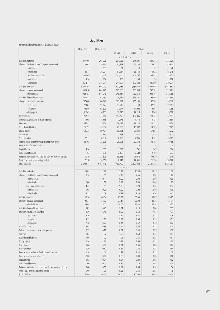#### **Liabilities**

#### (for banks with licences as of 31 December 2003)

|                                                                      | 31 Dec. 2001     | 31 Dec. 2002     |                  |                  | 2003             |                 |
|----------------------------------------------------------------------|------------------|------------------|------------------|------------------|------------------|-----------------|
|                                                                      |                  |                  | 31 Mar.          | 30 Jun.          | 30 Sep.          | 31 Dec.         |
|                                                                      |                  |                  | in CZK millions  |                  |                  |                 |
| Liabilities to banks                                                 | 371,406          | 304,705          | 304,028          | 271,891          | 283,246          | 285,320         |
| of which: liabilities to banks payable on demand                     | 18,901           | 29,560           | 61,968           | 66,183           | 76,653           | 45,943          |
| central banks                                                        |                  | 2,659            | 34               | 19               | 22               | 28              |
| other banks                                                          | 14,817           | 26,901           | 61,934           | 66,165           | 76,632           | 45,915          |
| other liabilities to banks                                           | 352,505          | 275,145          | 242,060          | 205,707          | 206,593          | 239,377         |
| central banks                                                        | 634              | 114              | 103              | 104              | 93               | 106             |
| other banks                                                          | 351,871          | 275,031          | 241,957          | 205,603          | 206,500          | 239,271         |
| Liabilities to clients                                               | 1,493,198        | 1,608,747        | 1,621,983        | 1,637,646        | 1,666,466        | 1,665,587       |
| of which: payable on demand                                          | 551,018          | 661,729          | 675,566          | 705,333          | 762,365          | 792,201         |
| other liabilities                                                    | 942,181          | 947,018          | 946,417          | 932,313          | 904,101          | 873,386         |
| Liabilities from debt securities                                     | 268,884          | 167,457          | 174,434          | 177,361          | 196,006          | 201,980         |
| of which: issued debt securities                                     | 207,640          | 160,746          | 163,594          | 163,143          | 187,761          | 196,310         |
| short-term                                                           | 127,683          | 92,123           | 91,647           | 89,140           | 107,954          | 107,554         |
| long-term                                                            | 79,956           | 68,623           | 71,947           | 74,002           | 79,807           | 88,756          |
| other payables                                                       | 61,245           | 6,711            | 10,840           | 14,218           | 8,245            | 5,670           |
| Other liabilities                                                    | 121,935          | 171,010          | 147,730          | 187,805          | 129,405          | 152,493         |
| Deferred revenues and accrued expenses                               | 13,502           | 5,558            | 7,973            | 7,372            | 8,731            | 12,580          |
| Reserves<br>Subordinated liabilities                                 | 44,911<br>26,193 | 37,624<br>25,334 | 38,098<br>25,669 | 38,324<br>13,397 | 33,231<br>13,765 | 23,654<br>7,829 |
| Equity capital                                                       | 68,325           | 69,461           | 69,131           | 67,324           | 67,854           | 68,272          |
| Own shares                                                           |                  | 560              | 928              | 677              | 879              | 617             |
| Share premium                                                        | 7,533            | 8,036            | 8,033            | 7,995            | 8,321            | 8,609           |
| Reserve funds and other funds created from profit                    | 28,703           | 28,805           | 29,051           | 30,672           | 30,783           | 30,456          |
| Reserve fund for new valuation                                       |                  | $\mathbf{0}$     | $\mathbf{0}$     | $\mathbf{0}$     | $\theta$         | $\theta$        |
| Capital funds                                                        | 854              | 1,039            | 1,039            | 762              | 749              | 524             |
| Valuation differences                                                | 63               | 1,636            | 2,468            | 2,580            | 2,100            | 1,273           |
| Retained profits (accumulated losses) from previous periods          | 11,349           | 21,309           | 50,235           | 41,072           | 39,629           | 38,948          |
| Profit (loss) for the accounting period                              | 17,118           | 30,396           | 6,912            | 14,001           | 21,150           | 30,176          |
| <b>Total liabilities</b>                                             | 2,473,974        | 2,481,118        | 2,486,785        | 2,498,200        | 2,501,436        | 2,527,701       |
|                                                                      |                  |                  | in per cent      |                  |                  |                 |
| Liabilities to banks                                                 | 15.01            | 12.28            | 12.23            | 10.88            | 11.32            | 11.29           |
| of which: liabilities to banks payable on demand                     | 0.76             | 1.19             | 2.49             | 2.65             | 3.06             | 1.82            |
| central banks                                                        |                  | 0.11             | 0.00             | 0.00             | 0.00             | 0.00            |
| other banks                                                          | 0.60             | 1.08             | 2.49             | 2.65             | 3.06             | 1.82            |
| other liabilities to banks                                           | 14.25            | 11.09            | 9.73             | 8.23             | 8.26             | 9.47            |
| central banks                                                        | 0.03             | 0.00             | 0.00             | 0.00             | 0.00             | 0.00            |
| other banks                                                          | 14.22            | 11.08            | 9.73             | 8.23             | 8.26             | 9.47            |
| Liabilities to clients                                               | 60.36            | 64.84            | 65.22            | 65.55            | 66.62            | 65.89           |
| of which: payable on demand                                          | 22.27            | 26.67            | 27.17            | 28.23            | 30.48            | 31.34           |
| other liabilities                                                    | 38.08            | 38.17            | 38.06            | 37.32            | 36.14            | 34.55           |
| Liabilities from debt securities<br>of which: issued debt securities | 10.87<br>8.39    | 6.75             | 7.01<br>6.58     | 7.10<br>6.53     | 7.84             | 7.99<br>7.77    |
| short-term                                                           | 5.16             | 6.48<br>3.71     | 3.69             | 3.57             | 7.51<br>4.32     | 4.26            |
| long-term                                                            | 3.23             | 2.77             | 2.89             | 2.96             | 3.19             | 3.51            |
| other payables                                                       | 2.48             | 0.27             | 0.44             | 0.57             | 0.33             | 0.22            |
| Other liabilities                                                    | 4.93             | 6.89             | 5.94             | 7.52             | 5.17             | 6.03            |
| Deferred revenues and accrued expenses                               | 0.55             | 0.22             | 0.32             | 0.30             | 0.35             | 0.50            |
| Reserves                                                             | 1.82             | 1.52             | 1.53             | 1.53             | 1.33             | 0.94            |
| Subordinated liabilities                                             | 1.06             | 1.02             | 1.03             | 0.54             | 0.55             | 0.31            |
| Equity capital                                                       | 2.76             | 2.80             | 2.78             | 2.69             | 2.71             | 2.70            |
| Own shares                                                           | 0.00             | 0.02             | 0.04             | 0.03             | 0.04             | 0.02            |
| Share premium                                                        | 0.30             | 0.32             | 0.32             | 0.32             | 0.33             | 0.34            |
| Reserve funds and other funds created from profit                    | 1.16             | 1.16             | 1.17             | 1.23             | 1.23             | 1.20            |
| Reserve fund for new valuation                                       | 0.00             | 0.00             | 0.00             | 0.00             | 0.00             | 0.00            |
| Capital funds                                                        | 0.03             | 0.04             | 0.04             | 0.03             | 0.03             | 0.02            |
| Valuation differences                                                | 0.00             | 0.07             | 0.10             | 0.10             | 0.08             | 0.05            |
| Retained profits (accumulated losses) from previous periods          | 0.46             | 0.86             | 2.02             | 1.64             | 1.58             | 1.54            |
| Profit (loss) for the accounting period                              | 0.69             | 1.23             | 0.28             | 0.56             | 0.85             | 1.19            |
| <b>Total liabilities</b>                                             | 100.00           | 100.00           | 100.00           | 100.00           | 100.00           | 100.00          |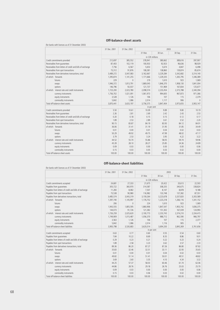## **Off-balance-sheet assets**

(for banks with licences as of 31 December 2003)

|                                                          | 31 Dec. 2001 | 31 Dec. 2002 |                 | 2003      |           |           |
|----------------------------------------------------------|--------------|--------------|-----------------|-----------|-----------|-----------|
|                                                          |              |              | 31 Mar.         | 30 Jun.   | 30 Sep.   | 31 Dec.   |
|                                                          |              |              | in C7K millions |           |           |           |
| Credit commitments provided                              | 212,697      | 385,552      | 378,941         | 380,662   | 389,616   | 397,907   |
| Receivables from quarantees                              | 87,403       | 102,119      | 100,933         | 92,923    | 96,636    | 98,929    |
| Receivables from letters of credit and bills of exchange | 7,756        | 6,567        | 5,653           | 5,674     | 4,847     | 6,498     |
| Receivables from spot transactions                       | 73,312       | 91,876       | 108,381         | 138,860   | 139,874   | 85,674    |
| Receivables from derivatives transactions, total         | 3,489,272    | 3,047,083    | 3,162,667       | 3,229,284 | 3,342,682 | 3,314,140 |
| of which: forwards                                       | 1,395,874    | 1,141,255    | 1,171,666       | 1,229,335 | 1,265,795 | 1,346,389 |
| futures                                                  | 229          | $\theta$     | 219             | 1,610     | 923       | 1,069     |
| swaps                                                    | 1,946,372    | 1,813,791    | 1,869,045       | 1,846,370 | 1,908,130 | 1,841,004 |
| options                                                  | 146,796      | 92,037       | 121,737         | 151,969   | 167,834   | 125,677   |
| of which: interest rate and credit instruments           | 1,723,200    | 2,023,780    | 2,098,574       | 2,233,454 | 2,373,788 | 2,340,394 |
| currency instruments                                     | 1,756,702    | 1,021,091    | 1,061,973       | 994,605   | 967,873   | 971,366   |
| equity instruments                                       | 3,528        | 1,126        | 106             | 107       | 115       | 2,379     |
| commodity instruments                                    | 5,842        | 1,086        | 2,014           | 1,117     | 906       | $\Omega$  |
| Total off-balance-sheet assets                           | 3,870,441    | 3,633,197    | 3,756,575       | 3,847,404 | 3,973,655 | 3,903,147 |
|                                                          |              |              | in per cent     |           |           |           |
| Credit commitments provided                              | 5.50         | 10.61        | 10.09           | 9.89      | 9.80      | 10.19     |
| Receivables from quarantees                              | 2.26         | 2.81         | 2.69            | 2.42      | 2.43      | 2.53      |
| Receivables from letters of credit and bills of exchange | 0.20         | 0.18         | 0.15            | 0.15      | 0.12      | 0.17      |
| Receivables from spot transactions                       | 1.89         | 2.53         | 2.89            | 3.61      | 3.52      | 2.20      |
| Receivables from derivatives transactions, total         | 90.15        | 83.87        | 84.19           | 83.93     | 84.12     | 84.91     |
| of which: forwards                                       | 36.06        | 31.41        | 31.19           | 31.95     | 31.85     | 34.49     |
| futures                                                  | 0.01         | 0.00         | 0.01            | 0.04      | 0.02      | 0.03      |
| swaps                                                    | 50.29        | 49.92        | 49.75           | 47.99     | 48.02     | 47.17     |
| options                                                  | 3.79         | 2.53         | 3.24            | 3.95      | 4.22      | 3.22      |
| of which: interest rate and credit instruments           | 44.52        | 55.70        | 55.86           | 58.05     | 59.74     | 59.96     |
| currency instruments                                     | 45.39        | 28.10        | 28.27           | 25.85     | 24.36     | 24.89     |
| equity instruments                                       | 0.09         | 0.03         | 0.00            | 0.00      | 0.00      | 0.06      |
| commodity instruments                                    | 0.15         | 0.03         | 0.05            | 0.03      | 0.02      | 0.00      |
| Total off-balance-sheet assets                           | 100.00       | 100.00       | 100.00          | 100.00    | 100.00    | 100.00    |

### **Off-balance-sheet liabilities**

| (for banks with licences as of 31 December 2003)      |              |              |           |                 |           |           |
|-------------------------------------------------------|--------------|--------------|-----------|-----------------|-----------|-----------|
|                                                       | 31 Dec. 2001 | 31 Dec. 2002 |           |                 | 2003      |           |
|                                                       |              |              | 31 Mar.   | 30 Jun.         | 30 Sep.   | 31 Dec.   |
|                                                       |              |              |           | in C7K millions |           |           |
| Credit commitments accepted                           | 24,681       | 27,333       | 21,675    | 20,422          | 20,613    | 22,503    |
| Payables from quarantees                              | 305,722      | 360,970      | 314,587   | 308,335         | 340,675   | 338,824   |
| Payables from letters of credit and bills of exchange | 11,283       | 8,082        | 7,507     | 8,147           | 8,878     | 9,188     |
| Payables from spot transactions                       | 73,538       | 90,980       | 116,982   | 133,748         | 137,382   | 87,551    |
| Payables from derivatives transactions, total         | 3,485,574    | 3,043,319    | 3,159,264 | 3,223,678       | 3,337,820 | 3,303,589 |
| of which: forwards                                    | 1,397,740    | 1,145,997    | 1,176,752 | 1,223,218       | 1,266,116 | 1,341,152 |
| futures                                               | 206          | $\Omega$     | 224       | 1,610           | 923       | 1,069     |
| swaps                                                 | 1,943,555    | 1,805,595    | 1,860,906 | 1,847,547       | 1,903,742 | 1,836,375 |
| options                                               | 144,073      | 91,726       | 121,382   | 151,302         | 167,039   | 124,993   |
| of which: interest rate and credit instruments        | 1,726,259    | 2,025,620    | 2,100,773 | 2,233,743       | 2,374,210 | 2,334,415 |
| currency instruments                                  | 1,749,909    | 1,015,487    | 1,056,370 | 988,712         | 962,590   | 966,797   |
| equity instruments                                    | 3,563        | 1.126        | 106       | 107             | 115       | 2,377     |
| commodity instruments                                 | 5,842        | 1,086        | 2,014     | 1,116           | 905       | $\Omega$  |
| Total off-balance-sheet liabilities                   | 3,900,798    | 3,530,683    | 3,620,014 | 3,694,330       | 3,845,369 | 3,761,656 |
|                                                       |              |              |           | in per cent     |           |           |
| Credit commitments accepted                           | 0.63         | 0.77         | 0.60      | 0.55            | 0.54      | 0.60      |
| Payables from quarantees                              | 7.84         | 10.22        | 8.69      | 8.35            | 8.86      | 9.01      |
| Payables from letters of credit and bills of exchange | 0.29         | 0.23         | 0.21      | 0.22            | 0.23      | 0.24      |
| Payables from spot transactions                       | 1.89         | 2.58         | 3.23      | 3.62            | 3.57      | 2.33      |
| Payables from derivatives transactions, total         | 89.36        | 86.20        | 87.27     | 87.26           | 86.80     | 87.82     |
| of which: forwards                                    | 35.83        | 32.46        | 32.51     | 33.11           | 32.93     | 35.65     |
| futures                                               | 0.01         | 0.00         | 0.01      | 0.04            | 0.02      | 0.03      |
| swaps                                                 | 49.82        | 51.14        | 51.41     | 50.01           | 49.51     | 48.82     |
| options                                               | 3.69         | 2.60         | 3.35      | 4.10            | 4.34      | 3.32      |
| of which: interest rate and credit instruments        | 44.25        | 57.37        | 58.03     | 60.46           | 61.74     | 62.06     |
| currency instruments                                  | 44.86        | 28.76        | 29.18     | 26.76           | 25.03     | 25.70     |
| equity instruments                                    | 0.09         | 0.03         | 0.00      | 0.00            | 0.00      | 0.06      |
| commodity instruments                                 | 0.15         | 0.03         | 0.06      | 0.03            | 0.02      | 0.00      |
| Total off-balance-sheet liabilities                   | 100.00       | 100.00       | 100.00    | 100.00          | 100.00    | 100.00    |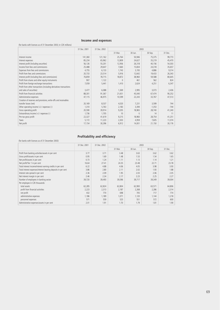# **Income and expenses**

# (for banks with licences as of 31 December 2003; in CZK millions)

|                                                                    | 31 Dec. 2001 | 31 Dec. 2002 |          | 2003    |          |         |
|--------------------------------------------------------------------|--------------|--------------|----------|---------|----------|---------|
|                                                                    |              |              | 31 Mar.  | 30 Jun. | 30 Sep.  | 31 Dec. |
| Interest income                                                    | 141,360      | 121,162      | 25,764   | 50,946  | 75,375   | 99,773  |
| Interest expenses                                                  | 85,234       | 65,962       | 12,809   | 24,627  | 35,219   | 45,470  |
| Interest profit (including securities)                             | 56,126       | 55,201       | 12,956   | 26,318  | 40,156   | 54,303  |
| Income from fees and commissions                                   | 25,488       | 29,647       | 7,660    | 15,834  | 24,318   | 35,657  |
| Expenses from fees and commissions                                 | 4,755        | 6,133        | 1,743    | 3,193   | 4,886    | 9,314   |
| Profit from fees and commissions                                   | 20,733       | 23,514       | 5,916    | 12,642  | 19,433   | 26,343  |
| Interest profit (including fees and commissions)                   | 76,859       | 78,715       | 18,872   | 38,960  | 59,588   | 80,645  |
| Profit from shares and other equity instruments                    | 907          | 1,122        | $\Omega$ | 461     | 562      | 824     |
| Profit from foreign exchange transactions                          | 7,059        | 5,441        | 1,410    | 2,624   | 4,251    | 6,347   |
| Profit from other transactions (including derivatives transactions |              |              |          |         |          |         |
| and sales of securities)                                           | 3,477        | 6,088        | 1,369    | 2,995   | 3,073    | 2,436   |
| Profit from financial activities                                   | 88,301       | 91,367       | 21,651   | 45,040  | 67,474   | 90,252  |
| Administrative expenses                                            | 47,115       | 46,975       | 10,599   | 22,243  | 33,767   | 47,513  |
| Creation of reserves and provisions, write-offs and receivables    |              |              |          |         |          |         |
| transfer losses (net)                                              | 20,169       | 8,537        | 4,020    | 7,231   | 3,599    | 744     |
| Other operating income $(+)$ / expenses $(-)$                      | 1,310        | 5,763        | 2,183    | 3,394   | $-1,353$ | $-744$  |
| Gross operating profit                                             | 20,590       | 39,914       | 9,205    | 18,965  | 28,740   | 41,240  |
| Extraordinary income $(+)$ / expenses $(-)$                        | 1,736        | 1,705        | 10       | $-5$    | 14       | 11      |
| Pre-tax gross profit                                               | 22,327       | 41,619       | 9,215    | 18,960  | 28,754   | 41,251  |
| Taxes                                                              | 5,172        | 11,223       | 2,303    | 4,959   | 7,605    | 11,074  |
| Net profit                                                         | 17,154       | 30,396       | 6,912    | 14,001  | 21,150   | 30,176  |

# **Profitability and efficiency**

| (for banks with licences as of 31 December 2003)              |              |              |         |         |         |         |
|---------------------------------------------------------------|--------------|--------------|---------|---------|---------|---------|
|                                                               | 31 Dec. 2001 | 31 Dec. 2002 |         |         | 2003    |         |
|                                                               |              |              | 31 Mar. | 30 Jun. | 30 Sep. | 31 Dec. |
| Profit from banking activities/assets in per cent             | 3.77         | 3.71         | 3.48    | 3.63    | 3.62    | 3.62    |
| Gross profit/assets in per cent                               | 0.95         | 1.69         | 1.48    | 1.53    | 1.54    | 1.65    |
| Net profit/assets in per cent                                 | 0.73         | 1.24         | 1.11    | 1.13    | 1.14    | 1.21    |
| Net profit/Tier 1 in per cent                                 | 16.64        | 27.41        | 24.35   | 23.48   | 22.71   | 23.78   |
| Total interest income/interest earning credits in per cent    | 6.22         | 4.88         | 4.06    | 4.05    | 3.98    | 3.93    |
| Total interest expenses/interest bearing deposits in per cent | 3.86         | 2.80         | 2.11    | 2.02    | 1.93    | 1.88    |
| Interest rate spread in per cent                              | 2.36         | 2.09         | 1.95    | 2.03    | 2.06    | 2.05    |
| Net interest margin in per cent                               | 2.46         | 2.34         | 2.17    | 2.23    | 2.25    | 2.27    |
| Number of employees in banking sector                         | 39,720       | 39,493       | 39,596  | 39,717  | 39,349  | 39,004  |
| Per employee in CZK thousands:                                |              |              |         |         |         |         |
| total assets                                                  | 62,285       | 62,824       | 62,804  | 62,900  | 63,571  | 64,806  |
| profit from financial activities                              | 2,223        | 2,313        | 2,187   | 2,268   | 2,286   | 2,314   |
| net profit                                                    | 432          | 770          | 698     | 705     | 717     | 774     |
| administrative expenses                                       | 1,186        | 1,189        | 1.071   | 1.120   | 1,144   | 1.218   |
| personnel expenses                                            | 571          | 559          | 525     | 551     | 572     | 600     |
| Administrative expenses/assets in per cent                    | 2.01         | 1.91         | 1.70    | 1.79    | 1.81    | 1.90    |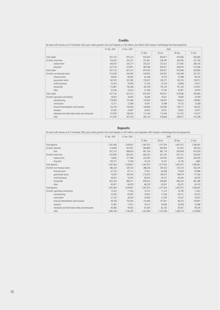## **Credits**

(for banks with licences as of 31 December 2003; gross credits granted in the Czech Republic; in CZK millions; since March 2002 change in methodology from time perspective)

|                                                    | 31 Dec. 2001 | 31 Dec. 2002 | 2003    |         |         |         |
|----------------------------------------------------|--------------|--------------|---------|---------|---------|---------|
|                                                    |              |              | 31 Mar. | 30 Jun. | 30 Sep. | 31 Dec. |
| Total credits                                      | 927,732      | 875,315      | 874,434 | 903,817 | 919,496 | 950,685 |
| of which: short-term                               | 316,362      | 255,227      | 231,841 | 238,184 | 246,780 | 251,185 |
| medium-term                                        | 183,616      | 245,217      | 255,027 | 272,612 | 271,842 | 286,104 |
| long-term                                          | 427,754      | 374,871      | 387,566 | 393,021 | 400,874 | 413,396 |
| Total credits                                      | 927,732      | 875,315      | 874,434 | 903,817 | 919,496 | 950,685 |
| of which: non-financial sector                     | 515,028      | 420,495      | 424,874 | 424,927 | 424,438 | 427,572 |
| financial sector                                   | 59,643       | 66,694       | 62,348  | 73,319  | 74,588  | 83,016  |
| government sector                                  | 162,474      | 167,585      | 159,207 | 165,377 | 165,376 | 158,731 |
| small businesses                                   | 22,354       | 20,949       | 21,740  | 22,729  | 20,858  | 24,677  |
| households                                         | 115,887      | 156,568      | 164,709 | 176,120 | 191,245 | 210,810 |
| other                                              | 52,346       | 43,024       | 41,556  | 41,345  | 42,991  | 45,879  |
| Total credits                                      | 927,732      | 875,315      | 874,434 | 903,817 | 919,496 | 950,685 |
| of which: agriculture and forestry                 | 18,003       | 18,402       | 18,266  | 19,427  | 19,830  | 20,399  |
| manufacturing                                      | 178,829      | 147,669      | 150,950 | 149,047 | 149,622 | 148,962 |
| construction                                       | 13,271       | 12,588       | 14,641  | 15,098  | 14,732  | 13,368  |
| financial intermediation and insurance             | 153,418      | 156,560      | 158,660 | 162,660 | 156,771 | 159,330 |
| transport                                          | 25,282       | 24,667       | 24,622  | 23,501  | 23,822  | 23,001  |
| wholesale and retail trade; hotels and restaurants | 127,879      | 108,353      | 112,166 | 115,436 | 115,742 | 110,327 |
| other                                              | 411,050      | 407,076      | 395,129 | 418,648 | 438,977 | 475,298 |

#### **Deposits**

(for banks with licences as of 31 December 2003; gross credits granted in the Czech Republic; in CZK millions; since September 2002 change in methodology from time perspective)

|                                                    | 31 Dec. 2001 | 31 Dec. 2002 | 2003      |           |           |           |
|----------------------------------------------------|--------------|--------------|-----------|-----------|-----------|-----------|
|                                                    |              |              | 31 Mar.   | 30 Jun.   | 30 Sep.   | 31 Dec.   |
| Total deposits                                     | 1,391,064    | 1,549,601    | 1,567,973 | 1,577,054 | 1,607,972 | 1,596,381 |
| of which: demand                                   | 519,849      | 652,951      | 666,869   | 695,876   | 752,303   | 780,503   |
| time                                               | 871,215      | 896,650      | 901,104   | 881,178   | 855,669   | 815,878   |
| of which: short-term                               | 655,994      | 664,302      | 660,225   | 631,235   | 601,512   | 550,640   |
| medium-term                                        | 74,850       | 217,008      | 224,563   | 239,782   | 244,001   | 260,356   |
| long-term                                          | 140,371      | 15,340       | 16,316    | 10,161    | 10,156    | 4,882     |
| Total deposits                                     | 1,391,064    | 1,549,601    | 1,567,973 | 1,577,054 | 1,607,972 | 1,596,381 |
| of which: non-financial sector                     | 286,230      | 329,720      | 288,256   | 294,162   | 316,103   | 362,076   |
| financial sector                                   | 67,105       | 87,112       | 77,631    | 83,568    | 75,839    | 93,986    |
| government sector                                  | 74,595       | 160,493      | 213,810   | 190,373   | 199,079   | 117,426   |
| small businesses                                   | 48,432       | 54,200       | 60,625    | 64,327    | 69,346    | 60,502    |
| households                                         | 853,765      | 849,017      | 859,422   | 878,687   | 882,533   | 897,288   |
| other                                              | 60,937       | 69,059       | 68,229    | 65,937    | 65,072    | 65,103    |
| Total deposits                                     | 1,391,064    | 1,549,601    | 1,567,973 | 1,577,054 | 1,607,972 | 1,596,381 |
| of which: agriculture and forestry                 | 13,352       | 11,562       | 10,515    | 11,214    | 10,790    | 11,822    |
| manufacturing                                      | 75,440       | 87,087       | 79,655    | 77,768    | 85,412    | 92,370    |
| construction                                       | 21,720       | 29,020       | 20,482    | 21,059    | 24,347    | 34,437    |
| financial intermediation and insurance             | 99,328       | 153,656      | 134,406   | 107,361   | 96,225    | 104,891   |
| transport                                          | 15,582       | 17,921       | 18,312    | 20,058    | 25,058    | 23,586    |
| wholesale and retail trade; hotels and restaurants | 83,084       | 94,062       | 81,639    | 82,136    | 85,361    | 99,293    |
| other                                              | 1,082,558    | 1,156,293    | 1,222,964 | 1,257,458 | 1,280,779 | 1,229,982 |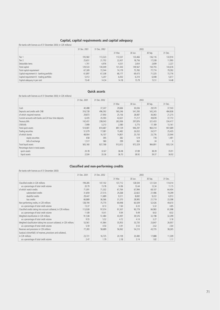# **Capital, capital requirements and capital adequacy**

(for banks with licences as of 31 December 2003; in CZK millions)

|                                           | 31 Dec. 2001 | 31 Dec. 2002 | 2003    |         |         |         |
|-------------------------------------------|--------------|--------------|---------|---------|---------|---------|
|                                           |              |              | 31 Mar. | 30 Jun. | 30 Sep. | 31 Dec. |
| Tier 1                                    | 105.582      | 113,323      | 113.537 | 133,466 | 136,116 | 133,910 |
| Tier 2                                    | 25,651       | 21,702       | 22,437  | 18,756  | 17,338  | 11,993  |
| Deductible items                          | 1.701        | 4,976        | 4,531   | 2,654   | 2,699   | 2,227   |
| Total capital                             | 129,533      | 130,049      | 131,443 | 149,567 | 150,755 | 143,676 |
| Total capital requirement                 | 67.309       | 72.544       | 74.179  | 75,783  | 77.774  | 79,392  |
| Capital requirement A - banking portfolio | 61.897       | 67.338       | 68.177  | 69.473  | 71.325  | 73,776  |
| Capital requirement B - trading portfolio | 5,412        | 5,207        | 6,002   | 6,310   | 6,448   | 5,617   |
| Capital adequacy in per cent              | 15.40        | 14.34        | 14.18   | 15.79   | 15.51   | 14.48   |

# **Quick assets**

(for banks with licences as of 31 December 2003; in CZK millions)

|                                                       | 31 Dec. 2001 | 31 Dec. 2002 |         | 2003    |         |          |
|-------------------------------------------------------|--------------|--------------|---------|---------|---------|----------|
|                                                       |              |              | 31 Mar. | 30 Jun. | 30 Sep. | 31 Dec.  |
| Cash                                                  | 40,488       | 37,247       | 29,666  | 30,036  | 29,570  | 37,503   |
| Deposits and credits with CNB                         | 316,728      | 496,592      | 560,246 | 541,393 | 542,245 | 484,836  |
| of which: required reserves                           | 29,873       | 27,950       | 25,156  | 28,087  | 36,063  | 21,215   |
| Current accounts with banks and 24 hour time deposits | 6,435        | 35,593       | 42,631  | 71,217  | 49,878  | 37,772   |
| Treasury bills                                        | 142,431      | 238,043      | 262,006 | 297,876 | 321,433 | 334,417  |
| CNB bills                                             | 7,999        | 3,213        | 2,580   | 5,775   | 17,189  | 13,161   |
| Total quick assets                                    | 514,081      | 810,687      | 897,129 | 946,297 | 960,314 | 907,689  |
| Trading securities                                    | 51,079       | 17,081       | 15,482  | 26,032  | 24,577  | 25,435   |
| of which: bonds                                       | 48,904       | 16,107       | 14,801  | 25,150  | 23,776  | 23,944   |
| equity securities                                     | 658          | 395          | 382     | 519     | 778     | 1,491    |
| bills of exchange                                     | 1,517        | 580          | 299     | 363     | 24      | $\Omega$ |
| Total liquid assets                                   | 565,160      | 827,768      | 912,612 | 972,329 | 984,891 | 933,124  |
| Percentage share in total assets:                     |              |              |         |         |         |          |
| quick assets                                          | 20.78        | 32.67        | 36.08   | 37.89   | 38.39   | 35.91    |
| liquid assets                                         | 22.84        | 33.36        | 36.70   | 38.92   | 39.37   | 36.92    |

# **Classified and non-performing credits**

|                                                                         | 31 Dec. 2001 | 31 Dec. 2002 |         |         | 2003    |         |
|-------------------------------------------------------------------------|--------------|--------------|---------|---------|---------|---------|
|                                                                         |              |              | 31 Mar. | 30 Jun. | 30 Sep. | 31 Dec. |
| Classified credits in CZK millions                                      | 199,285      | 147,102      | 137,712 | 128,504 | 121,534 | 114,014 |
| as a percentage of total credit volume                                  | 20.79        | 15.78        | 14.96   | 13.44   | 12.34   | 11.15   |
| of which: watch credits                                                 | 71,091       | 71,332       | 67,764  | 67,994  | 69,107  | 64,404  |
| substandard credits                                                     | 31,859       | 27,515       | 29,268  | 22,822  | 21,486  | 19,299  |
| doubtful credits                                                        | 29,447       | 11,689       | 9,311   | 8.692   | 9,222   | 6,913   |
| loss credits                                                            | 66,889       | 36,566       | 31,370  | 28,995  | 21,719  | 23,398  |
| Non-performing credits, in CZK millions                                 | 128,194      | 75,770       | 69,948  | 60,509  | 52,426  | 49,610  |
| as a percentage of total credit volume                                  | 13.37        | 8.13         | 7.60    | 6.33    | 5.32    | 4.85    |
| Classified credits taking into account collateral, in CZK millions      | 113,928      | 97,074       | 91,507  | 90,779  | 84,983  | 81,998  |
| as a percentage of total credit volume                                  | 11.89        | 10.41        | 9.94    | 9.49    | 8.63    | 8.02    |
| Weighted classification in CZK millions                                 | 91,538       | 51,480       | 43,497  | 39,576  | 32,198  | 32,299  |
| as a percentage of total credit volume                                  | 9.55         | 5.52         | 4.72    | 4.14    | 3.27    | 3.16    |
| Weighted classification taking into account collateral, in CZK millions | 53,561       | 41,964       | 35,953  | 33,730  | 25,847  | 26,957  |
| as a percentage of total credit volume                                  | 5.59         | 4.50         | 3.91    | 3.53    | 2.62    | 2.64    |
| Reserves and provisions in CZK millions                                 | 77,283       | 58,689       | 56,062  | 54,210  | 43,735  | 38,265  |
| Surplus(+)/shortfall(-) of reserves, provisions and collateral,         |              |              |         |         |         |         |
| in CZK millions                                                         | 23,721       | 16,725       | 20.109  | 20,480  | 17,888  | 11,309  |
| as a percentage of total credit volume                                  | 2.47         | 1.79         | 2.18    | 2.14    | 1.82    | 1.11    |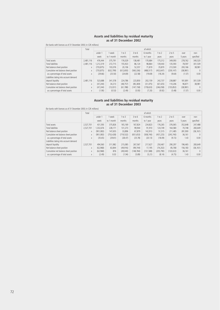#### **Assets and liabilities by residual maturity as of 31 December 2002**

| (for banks with licences as of 31 December 2003; in CZK millions) |  |  |
|-------------------------------------------------------------------|--|--|
|-------------------------------------------------------------------|--|--|

|                                        | Total     |           |            |            |            | of which   |            |            |           |           |
|----------------------------------------|-----------|-----------|------------|------------|------------|------------|------------|------------|-----------|-----------|
|                                        |           | under 1   | 1 week     | 1 to 3     | $3$ to $6$ | 6 months   | 1 to 2     | $2$ to 5   | over      | non-      |
|                                        |           | week      | to 1 month | months     | months     | to 1 year  | years      | years      | 5 years   | specified |
| Total assets                           | 2.481.116 | 476.444   | 375.791    | 176.029    | 138.481    | 170.684    | 175,312    | 349.093    | 278.762   | 340,520   |
| <b>Total liabilities</b>               | 2.481.116 | 1.212.319 | 272,715    | 155.923    | 86.124     | 98.864     | 139,443    | 135,593    | 78,597    | 301,539   |
| Net balance sheet position             | X         | (735.875) | 103.076    | 20.106     | 52,357     | 71.819     | 35,870     | 213,500    | 200.166   | 38,981    |
| Cumulative net balance sheet position  | X         | (735.875) | (632, 799) | (612, 693) | (560, 336) | (488.517)  | (452, 647) | (239.147)  | (38, 981) | $\Omega$  |
| as a percentage of total assets        | X         | (29.66)   | (25.50)    | (24.69)    | (22.58)    | (19.69)    | (18.24)    | (9.64)     | (1.57)    | 0.00      |
| Liabilities taking into account demand |           |           |            |            |            |            |            |            |           |           |
| deposit liquidity                      | 2.481.116 | 523.688   | 341.578    | 224,786    | 223,850    | 202.159    | 242,737    | 238.887    | 181.891   | 301,539   |
| Net balance sheet position             | X         | (47.244)  | 34,213     | (48.757)   | (85, 369)  | (31, 475)  | (67, 425)  | 110,206    | 96.871    | 38,981    |
| Cumulative net balance sheet position  | X         | (47, 244) | (13,031)   | (61, 788)  | (147, 158) | (178, 633) | (246, 058) | (135, 852) | (38, 981) | $\bigcap$ |
| as a percentage of total assets        | X         | (1.90)    | (0.53)     | (2.49)     | (5.93)     | (7.20)     | (9.92)     | (5.48)     | (1.57)    | 0.00      |

### **Assets and liabilities by residual maturity as of 31 December 2003**

(for banks with licences as of 31 December 2003; in CZK millions)

|                                        | Total     |           |            |            |           | of which  |            |            |         |           |
|----------------------------------------|-----------|-----------|------------|------------|-----------|-----------|------------|------------|---------|-----------|
|                                        |           | under 1   | week       | 1 to 3     | 3 to 6    | 6 months  | 1 to 2     | 2 to 5     | over    | non-      |
|                                        |           | week      | to 1 month | months     | months    | to 1 year | years      | years      | 5 years | specified |
| Total assets                           | 2.527.701 | 431.593   | 375.826    | 165.169    | 167.824   | 234,823   | 176.265    | 376.065    | 352,648 | 247,488   |
| <b>Total liabilities</b>               | 2,527,701 | 1.332.676 | 228.171    | 131,273    | 99.944    | 91,910    | 124.749    | 164.580    | 70.748  | 283,649   |
| Net balance sheet position             | X         | (901.083) | 147.655    | 33,896     | 67.879    | 142.913   | 51.515     | 211.485    | 281,900 | (36, 161) |
| Cumulative net balance sheet position  | X         | (901.083) | (753.428)  | (719, 532) | (651.653) | (508.740) | (457.225)  | (245.740)  | 36,161  | $\Omega$  |
| as a percentage of total assets        | X         | (35.65)   | (29.81)    | (28.47)    | (25.78)   | (20.13)   | (18.09)    | (9.72)     | 1.43    | 0.00      |
| Liabilities taking into account demand |           |           |            |            |           |           |            |            |         |           |
| deposit liquidity                      | 2.527.701 | 494.560   | 311,982    | 215,085    | 267.567   | 217.627   | 250.467    | 290.297    | 196.465 | 283,649   |
| Net balance sheet position             | X         | (62.968)  | 63.844     | (49.916)   | (99.744)  | 17.195    | (74.202)   | 85,768     | 156.183 | (36, 161) |
| Cumulative net balance sheet position  | X         | (62, 968) | 876        | (49.040)   | (148.784) | (131.588) | (205, 790) | (120, 022) | 36,161  | $\bigcap$ |
| as a percentage of total assets        | X         | (2.49)    | 0.03       | (1.94)     | (5.89)    | (5.21)    | (8.14)     | (4.75)     | 1.43    | 0.00      |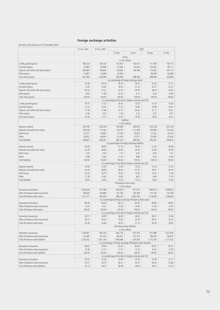# **Foreign exchange activities**

|                                         | 31 Dec. 2001                                                                                                     | 31 Dec. 2002 | 2003                                                                           |                          |                      |                      |  |
|-----------------------------------------|------------------------------------------------------------------------------------------------------------------|--------------|--------------------------------------------------------------------------------|--------------------------|----------------------|----------------------|--|
|                                         |                                                                                                                  |              | 31 Mar.                                                                        | 30 Jun.                  | 30 Sep.              | 31 Dec.              |  |
|                                         | Assets                                                                                                           |              |                                                                                |                          |                      |                      |  |
|                                         | in CZK millions                                                                                                  |              |                                                                                |                          |                      |                      |  |
| Credits granted (gross)                 | 189,324                                                                                                          | 160,526      | 152,813                                                                        | 150,415                  | 151,458              | 158,115              |  |
| Securities (gross)                      | 53,964                                                                                                           | 64,896       | 74,208                                                                         | 82,326                   | 103,360              | 99,111               |  |
| Deposits and credits with banks (gross) | 285,985                                                                                                          | 164,846      | 129,364                                                                        | 120,186                  | 115,902              | 105,114              |  |
| Other (gross)                           | 51,807                                                                                                           | 52,680       | 43,904                                                                         |                          | 38,248               | 63,668               |  |
| Total assets (gross)                    | 581,080                                                                                                          | 442,948      | 400,289                                                                        | 388,298                  | 408,968              | 426,008              |  |
|                                         | as a percentage of foreign exchange assets                                                                       |              |                                                                                |                          |                      |                      |  |
| Credits granted (gross)                 | 32.58                                                                                                            | 36.24        | 38.18                                                                          | 38.74                    | 37.03                | 37.12                |  |
| Securities (gross)                      | 9.29                                                                                                             | 14.65        | 18.54                                                                          | 21.20                    | 25.27                | 23.27                |  |
| Deposits and credits with banks (gross) | 49.22                                                                                                            | 37.22        | 32.32                                                                          | 30.95                    | 28.34                | 24.67                |  |
| Other (gross)                           | 8.92                                                                                                             | 11.89        | 10.97                                                                          | 9.11                     | 9.35                 | 14.95                |  |
| Total assets (gross)                    | 100.00                                                                                                           | 100.00       | 100.00                                                                         | 100.00                   | 100.00               | 100.00               |  |
|                                         | as a percentage of the total in foreign currencies and CZK                                                       |              |                                                                                |                          |                      |                      |  |
| Credits granted (gross)                 | 19.75                                                                                                            | 17.22        | 16.41                                                                          | 15.55                    | 15.19                | 15.43                |  |
| Securities (gross)                      | 11.23                                                                                                            | 14.04        | 15.37                                                                          | 15.80                    | 19.98                | 18.41                |  |
| Deposits and credits with banks (gross) | 51.18                                                                                                            | 41.68        | 37.10                                                                          | 36.52                    | 37.17                | 35.01                |  |
| Other (gross)                           | 4.56                                                                                                             | 4.47         | 3.78                                                                           | 3.22                     | 3.57                 | 6.07                 |  |
| Total assets (gross)                    | 22.56                                                                                                            | 17.21        | 15.53                                                                          | 15.00                    | 15.82                | 16.31                |  |
|                                         |                                                                                                                  |              |                                                                                | Liabilities              |                      |                      |  |
|                                         |                                                                                                                  |              |                                                                                | in CZK millions          |                      |                      |  |
| Deposits received                       | 239,746                                                                                                          | 200,240      | 195,280                                                                        | 206,874                  | 203,138              | 203,138              |  |
| Deposits and credits from banks         | 159,348                                                                                                          | 117,262      | 116,754                                                                        | 111,569                  | 129,994              | 133,434              |  |
| <b>Bond issues</b>                      | 33,721                                                                                                           | 26,993       | 27,239                                                                         | 24,623                   | 27,325               | 34,735               |  |
| Other<br><b>Total liabilities</b>       | 45,852                                                                                                           | 64,805       | 42,243                                                                         | 37,517                   | 35,830               | 67,616               |  |
|                                         | 478,667                                                                                                          | 409,301      | 381,516<br>as a percentage of foreign exchange liabilities                     | 380,583                  | 396,287              | 438,922              |  |
| Deposits received                       | 50.09                                                                                                            | 48.92        | 51.19                                                                          | 54.36                    | 51.26                | 46.28                |  |
| Deposits and credits from banks         | 33.29                                                                                                            | 28.65        | 30.60                                                                          | 29.32                    | 32.80                | 30.40                |  |
| <b>Bond issues</b>                      | 7.04                                                                                                             | 6.59         | 7.14                                                                           | 6.47                     | 6.90                 | 7.91                 |  |
| Other                                   | 9.58                                                                                                             | 15.83        | 11.07                                                                          | 9.86                     | 9.04                 | 15.40                |  |
| <b>Total liabilities</b>                | 100.00                                                                                                           |              | 100.00                                                                         | 100.00                   | 100.00               | 100.00               |  |
|                                         | 100.00<br>as a percentage of the total in foreign currencies and CZK                                             |              |                                                                                |                          |                      |                      |  |
| Deposits received                       | 16.06                                                                                                            | 12.45        | 12.04                                                                          | 12.63                    | 12.19                | 12.20                |  |
| Deposits and credits from banks         | 43.46                                                                                                            | 38.84        | 38.42                                                                          | 41.05                    | 45.91                | 46.79                |  |
| <b>Bond issues</b>                      | 16.24                                                                                                            | 16.79        | 16.65                                                                          | 15.09                    | 14.55                | 17.69                |  |
| Other                                   | 11.28                                                                                                            | 15.82        | 10.63                                                                          | 8.81                     | 9.84                 | 17.76                |  |
| <b>Total liabilities</b>                | 19.35                                                                                                            | 16.50        | 15.34                                                                          | 15.23                    | 15.84                | 17.36                |  |
|                                         |                                                                                                                  |              |                                                                                | Off-balance-sheet assets |                      |                      |  |
|                                         |                                                                                                                  |              |                                                                                | in CZK millions          |                      |                      |  |
| Derivatives transactions                | 1,052,626                                                                                                        | 761,466      | 844,029                                                                        | 911,472                  | 949,553              | 1,049,812            |  |
| Other off-balance-sheet transactions    | 138,645                                                                                                          | 140,883      | 152,196                                                                        | 156,308                  | 170,146              | 119,148              |  |
| Total off-balance-sheet assets          | 1,191,271                                                                                                        | 902,350      | 996,225                                                                        | 1,067,780                | 1,119,699            | 1,168,960            |  |
|                                         |                                                                                                                  |              | as a percentage of foreign exchange off-balance-sheet assets                   |                          |                      |                      |  |
| Derivatives transactions                | 88.36                                                                                                            | 84.39        | 84.72                                                                          | 85.36                    | 84.80                | 89.81                |  |
| Other off-balance-sheet transactions    | 11.64                                                                                                            | 15.61        | 15.28                                                                          | 14.64                    | 15.20                | 10.19                |  |
| Total off-balance-sheet assets          | 100.00                                                                                                           | 100.00       | 100.00                                                                         | 100.00                   | 100.00               | 100.00               |  |
|                                         |                                                                                                                  |              | as a percentage of the total in foreign currencies and CZK                     |                          |                      |                      |  |
| Derivatives transactions                | 30.17                                                                                                            | 24.99        | 26.69                                                                          | 28.23                    | 28.41                | 31.68                |  |
| Other off-balance-sheet transactions    | 36.37                                                                                                            | 24.04        | 25.63                                                                          | 25.29                    | 26.97                | 20.23                |  |
| Total off-balance-sheet assets          | 30.78                                                                                                            | 24.84        | 26.52                                                                          | 27.75                    | 28.18                | 29.95                |  |
|                                         | Off-balance-sheet liabilities<br>in CZK millions                                                                 |              |                                                                                |                          |                      |                      |  |
| Derivatives transactions                |                                                                                                                  | 785,754      |                                                                                |                          |                      |                      |  |
| Other off-balance-sheet transactions    | 1,144,061                                                                                                        |              | 863,118                                                                        | 913,793                  | 971,998              | 1,021,878<br>149,679 |  |
| Total off-balance-sheet liabilities     | 132,490                                                                                                          | 215,354      | 186,470                                                                        | 191,774                  | 185,542<br>1,157,539 |                      |  |
|                                         | 1,276,552                                                                                                        | 1,001,109    | 1,049,588<br>as a percentage of foreign exchange off-balance-sheet liabilities | 1,105,567                |                      | 1,171,557            |  |
| Derivatives transactions                | 89.62                                                                                                            | 78.49        | 82.23                                                                          | 82.65                    | 83.97                | 87.22                |  |
| Other off-balance-sheet transactions    | 10.38                                                                                                            | 21.51        | 17.77                                                                          | 17.35                    | 16.03                | 12.78                |  |
| Total off-balance-sheet liabilities     | 100.00                                                                                                           | 100.00       | 100.00                                                                         | 100.00                   | 100.00               | 100.00               |  |
|                                         |                                                                                                                  |              |                                                                                |                          |                      |                      |  |
| Derivatives transactions                | as a percentage of the total in foreign currencies and CZK<br>29.33<br>22.26<br>23.84<br>24.74<br>25.28<br>27.17 |              |                                                                                |                          |                      |                      |  |
| Other off-balance-sheet transactions    | 31.91                                                                                                            | 44.19        | 40.47                                                                          | 40.75                    | 36.56                | 32.68                |  |
| Total off-balance-sheet liabilities     | 32.73                                                                                                            | 28.35        | 28.99                                                                          | 29.93                    | 30.10                | 31.14                |  |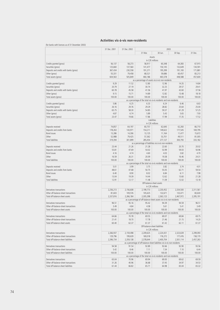# **Activities vis-à-vis non-residents**

|                                         | 31 Dec. 2001                                                                                  | 31 Dec. 2002 | 2003            |                                                                          |           |                |  |  |
|-----------------------------------------|-----------------------------------------------------------------------------------------------|--------------|-----------------|--------------------------------------------------------------------------|-----------|----------------|--|--|
|                                         |                                                                                               |              | 31 Mar.         | 30 Jun.                                                                  | 30 Sep.   | 31 Dec.        |  |  |
|                                         | Assets<br>in CZK millions                                                                     |              |                 |                                                                          |           |                |  |  |
| Credits granted (gross)                 | 56,137                                                                                        | 58,273       | 58,917          | 60,348                                                                   | 64,383    | 67,915         |  |  |
| Securities (gross)                      | 125,660                                                                                       | 137,560      | 141,477         | 150,145                                                                  | 132,649   | 134,591        |  |  |
| Deposits and credits with banks (gross) | 367,434                                                                                       | 230,558      | 191,271         | 195,399                                                                  | 191,100   | 171,881        |  |  |
| Other (gross)                           | 55,331                                                                                        | 79,458       | 68,521          | 59,686                                                                   | 60,457    | 83,213         |  |  |
| Total assets (gross)                    | 604,563                                                                                       | 505,849      | 460,186         | 465,578                                                                  | 448,588   | 457,600        |  |  |
|                                         |                                                                                               |              |                 |                                                                          |           |                |  |  |
| Credits granted (gross)                 | as a percentage of assets vis-à-vis non-residents<br>9.29<br>11.52<br>12.80<br>12.96<br>14.35 |              |                 |                                                                          |           |                |  |  |
| Securities (gross)                      | 20.79                                                                                         | 27.19        | 30.74           | 32.25                                                                    | 29.57     | 14.84<br>29.41 |  |  |
|                                         |                                                                                               |              |                 |                                                                          |           |                |  |  |
| Deposits and credits with banks (gross) | 60.78                                                                                         | 45.58        | 41.56           | 41.97                                                                    | 42.60     | 37.56          |  |  |
| Other (gross)                           | 9.15                                                                                          | 15.71        | 14.89           | 12.82                                                                    | 13.48     | 18.18          |  |  |
| Total assets (gross)                    | 100.00                                                                                        | 100.00       | 100.00          | 100.00                                                                   | 100.00    | 100.00         |  |  |
|                                         |                                                                                               |              |                 | as a percentage of the total vis-à-vis residents and non-residents       |           |                |  |  |
| Credits granted (gross)                 | 5.86                                                                                          | 6.25         | 6.33            | 6.24                                                                     | 6.46      | 6.63           |  |  |
| Securities (gross)                      | 26.16                                                                                         | 29.76        | 29.29           | 28.82                                                                    | 25.64     | 25.00          |  |  |
| Deposits and credits with banks (gross) | 65.75                                                                                         | 58.30        | 54.85           | 59.37                                                                    | 61.29     | 57.25          |  |  |
| Other (gross)                           | 4.87                                                                                          | 6.74         | 5.89            | 5.43                                                                     | 5.65      | 7.93           |  |  |
| Total assets (gross)                    | 23.47                                                                                         | 19.66        | 17.86           | 17.99                                                                    | 17.35     | 17.52          |  |  |
|                                         |                                                                                               |              | in CZK millions | Liabilities                                                              |           |                |  |  |
| Deposits received                       | 74,857                                                                                        | 64,197       | 60,757          | 62,640                                                                   | 62,260    | 66,710         |  |  |
| Deposits and credits from banks         | 178,263                                                                                       | 143,971      | 154,211         | 149,622                                                                  | 177,545   | 169,795        |  |  |
| Bond issues                             | 13,286                                                                                        | 14,306       | 13,125          | 11,164                                                                   | 11,477    | 15,672         |  |  |
| Other                                   | 52,988                                                                                        | 79,425       | 57,362          | 53,701                                                                   | 49,511    | 81,005         |  |  |
| <b>Total liabilities</b>                | 319,394                                                                                       | 301,899      | 285,454         | 277,127                                                                  | 300,793   | 333,182        |  |  |
|                                         |                                                                                               |              |                 | as a percentage of liabilities vis-à-vis non-residents                   |           |                |  |  |
| Deposits received                       | 23.44                                                                                         | 21.26        | 21.28           | 22.60                                                                    | 20.70     | 20.02          |  |  |
| Deposits and credits from banks         | 55.81                                                                                         | 47.69        | 54.02           | 53.99                                                                    | 59.03     | 50.96          |  |  |
| Bond issues                             | 4.16                                                                                          | 4.74         | 4.60            | 4.03                                                                     | 3.82      | 4.70           |  |  |
| Other                                   | 16.59                                                                                         | 26.31        | 20.09           | 19.38                                                                    | 16.46     | 24.31          |  |  |
|                                         |                                                                                               |              |                 |                                                                          |           |                |  |  |
| <b>Total liabilities</b>                | 100.00                                                                                        | 100.00       | 100.00          | 100.00                                                                   | 100.00    | 100.00         |  |  |
|                                         |                                                                                               |              |                 | as a percentage of the total vis-à-vis residents and non-residents       |           |                |  |  |
| Deposits received                       | 5.01                                                                                          | 3.99         | 3.75            | 3.82                                                                     | 3.74      | 4.01           |  |  |
| Deposits and credits from banks         | 48.61                                                                                         | 47.68        | 50.75           | 55.05                                                                    | 62.71     | 59.54          |  |  |
| Bond issues                             | 6.40                                                                                          | 8.90         | 8.02            | 6.84                                                                     | 6.11      | 7.98           |  |  |
| Other                                   | 13.04                                                                                         | 19.39        | 14.44           | 12.62                                                                    | 13.60     | 21.28          |  |  |
| <b>Total liabilities</b>                | 12.91<br>12.17<br>11.48<br>11.09<br>12.02<br>13.18                                            |              |                 |                                                                          |           |                |  |  |
|                                         | Off-balance-sheet assets<br>in CZK millions                                                   |              |                 |                                                                          |           |                |  |  |
| Derivatives transactions                | 2,256,213                                                                                     | 2,156,608    | 2,199,773       | 2,230,452                                                                | 2,334,500 | 2,311,561      |  |  |
| Other off-balance-sheet transactions    | 81,603                                                                                        | 109,576      | 105,625         | 132,671                                                                  | 133,471   | 83,630         |  |  |
| Total off-balance-sheet assets          | 2,337,816                                                                                     | 2,266,184    | 2,305,398       | 2,363,123                                                                | 2,467,972 | 2,395,191      |  |  |
|                                         |                                                                                               |              |                 | as a percentage of off-balance-sheet assets vis-à-vis non-residents      |           |                |  |  |
| Derivatives transactions                | 96.51                                                                                         | 95.16        | 95.42           | 94.39                                                                    | 94.59     | 96.51          |  |  |
| Other off-balance-sheet transactions    | 3.49                                                                                          | 4.84         | 4.58            | 5.61                                                                     | 5.41      | 3.49           |  |  |
| Total off-balance-sheet assets          | 100.00                                                                                        | 100.00       | 100.00          | 100.00                                                                   | 100.00    | 100.00         |  |  |
|                                         | as a percentage of the total vis-à-vis residents and non-residents                            |              |                 |                                                                          |           |                |  |  |
| Derivatives transactions                | 64.66                                                                                         | 70.78        | 69.55           | 69.07                                                                    | 69.84     | 69.75          |  |  |
| Other off-balance-sheet transactions    | 21.41                                                                                         | 18.70        | 17.78           | 21.46                                                                    | 21.15     | 14.20          |  |  |
| Total off-balance-sheet assets          | 60.40                                                                                         | 62.37        | 61.37           | 61.42                                                                    | 62.11     | 61.37          |  |  |
|                                         | Off-balance-sheet liabilities<br>in CZK millions                                              |              |                 |                                                                          |           |                |  |  |
| Derivatives transactions                | 2,266,937                                                                                     | 2,159,498    | 2,209,625       | 2,224,431                                                                | 2,323,639 | 2,299,093      |  |  |
| Other off-balance-sheet transactions    | 129,796                                                                                       | 199,639      | 169,018         | 176,272                                                                  | 177,476   | 158,170        |  |  |
| Total off-balance-sheet liabilities     | 2,396,734                                                                                     | 2,359,138    | 2,378,644       | 2,400,704                                                                | 2,501,114 | 2,457,263      |  |  |
|                                         |                                                                                               |              |                 | as a percentage of off-balance-sheet liabilities vis-à-vis non-residents |           |                |  |  |
| Derivatives transactions                | 94.58                                                                                         | 91.54        | 92.89           | 92.66                                                                    | 92.90     | 93.56          |  |  |
| Other off-balance-sheet transactions    | 5.42                                                                                          | 8.46         | 7.11            | 7.34                                                                     | 7.10      | 6.44           |  |  |
| Total off-balance-sheet liabilities     | 100.00                                                                                        | 100.00       | 100.00          | 100.00                                                                   | 100.00    | 100.00         |  |  |
|                                         | as a percentage of the total vis-à-vis residents and non-residents                            |              |                 |                                                                          |           |                |  |  |
| Derivatives transactions                | 65.04<br>70.96<br>69.94<br>69.00<br>69.62<br>69.59                                            |              |                 |                                                                          |           |                |  |  |
| Other off-balance-sheet transactions    | 31.26                                                                                         | 40.96        | 36.68           | 37.45                                                                    | 34.97     | 34.53          |  |  |
| Total off-balance-sheet liabilities     | 61.44                                                                                         | 66.82        | 65.71           | 64.98                                                                    | 65.04     | 65.32          |  |  |
|                                         |                                                                                               |              |                 |                                                                          |           |                |  |  |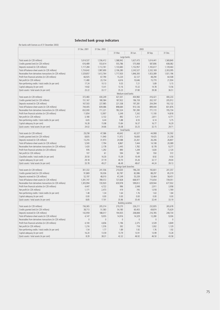# **Selected bank group indicators**

| 31 Mar.<br>30 Jun.<br>30 Sep.<br>31 Dec.<br>Large banks<br>1,569,840<br>Total assets (in CZK millions)<br>1,614,537<br>1,556,412<br>1,588,942<br>1,627,473<br>1,614,441<br>Credits granted (net) (in CZK millions)<br>616,489<br>553,614<br>555,786<br>575,068<br>587,806<br>608,082<br>Deposits received (in CZK millions)<br>1,117,284<br>1,112,761<br>1,133,683<br>1,152,957<br>1,165,617<br>1,139,463<br>Total off-balance-sheet assets (in CZK millions)<br>1,724,642<br>1,987,690<br>2,106,280<br>2,243,527<br>2,332,169<br>2,303,095<br>Receivables from derivatives transactions (in CZK millions)<br>1,529,857<br>1,612,764<br>1,717,920<br>1,846,300<br>1,923,389<br>1,921,196<br>Profit from financial activities (in CZK millions)<br>66,925<br>67,790<br>15,220<br>32,127<br>48,294<br>64,508<br>Net profit (in CZK millions)<br>15,770<br>21.934<br>11,480<br>23,154<br>4,616<br>10,646<br>Non-performing credits / total credits (in per cent)<br>17.24<br>10.13<br>9.35<br>7.21<br>5.89<br>5.15<br>Capital adequacy (in per cent)<br>14.82<br>13.16<br>15.32<br>14.78<br>13.56<br>13.41<br>Quick assets / total assets (in per cent)<br>23.22<br>33.17<br>35.23<br>37.80<br>39.38<br>36.51<br>Medium-sized banks<br>Total assets (in CZK millions)<br>372,483<br>430,249<br>427,301<br>404,960<br>416,421<br>400,233<br>Credits granted (net) (in CZK millions)<br>151,167<br>180,584<br>187,922<br>196,159<br>202,107<br>205,912<br>Deposits received (in CZK millions)<br>167,503<br>227,985<br>221,538<br>197,281<br>204,394<br>192,132<br>Total off-balance-sheet assets (in CZK millions)<br>744,405<br>839,086<br>898,684<br>913,126<br>899,444<br>831,876<br>Receivables from derivatives transactions (in CZK millions)<br>652,000<br>711,221<br>782,324<br>781,390<br>771,172<br>705,734<br>Profit from financial activities (in CZK millions)<br>12,907<br>14,818<br>11,854<br>3,349<br>7,242<br>11,100<br>Net profit (in CZK millions)<br>3,180<br>892<br>1,311<br>2,811<br>4,771<br>3,132<br>Non-performing credits / total credits (in per cent)<br>6.65<br>6.44<br>5.88<br>6.55<br>6.14<br>5.75<br>Capital adequacy (in per cent)<br>16.28<br>15.98<br>15.84<br>16.37<br>16.77<br>16.29<br>Quick assets / total assets (in per cent)<br>24.02<br>34.66<br>35.08<br>33.25<br>32.15<br>29.71<br>Small banks<br>Total assets (in CZK millions)<br>29,258<br>47,586<br>40,642<br>43,327<br>44,908<br>50,592<br>8,835<br>11,940<br>11,972<br>16,600<br>19,425<br>21,258<br>Credits granted (net) (in CZK millions)<br>Deposits received (in CZK millions)<br>13,255<br>31,973<br>24,588<br>23,261<br>26,206<br>26,807<br>Total off-balance-sheet assets (in CZK millions)<br>5,500<br>7,794<br>8,867<br>7,444<br>14,108<br>20,089<br>Receivables from derivatives transactions (in CZK millions)<br>1,420<br>2,178<br>2,445<br>1,782<br>8,178<br>9,277<br>Profit from financial activities (in CZK millions)<br>976<br>1,292<br>890<br>1,249<br>1,630<br>2,120<br>Net profit (in CZK millions)<br>107<br>594<br>581<br>550<br>572<br>61<br>9.50<br>Classified credits / total credits (in per cent)<br>20.50<br>16.30<br>15.39<br>8.92<br>10.49<br>Capital adequacy (in per cent)<br>29.18<br>37.19<br>40.70<br>35.26<br>32.17<br>29.00<br>Quick assets / total assets (in per cent)<br>33.78<br>49.27<br>46.49<br>48.67<br>44.24<br>39.13<br>Foreign bank branches<br>301,332<br>241,556<br>241,357<br>Total assets (in CZK millions)<br>210,630<br>196,230<br>192,831<br>85,319<br>91,869<br>93,036<br>82,787<br>82,086<br>88,297<br>Credits granted (net) (in CZK millions)<br>Deposits received (in CZK millions)<br>52,197<br>48,010<br>47,249<br>55,339<br>53,464<br>58,451<br>668,977<br>739,051<br>Total off-balance-sheet assets (in CZK millions)<br>1,391,747<br>789,572<br>727,828<br>715,654<br>720,920<br>659,978<br>599,812<br>639,944<br>677,932<br>Receivables from derivatives transactions (in CZK millions)<br>1,305,994<br>Profit from financial activities (in CZK millions)<br>4,722<br>996<br>2,048<br>2,911<br>3,958<br>4,447<br>Net profit (in CZK millions)<br>2,473<br>419<br>745<br>1,018<br>1,769<br>1,171<br>Non-performing credits / total credits (in per cent)<br>1.48<br>1.34<br>1.64<br>1.76<br>1.63<br>1.84<br>Capital adequacy (in per cent)<br>0.00<br>0.00<br>0.00<br>0.00<br>0.00<br>0.00<br>8.85<br>17.91<br>35.96<br>35.40<br>32.44<br>33.19<br>Quick assets / total assets (in per cent)<br><b>Building societies</b><br>Total assets (in CZK millions)<br>156,365<br>205,314<br>219,270<br>226,211<br>232,835<br>265,678<br>51,583<br>69,874<br>Credits granted (net) (in CZK millions)<br>38,713<br>54,180<br>60,403<br>75,629<br>142,959<br>188,017<br>194,925<br>208,808<br>216,785<br>248,734<br>Deposits received (in CZK millions)<br>4,147<br>9,055<br>14,916<br>14,329<br>12,280<br>9,036<br>Total off-balance-sheet assets (in CZK millions)<br>$\mathbb O$<br>Receivables from derivatives transactions (in CZK millions)<br>$\mathbb O$<br>$\theta$<br>$\theta$<br>$\Omega$<br>$\Omega$<br>Profit from financial activities (in CZK millions)<br>1,196<br>2,375<br>3,539<br>4,849<br>4,100<br>4,656<br>Net profit (in CZK millions)<br>1,216<br>1,576<br>392<br>718<br>1,002<br>1,129<br>1.92<br>Non-performing credits / total credits (in per cent)<br>1.54<br>1.77<br>1.89<br>1.92<br>1.76<br>13.99<br>13.28<br>Capital adequacy (in per cent)<br>16.20<br>13.59<br>13.79<br>13.91<br>Quick assets / total assets (in per cent)<br>8.39<br>42.32<br>46.92<br>46.50<br>43.58<br>38.31 | 31 Dec. 2001 | 31 Dec. 2002 | 2003 |  |  |  |  |
|--------------------------------------------------------------------------------------------------------------------------------------------------------------------------------------------------------------------------------------------------------------------------------------------------------------------------------------------------------------------------------------------------------------------------------------------------------------------------------------------------------------------------------------------------------------------------------------------------------------------------------------------------------------------------------------------------------------------------------------------------------------------------------------------------------------------------------------------------------------------------------------------------------------------------------------------------------------------------------------------------------------------------------------------------------------------------------------------------------------------------------------------------------------------------------------------------------------------------------------------------------------------------------------------------------------------------------------------------------------------------------------------------------------------------------------------------------------------------------------------------------------------------------------------------------------------------------------------------------------------------------------------------------------------------------------------------------------------------------------------------------------------------------------------------------------------------------------------------------------------------------------------------------------------------------------------------------------------------------------------------------------------------------------------------------------------------------------------------------------------------------------------------------------------------------------------------------------------------------------------------------------------------------------------------------------------------------------------------------------------------------------------------------------------------------------------------------------------------------------------------------------------------------------------------------------------------------------------------------------------------------------------------------------------------------------------------------------------------------------------------------------------------------------------------------------------------------------------------------------------------------------------------------------------------------------------------------------------------------------------------------------------------------------------------------------------------------------------------------------------------------------------------------------------------------------------------------------------------------------------------------------------------------------------------------------------------------------------------------------------------------------------------------------------------------------------------------------------------------------------------------------------------------------------------------------------------------------------------------------------------------------------------------------------------------------------------------------------------------------------------------------------------------------------------------------------------------------------------------------------------------------------------------------------------------------------------------------------------------------------------------------------------------------------------------------------------------------------------------------------------------------------------------------------------------------------------------------------------------------------------------------------------------------------------------------------------------------------------------------------------------------------------------------------------------------------------------------------------------------------------------------------------------------------------------------------------------------------------------------------------------------------------------------------------------------------------------------------------------------------------------------------------------------------------------------------------------------------------------------------------------------------------------------------------------------------------------------------------------------------------------------------------------------------------------------------------------------------------------------------------------------------------------------------------------------------------------------------------------------------------------------------------------------------------------------------------------------------------------------------------------------------------------------------------------------------------------------------------------------------------------------------------------------------------------------------------|--------------|--------------|------|--|--|--|--|
|                                                                                                                                                                                                                                                                                                                                                                                                                                                                                                                                                                                                                                                                                                                                                                                                                                                                                                                                                                                                                                                                                                                                                                                                                                                                                                                                                                                                                                                                                                                                                                                                                                                                                                                                                                                                                                                                                                                                                                                                                                                                                                                                                                                                                                                                                                                                                                                                                                                                                                                                                                                                                                                                                                                                                                                                                                                                                                                                                                                                                                                                                                                                                                                                                                                                                                                                                                                                                                                                                                                                                                                                                                                                                                                                                                                                                                                                                                                                                                                                                                                                                                                                                                                                                                                                                                                                                                                                                                                                                                                                                                                                                                                                                                                                                                                                                                                                                                                                                                                                                                                                                                                                                                                                                                                                                                                                                                                                                                                                                                                                                                          |              |              |      |  |  |  |  |
|                                                                                                                                                                                                                                                                                                                                                                                                                                                                                                                                                                                                                                                                                                                                                                                                                                                                                                                                                                                                                                                                                                                                                                                                                                                                                                                                                                                                                                                                                                                                                                                                                                                                                                                                                                                                                                                                                                                                                                                                                                                                                                                                                                                                                                                                                                                                                                                                                                                                                                                                                                                                                                                                                                                                                                                                                                                                                                                                                                                                                                                                                                                                                                                                                                                                                                                                                                                                                                                                                                                                                                                                                                                                                                                                                                                                                                                                                                                                                                                                                                                                                                                                                                                                                                                                                                                                                                                                                                                                                                                                                                                                                                                                                                                                                                                                                                                                                                                                                                                                                                                                                                                                                                                                                                                                                                                                                                                                                                                                                                                                                                          |              |              |      |  |  |  |  |
|                                                                                                                                                                                                                                                                                                                                                                                                                                                                                                                                                                                                                                                                                                                                                                                                                                                                                                                                                                                                                                                                                                                                                                                                                                                                                                                                                                                                                                                                                                                                                                                                                                                                                                                                                                                                                                                                                                                                                                                                                                                                                                                                                                                                                                                                                                                                                                                                                                                                                                                                                                                                                                                                                                                                                                                                                                                                                                                                                                                                                                                                                                                                                                                                                                                                                                                                                                                                                                                                                                                                                                                                                                                                                                                                                                                                                                                                                                                                                                                                                                                                                                                                                                                                                                                                                                                                                                                                                                                                                                                                                                                                                                                                                                                                                                                                                                                                                                                                                                                                                                                                                                                                                                                                                                                                                                                                                                                                                                                                                                                                                                          |              |              |      |  |  |  |  |
|                                                                                                                                                                                                                                                                                                                                                                                                                                                                                                                                                                                                                                                                                                                                                                                                                                                                                                                                                                                                                                                                                                                                                                                                                                                                                                                                                                                                                                                                                                                                                                                                                                                                                                                                                                                                                                                                                                                                                                                                                                                                                                                                                                                                                                                                                                                                                                                                                                                                                                                                                                                                                                                                                                                                                                                                                                                                                                                                                                                                                                                                                                                                                                                                                                                                                                                                                                                                                                                                                                                                                                                                                                                                                                                                                                                                                                                                                                                                                                                                                                                                                                                                                                                                                                                                                                                                                                                                                                                                                                                                                                                                                                                                                                                                                                                                                                                                                                                                                                                                                                                                                                                                                                                                                                                                                                                                                                                                                                                                                                                                                                          |              |              |      |  |  |  |  |
|                                                                                                                                                                                                                                                                                                                                                                                                                                                                                                                                                                                                                                                                                                                                                                                                                                                                                                                                                                                                                                                                                                                                                                                                                                                                                                                                                                                                                                                                                                                                                                                                                                                                                                                                                                                                                                                                                                                                                                                                                                                                                                                                                                                                                                                                                                                                                                                                                                                                                                                                                                                                                                                                                                                                                                                                                                                                                                                                                                                                                                                                                                                                                                                                                                                                                                                                                                                                                                                                                                                                                                                                                                                                                                                                                                                                                                                                                                                                                                                                                                                                                                                                                                                                                                                                                                                                                                                                                                                                                                                                                                                                                                                                                                                                                                                                                                                                                                                                                                                                                                                                                                                                                                                                                                                                                                                                                                                                                                                                                                                                                                          |              |              |      |  |  |  |  |
|                                                                                                                                                                                                                                                                                                                                                                                                                                                                                                                                                                                                                                                                                                                                                                                                                                                                                                                                                                                                                                                                                                                                                                                                                                                                                                                                                                                                                                                                                                                                                                                                                                                                                                                                                                                                                                                                                                                                                                                                                                                                                                                                                                                                                                                                                                                                                                                                                                                                                                                                                                                                                                                                                                                                                                                                                                                                                                                                                                                                                                                                                                                                                                                                                                                                                                                                                                                                                                                                                                                                                                                                                                                                                                                                                                                                                                                                                                                                                                                                                                                                                                                                                                                                                                                                                                                                                                                                                                                                                                                                                                                                                                                                                                                                                                                                                                                                                                                                                                                                                                                                                                                                                                                                                                                                                                                                                                                                                                                                                                                                                                          |              |              |      |  |  |  |  |
|                                                                                                                                                                                                                                                                                                                                                                                                                                                                                                                                                                                                                                                                                                                                                                                                                                                                                                                                                                                                                                                                                                                                                                                                                                                                                                                                                                                                                                                                                                                                                                                                                                                                                                                                                                                                                                                                                                                                                                                                                                                                                                                                                                                                                                                                                                                                                                                                                                                                                                                                                                                                                                                                                                                                                                                                                                                                                                                                                                                                                                                                                                                                                                                                                                                                                                                                                                                                                                                                                                                                                                                                                                                                                                                                                                                                                                                                                                                                                                                                                                                                                                                                                                                                                                                                                                                                                                                                                                                                                                                                                                                                                                                                                                                                                                                                                                                                                                                                                                                                                                                                                                                                                                                                                                                                                                                                                                                                                                                                                                                                                                          |              |              |      |  |  |  |  |
|                                                                                                                                                                                                                                                                                                                                                                                                                                                                                                                                                                                                                                                                                                                                                                                                                                                                                                                                                                                                                                                                                                                                                                                                                                                                                                                                                                                                                                                                                                                                                                                                                                                                                                                                                                                                                                                                                                                                                                                                                                                                                                                                                                                                                                                                                                                                                                                                                                                                                                                                                                                                                                                                                                                                                                                                                                                                                                                                                                                                                                                                                                                                                                                                                                                                                                                                                                                                                                                                                                                                                                                                                                                                                                                                                                                                                                                                                                                                                                                                                                                                                                                                                                                                                                                                                                                                                                                                                                                                                                                                                                                                                                                                                                                                                                                                                                                                                                                                                                                                                                                                                                                                                                                                                                                                                                                                                                                                                                                                                                                                                                          |              |              |      |  |  |  |  |
|                                                                                                                                                                                                                                                                                                                                                                                                                                                                                                                                                                                                                                                                                                                                                                                                                                                                                                                                                                                                                                                                                                                                                                                                                                                                                                                                                                                                                                                                                                                                                                                                                                                                                                                                                                                                                                                                                                                                                                                                                                                                                                                                                                                                                                                                                                                                                                                                                                                                                                                                                                                                                                                                                                                                                                                                                                                                                                                                                                                                                                                                                                                                                                                                                                                                                                                                                                                                                                                                                                                                                                                                                                                                                                                                                                                                                                                                                                                                                                                                                                                                                                                                                                                                                                                                                                                                                                                                                                                                                                                                                                                                                                                                                                                                                                                                                                                                                                                                                                                                                                                                                                                                                                                                                                                                                                                                                                                                                                                                                                                                                                          |              |              |      |  |  |  |  |
|                                                                                                                                                                                                                                                                                                                                                                                                                                                                                                                                                                                                                                                                                                                                                                                                                                                                                                                                                                                                                                                                                                                                                                                                                                                                                                                                                                                                                                                                                                                                                                                                                                                                                                                                                                                                                                                                                                                                                                                                                                                                                                                                                                                                                                                                                                                                                                                                                                                                                                                                                                                                                                                                                                                                                                                                                                                                                                                                                                                                                                                                                                                                                                                                                                                                                                                                                                                                                                                                                                                                                                                                                                                                                                                                                                                                                                                                                                                                                                                                                                                                                                                                                                                                                                                                                                                                                                                                                                                                                                                                                                                                                                                                                                                                                                                                                                                                                                                                                                                                                                                                                                                                                                                                                                                                                                                                                                                                                                                                                                                                                                          |              |              |      |  |  |  |  |
|                                                                                                                                                                                                                                                                                                                                                                                                                                                                                                                                                                                                                                                                                                                                                                                                                                                                                                                                                                                                                                                                                                                                                                                                                                                                                                                                                                                                                                                                                                                                                                                                                                                                                                                                                                                                                                                                                                                                                                                                                                                                                                                                                                                                                                                                                                                                                                                                                                                                                                                                                                                                                                                                                                                                                                                                                                                                                                                                                                                                                                                                                                                                                                                                                                                                                                                                                                                                                                                                                                                                                                                                                                                                                                                                                                                                                                                                                                                                                                                                                                                                                                                                                                                                                                                                                                                                                                                                                                                                                                                                                                                                                                                                                                                                                                                                                                                                                                                                                                                                                                                                                                                                                                                                                                                                                                                                                                                                                                                                                                                                                                          |              |              |      |  |  |  |  |
|                                                                                                                                                                                                                                                                                                                                                                                                                                                                                                                                                                                                                                                                                                                                                                                                                                                                                                                                                                                                                                                                                                                                                                                                                                                                                                                                                                                                                                                                                                                                                                                                                                                                                                                                                                                                                                                                                                                                                                                                                                                                                                                                                                                                                                                                                                                                                                                                                                                                                                                                                                                                                                                                                                                                                                                                                                                                                                                                                                                                                                                                                                                                                                                                                                                                                                                                                                                                                                                                                                                                                                                                                                                                                                                                                                                                                                                                                                                                                                                                                                                                                                                                                                                                                                                                                                                                                                                                                                                                                                                                                                                                                                                                                                                                                                                                                                                                                                                                                                                                                                                                                                                                                                                                                                                                                                                                                                                                                                                                                                                                                                          |              |              |      |  |  |  |  |
|                                                                                                                                                                                                                                                                                                                                                                                                                                                                                                                                                                                                                                                                                                                                                                                                                                                                                                                                                                                                                                                                                                                                                                                                                                                                                                                                                                                                                                                                                                                                                                                                                                                                                                                                                                                                                                                                                                                                                                                                                                                                                                                                                                                                                                                                                                                                                                                                                                                                                                                                                                                                                                                                                                                                                                                                                                                                                                                                                                                                                                                                                                                                                                                                                                                                                                                                                                                                                                                                                                                                                                                                                                                                                                                                                                                                                                                                                                                                                                                                                                                                                                                                                                                                                                                                                                                                                                                                                                                                                                                                                                                                                                                                                                                                                                                                                                                                                                                                                                                                                                                                                                                                                                                                                                                                                                                                                                                                                                                                                                                                                                          |              |              |      |  |  |  |  |
|                                                                                                                                                                                                                                                                                                                                                                                                                                                                                                                                                                                                                                                                                                                                                                                                                                                                                                                                                                                                                                                                                                                                                                                                                                                                                                                                                                                                                                                                                                                                                                                                                                                                                                                                                                                                                                                                                                                                                                                                                                                                                                                                                                                                                                                                                                                                                                                                                                                                                                                                                                                                                                                                                                                                                                                                                                                                                                                                                                                                                                                                                                                                                                                                                                                                                                                                                                                                                                                                                                                                                                                                                                                                                                                                                                                                                                                                                                                                                                                                                                                                                                                                                                                                                                                                                                                                                                                                                                                                                                                                                                                                                                                                                                                                                                                                                                                                                                                                                                                                                                                                                                                                                                                                                                                                                                                                                                                                                                                                                                                                                                          |              |              |      |  |  |  |  |
|                                                                                                                                                                                                                                                                                                                                                                                                                                                                                                                                                                                                                                                                                                                                                                                                                                                                                                                                                                                                                                                                                                                                                                                                                                                                                                                                                                                                                                                                                                                                                                                                                                                                                                                                                                                                                                                                                                                                                                                                                                                                                                                                                                                                                                                                                                                                                                                                                                                                                                                                                                                                                                                                                                                                                                                                                                                                                                                                                                                                                                                                                                                                                                                                                                                                                                                                                                                                                                                                                                                                                                                                                                                                                                                                                                                                                                                                                                                                                                                                                                                                                                                                                                                                                                                                                                                                                                                                                                                                                                                                                                                                                                                                                                                                                                                                                                                                                                                                                                                                                                                                                                                                                                                                                                                                                                                                                                                                                                                                                                                                                                          |              |              |      |  |  |  |  |
|                                                                                                                                                                                                                                                                                                                                                                                                                                                                                                                                                                                                                                                                                                                                                                                                                                                                                                                                                                                                                                                                                                                                                                                                                                                                                                                                                                                                                                                                                                                                                                                                                                                                                                                                                                                                                                                                                                                                                                                                                                                                                                                                                                                                                                                                                                                                                                                                                                                                                                                                                                                                                                                                                                                                                                                                                                                                                                                                                                                                                                                                                                                                                                                                                                                                                                                                                                                                                                                                                                                                                                                                                                                                                                                                                                                                                                                                                                                                                                                                                                                                                                                                                                                                                                                                                                                                                                                                                                                                                                                                                                                                                                                                                                                                                                                                                                                                                                                                                                                                                                                                                                                                                                                                                                                                                                                                                                                                                                                                                                                                                                          |              |              |      |  |  |  |  |
|                                                                                                                                                                                                                                                                                                                                                                                                                                                                                                                                                                                                                                                                                                                                                                                                                                                                                                                                                                                                                                                                                                                                                                                                                                                                                                                                                                                                                                                                                                                                                                                                                                                                                                                                                                                                                                                                                                                                                                                                                                                                                                                                                                                                                                                                                                                                                                                                                                                                                                                                                                                                                                                                                                                                                                                                                                                                                                                                                                                                                                                                                                                                                                                                                                                                                                                                                                                                                                                                                                                                                                                                                                                                                                                                                                                                                                                                                                                                                                                                                                                                                                                                                                                                                                                                                                                                                                                                                                                                                                                                                                                                                                                                                                                                                                                                                                                                                                                                                                                                                                                                                                                                                                                                                                                                                                                                                                                                                                                                                                                                                                          |              |              |      |  |  |  |  |
|                                                                                                                                                                                                                                                                                                                                                                                                                                                                                                                                                                                                                                                                                                                                                                                                                                                                                                                                                                                                                                                                                                                                                                                                                                                                                                                                                                                                                                                                                                                                                                                                                                                                                                                                                                                                                                                                                                                                                                                                                                                                                                                                                                                                                                                                                                                                                                                                                                                                                                                                                                                                                                                                                                                                                                                                                                                                                                                                                                                                                                                                                                                                                                                                                                                                                                                                                                                                                                                                                                                                                                                                                                                                                                                                                                                                                                                                                                                                                                                                                                                                                                                                                                                                                                                                                                                                                                                                                                                                                                                                                                                                                                                                                                                                                                                                                                                                                                                                                                                                                                                                                                                                                                                                                                                                                                                                                                                                                                                                                                                                                                          |              |              |      |  |  |  |  |
|                                                                                                                                                                                                                                                                                                                                                                                                                                                                                                                                                                                                                                                                                                                                                                                                                                                                                                                                                                                                                                                                                                                                                                                                                                                                                                                                                                                                                                                                                                                                                                                                                                                                                                                                                                                                                                                                                                                                                                                                                                                                                                                                                                                                                                                                                                                                                                                                                                                                                                                                                                                                                                                                                                                                                                                                                                                                                                                                                                                                                                                                                                                                                                                                                                                                                                                                                                                                                                                                                                                                                                                                                                                                                                                                                                                                                                                                                                                                                                                                                                                                                                                                                                                                                                                                                                                                                                                                                                                                                                                                                                                                                                                                                                                                                                                                                                                                                                                                                                                                                                                                                                                                                                                                                                                                                                                                                                                                                                                                                                                                                                          |              |              |      |  |  |  |  |
|                                                                                                                                                                                                                                                                                                                                                                                                                                                                                                                                                                                                                                                                                                                                                                                                                                                                                                                                                                                                                                                                                                                                                                                                                                                                                                                                                                                                                                                                                                                                                                                                                                                                                                                                                                                                                                                                                                                                                                                                                                                                                                                                                                                                                                                                                                                                                                                                                                                                                                                                                                                                                                                                                                                                                                                                                                                                                                                                                                                                                                                                                                                                                                                                                                                                                                                                                                                                                                                                                                                                                                                                                                                                                                                                                                                                                                                                                                                                                                                                                                                                                                                                                                                                                                                                                                                                                                                                                                                                                                                                                                                                                                                                                                                                                                                                                                                                                                                                                                                                                                                                                                                                                                                                                                                                                                                                                                                                                                                                                                                                                                          |              |              |      |  |  |  |  |
|                                                                                                                                                                                                                                                                                                                                                                                                                                                                                                                                                                                                                                                                                                                                                                                                                                                                                                                                                                                                                                                                                                                                                                                                                                                                                                                                                                                                                                                                                                                                                                                                                                                                                                                                                                                                                                                                                                                                                                                                                                                                                                                                                                                                                                                                                                                                                                                                                                                                                                                                                                                                                                                                                                                                                                                                                                                                                                                                                                                                                                                                                                                                                                                                                                                                                                                                                                                                                                                                                                                                                                                                                                                                                                                                                                                                                                                                                                                                                                                                                                                                                                                                                                                                                                                                                                                                                                                                                                                                                                                                                                                                                                                                                                                                                                                                                                                                                                                                                                                                                                                                                                                                                                                                                                                                                                                                                                                                                                                                                                                                                                          |              |              |      |  |  |  |  |
|                                                                                                                                                                                                                                                                                                                                                                                                                                                                                                                                                                                                                                                                                                                                                                                                                                                                                                                                                                                                                                                                                                                                                                                                                                                                                                                                                                                                                                                                                                                                                                                                                                                                                                                                                                                                                                                                                                                                                                                                                                                                                                                                                                                                                                                                                                                                                                                                                                                                                                                                                                                                                                                                                                                                                                                                                                                                                                                                                                                                                                                                                                                                                                                                                                                                                                                                                                                                                                                                                                                                                                                                                                                                                                                                                                                                                                                                                                                                                                                                                                                                                                                                                                                                                                                                                                                                                                                                                                                                                                                                                                                                                                                                                                                                                                                                                                                                                                                                                                                                                                                                                                                                                                                                                                                                                                                                                                                                                                                                                                                                                                          |              |              |      |  |  |  |  |
|                                                                                                                                                                                                                                                                                                                                                                                                                                                                                                                                                                                                                                                                                                                                                                                                                                                                                                                                                                                                                                                                                                                                                                                                                                                                                                                                                                                                                                                                                                                                                                                                                                                                                                                                                                                                                                                                                                                                                                                                                                                                                                                                                                                                                                                                                                                                                                                                                                                                                                                                                                                                                                                                                                                                                                                                                                                                                                                                                                                                                                                                                                                                                                                                                                                                                                                                                                                                                                                                                                                                                                                                                                                                                                                                                                                                                                                                                                                                                                                                                                                                                                                                                                                                                                                                                                                                                                                                                                                                                                                                                                                                                                                                                                                                                                                                                                                                                                                                                                                                                                                                                                                                                                                                                                                                                                                                                                                                                                                                                                                                                                          |              |              |      |  |  |  |  |
|                                                                                                                                                                                                                                                                                                                                                                                                                                                                                                                                                                                                                                                                                                                                                                                                                                                                                                                                                                                                                                                                                                                                                                                                                                                                                                                                                                                                                                                                                                                                                                                                                                                                                                                                                                                                                                                                                                                                                                                                                                                                                                                                                                                                                                                                                                                                                                                                                                                                                                                                                                                                                                                                                                                                                                                                                                                                                                                                                                                                                                                                                                                                                                                                                                                                                                                                                                                                                                                                                                                                                                                                                                                                                                                                                                                                                                                                                                                                                                                                                                                                                                                                                                                                                                                                                                                                                                                                                                                                                                                                                                                                                                                                                                                                                                                                                                                                                                                                                                                                                                                                                                                                                                                                                                                                                                                                                                                                                                                                                                                                                                          |              |              |      |  |  |  |  |
|                                                                                                                                                                                                                                                                                                                                                                                                                                                                                                                                                                                                                                                                                                                                                                                                                                                                                                                                                                                                                                                                                                                                                                                                                                                                                                                                                                                                                                                                                                                                                                                                                                                                                                                                                                                                                                                                                                                                                                                                                                                                                                                                                                                                                                                                                                                                                                                                                                                                                                                                                                                                                                                                                                                                                                                                                                                                                                                                                                                                                                                                                                                                                                                                                                                                                                                                                                                                                                                                                                                                                                                                                                                                                                                                                                                                                                                                                                                                                                                                                                                                                                                                                                                                                                                                                                                                                                                                                                                                                                                                                                                                                                                                                                                                                                                                                                                                                                                                                                                                                                                                                                                                                                                                                                                                                                                                                                                                                                                                                                                                                                          |              |              |      |  |  |  |  |
|                                                                                                                                                                                                                                                                                                                                                                                                                                                                                                                                                                                                                                                                                                                                                                                                                                                                                                                                                                                                                                                                                                                                                                                                                                                                                                                                                                                                                                                                                                                                                                                                                                                                                                                                                                                                                                                                                                                                                                                                                                                                                                                                                                                                                                                                                                                                                                                                                                                                                                                                                                                                                                                                                                                                                                                                                                                                                                                                                                                                                                                                                                                                                                                                                                                                                                                                                                                                                                                                                                                                                                                                                                                                                                                                                                                                                                                                                                                                                                                                                                                                                                                                                                                                                                                                                                                                                                                                                                                                                                                                                                                                                                                                                                                                                                                                                                                                                                                                                                                                                                                                                                                                                                                                                                                                                                                                                                                                                                                                                                                                                                          |              |              |      |  |  |  |  |
|                                                                                                                                                                                                                                                                                                                                                                                                                                                                                                                                                                                                                                                                                                                                                                                                                                                                                                                                                                                                                                                                                                                                                                                                                                                                                                                                                                                                                                                                                                                                                                                                                                                                                                                                                                                                                                                                                                                                                                                                                                                                                                                                                                                                                                                                                                                                                                                                                                                                                                                                                                                                                                                                                                                                                                                                                                                                                                                                                                                                                                                                                                                                                                                                                                                                                                                                                                                                                                                                                                                                                                                                                                                                                                                                                                                                                                                                                                                                                                                                                                                                                                                                                                                                                                                                                                                                                                                                                                                                                                                                                                                                                                                                                                                                                                                                                                                                                                                                                                                                                                                                                                                                                                                                                                                                                                                                                                                                                                                                                                                                                                          |              |              |      |  |  |  |  |
|                                                                                                                                                                                                                                                                                                                                                                                                                                                                                                                                                                                                                                                                                                                                                                                                                                                                                                                                                                                                                                                                                                                                                                                                                                                                                                                                                                                                                                                                                                                                                                                                                                                                                                                                                                                                                                                                                                                                                                                                                                                                                                                                                                                                                                                                                                                                                                                                                                                                                                                                                                                                                                                                                                                                                                                                                                                                                                                                                                                                                                                                                                                                                                                                                                                                                                                                                                                                                                                                                                                                                                                                                                                                                                                                                                                                                                                                                                                                                                                                                                                                                                                                                                                                                                                                                                                                                                                                                                                                                                                                                                                                                                                                                                                                                                                                                                                                                                                                                                                                                                                                                                                                                                                                                                                                                                                                                                                                                                                                                                                                                                          |              |              |      |  |  |  |  |
|                                                                                                                                                                                                                                                                                                                                                                                                                                                                                                                                                                                                                                                                                                                                                                                                                                                                                                                                                                                                                                                                                                                                                                                                                                                                                                                                                                                                                                                                                                                                                                                                                                                                                                                                                                                                                                                                                                                                                                                                                                                                                                                                                                                                                                                                                                                                                                                                                                                                                                                                                                                                                                                                                                                                                                                                                                                                                                                                                                                                                                                                                                                                                                                                                                                                                                                                                                                                                                                                                                                                                                                                                                                                                                                                                                                                                                                                                                                                                                                                                                                                                                                                                                                                                                                                                                                                                                                                                                                                                                                                                                                                                                                                                                                                                                                                                                                                                                                                                                                                                                                                                                                                                                                                                                                                                                                                                                                                                                                                                                                                                                          |              |              |      |  |  |  |  |
|                                                                                                                                                                                                                                                                                                                                                                                                                                                                                                                                                                                                                                                                                                                                                                                                                                                                                                                                                                                                                                                                                                                                                                                                                                                                                                                                                                                                                                                                                                                                                                                                                                                                                                                                                                                                                                                                                                                                                                                                                                                                                                                                                                                                                                                                                                                                                                                                                                                                                                                                                                                                                                                                                                                                                                                                                                                                                                                                                                                                                                                                                                                                                                                                                                                                                                                                                                                                                                                                                                                                                                                                                                                                                                                                                                                                                                                                                                                                                                                                                                                                                                                                                                                                                                                                                                                                                                                                                                                                                                                                                                                                                                                                                                                                                                                                                                                                                                                                                                                                                                                                                                                                                                                                                                                                                                                                                                                                                                                                                                                                                                          |              |              |      |  |  |  |  |
|                                                                                                                                                                                                                                                                                                                                                                                                                                                                                                                                                                                                                                                                                                                                                                                                                                                                                                                                                                                                                                                                                                                                                                                                                                                                                                                                                                                                                                                                                                                                                                                                                                                                                                                                                                                                                                                                                                                                                                                                                                                                                                                                                                                                                                                                                                                                                                                                                                                                                                                                                                                                                                                                                                                                                                                                                                                                                                                                                                                                                                                                                                                                                                                                                                                                                                                                                                                                                                                                                                                                                                                                                                                                                                                                                                                                                                                                                                                                                                                                                                                                                                                                                                                                                                                                                                                                                                                                                                                                                                                                                                                                                                                                                                                                                                                                                                                                                                                                                                                                                                                                                                                                                                                                                                                                                                                                                                                                                                                                                                                                                                          |              |              |      |  |  |  |  |
|                                                                                                                                                                                                                                                                                                                                                                                                                                                                                                                                                                                                                                                                                                                                                                                                                                                                                                                                                                                                                                                                                                                                                                                                                                                                                                                                                                                                                                                                                                                                                                                                                                                                                                                                                                                                                                                                                                                                                                                                                                                                                                                                                                                                                                                                                                                                                                                                                                                                                                                                                                                                                                                                                                                                                                                                                                                                                                                                                                                                                                                                                                                                                                                                                                                                                                                                                                                                                                                                                                                                                                                                                                                                                                                                                                                                                                                                                                                                                                                                                                                                                                                                                                                                                                                                                                                                                                                                                                                                                                                                                                                                                                                                                                                                                                                                                                                                                                                                                                                                                                                                                                                                                                                                                                                                                                                                                                                                                                                                                                                                                                          |              |              |      |  |  |  |  |
|                                                                                                                                                                                                                                                                                                                                                                                                                                                                                                                                                                                                                                                                                                                                                                                                                                                                                                                                                                                                                                                                                                                                                                                                                                                                                                                                                                                                                                                                                                                                                                                                                                                                                                                                                                                                                                                                                                                                                                                                                                                                                                                                                                                                                                                                                                                                                                                                                                                                                                                                                                                                                                                                                                                                                                                                                                                                                                                                                                                                                                                                                                                                                                                                                                                                                                                                                                                                                                                                                                                                                                                                                                                                                                                                                                                                                                                                                                                                                                                                                                                                                                                                                                                                                                                                                                                                                                                                                                                                                                                                                                                                                                                                                                                                                                                                                                                                                                                                                                                                                                                                                                                                                                                                                                                                                                                                                                                                                                                                                                                                                                          |              |              |      |  |  |  |  |
|                                                                                                                                                                                                                                                                                                                                                                                                                                                                                                                                                                                                                                                                                                                                                                                                                                                                                                                                                                                                                                                                                                                                                                                                                                                                                                                                                                                                                                                                                                                                                                                                                                                                                                                                                                                                                                                                                                                                                                                                                                                                                                                                                                                                                                                                                                                                                                                                                                                                                                                                                                                                                                                                                                                                                                                                                                                                                                                                                                                                                                                                                                                                                                                                                                                                                                                                                                                                                                                                                                                                                                                                                                                                                                                                                                                                                                                                                                                                                                                                                                                                                                                                                                                                                                                                                                                                                                                                                                                                                                                                                                                                                                                                                                                                                                                                                                                                                                                                                                                                                                                                                                                                                                                                                                                                                                                                                                                                                                                                                                                                                                          |              |              |      |  |  |  |  |
|                                                                                                                                                                                                                                                                                                                                                                                                                                                                                                                                                                                                                                                                                                                                                                                                                                                                                                                                                                                                                                                                                                                                                                                                                                                                                                                                                                                                                                                                                                                                                                                                                                                                                                                                                                                                                                                                                                                                                                                                                                                                                                                                                                                                                                                                                                                                                                                                                                                                                                                                                                                                                                                                                                                                                                                                                                                                                                                                                                                                                                                                                                                                                                                                                                                                                                                                                                                                                                                                                                                                                                                                                                                                                                                                                                                                                                                                                                                                                                                                                                                                                                                                                                                                                                                                                                                                                                                                                                                                                                                                                                                                                                                                                                                                                                                                                                                                                                                                                                                                                                                                                                                                                                                                                                                                                                                                                                                                                                                                                                                                                                          |              |              |      |  |  |  |  |
|                                                                                                                                                                                                                                                                                                                                                                                                                                                                                                                                                                                                                                                                                                                                                                                                                                                                                                                                                                                                                                                                                                                                                                                                                                                                                                                                                                                                                                                                                                                                                                                                                                                                                                                                                                                                                                                                                                                                                                                                                                                                                                                                                                                                                                                                                                                                                                                                                                                                                                                                                                                                                                                                                                                                                                                                                                                                                                                                                                                                                                                                                                                                                                                                                                                                                                                                                                                                                                                                                                                                                                                                                                                                                                                                                                                                                                                                                                                                                                                                                                                                                                                                                                                                                                                                                                                                                                                                                                                                                                                                                                                                                                                                                                                                                                                                                                                                                                                                                                                                                                                                                                                                                                                                                                                                                                                                                                                                                                                                                                                                                                          |              |              |      |  |  |  |  |
|                                                                                                                                                                                                                                                                                                                                                                                                                                                                                                                                                                                                                                                                                                                                                                                                                                                                                                                                                                                                                                                                                                                                                                                                                                                                                                                                                                                                                                                                                                                                                                                                                                                                                                                                                                                                                                                                                                                                                                                                                                                                                                                                                                                                                                                                                                                                                                                                                                                                                                                                                                                                                                                                                                                                                                                                                                                                                                                                                                                                                                                                                                                                                                                                                                                                                                                                                                                                                                                                                                                                                                                                                                                                                                                                                                                                                                                                                                                                                                                                                                                                                                                                                                                                                                                                                                                                                                                                                                                                                                                                                                                                                                                                                                                                                                                                                                                                                                                                                                                                                                                                                                                                                                                                                                                                                                                                                                                                                                                                                                                                                                          |              |              |      |  |  |  |  |
|                                                                                                                                                                                                                                                                                                                                                                                                                                                                                                                                                                                                                                                                                                                                                                                                                                                                                                                                                                                                                                                                                                                                                                                                                                                                                                                                                                                                                                                                                                                                                                                                                                                                                                                                                                                                                                                                                                                                                                                                                                                                                                                                                                                                                                                                                                                                                                                                                                                                                                                                                                                                                                                                                                                                                                                                                                                                                                                                                                                                                                                                                                                                                                                                                                                                                                                                                                                                                                                                                                                                                                                                                                                                                                                                                                                                                                                                                                                                                                                                                                                                                                                                                                                                                                                                                                                                                                                                                                                                                                                                                                                                                                                                                                                                                                                                                                                                                                                                                                                                                                                                                                                                                                                                                                                                                                                                                                                                                                                                                                                                                                          |              |              |      |  |  |  |  |
|                                                                                                                                                                                                                                                                                                                                                                                                                                                                                                                                                                                                                                                                                                                                                                                                                                                                                                                                                                                                                                                                                                                                                                                                                                                                                                                                                                                                                                                                                                                                                                                                                                                                                                                                                                                                                                                                                                                                                                                                                                                                                                                                                                                                                                                                                                                                                                                                                                                                                                                                                                                                                                                                                                                                                                                                                                                                                                                                                                                                                                                                                                                                                                                                                                                                                                                                                                                                                                                                                                                                                                                                                                                                                                                                                                                                                                                                                                                                                                                                                                                                                                                                                                                                                                                                                                                                                                                                                                                                                                                                                                                                                                                                                                                                                                                                                                                                                                                                                                                                                                                                                                                                                                                                                                                                                                                                                                                                                                                                                                                                                                          |              |              |      |  |  |  |  |
|                                                                                                                                                                                                                                                                                                                                                                                                                                                                                                                                                                                                                                                                                                                                                                                                                                                                                                                                                                                                                                                                                                                                                                                                                                                                                                                                                                                                                                                                                                                                                                                                                                                                                                                                                                                                                                                                                                                                                                                                                                                                                                                                                                                                                                                                                                                                                                                                                                                                                                                                                                                                                                                                                                                                                                                                                                                                                                                                                                                                                                                                                                                                                                                                                                                                                                                                                                                                                                                                                                                                                                                                                                                                                                                                                                                                                                                                                                                                                                                                                                                                                                                                                                                                                                                                                                                                                                                                                                                                                                                                                                                                                                                                                                                                                                                                                                                                                                                                                                                                                                                                                                                                                                                                                                                                                                                                                                                                                                                                                                                                                                          |              |              |      |  |  |  |  |
|                                                                                                                                                                                                                                                                                                                                                                                                                                                                                                                                                                                                                                                                                                                                                                                                                                                                                                                                                                                                                                                                                                                                                                                                                                                                                                                                                                                                                                                                                                                                                                                                                                                                                                                                                                                                                                                                                                                                                                                                                                                                                                                                                                                                                                                                                                                                                                                                                                                                                                                                                                                                                                                                                                                                                                                                                                                                                                                                                                                                                                                                                                                                                                                                                                                                                                                                                                                                                                                                                                                                                                                                                                                                                                                                                                                                                                                                                                                                                                                                                                                                                                                                                                                                                                                                                                                                                                                                                                                                                                                                                                                                                                                                                                                                                                                                                                                                                                                                                                                                                                                                                                                                                                                                                                                                                                                                                                                                                                                                                                                                                                          |              |              |      |  |  |  |  |
|                                                                                                                                                                                                                                                                                                                                                                                                                                                                                                                                                                                                                                                                                                                                                                                                                                                                                                                                                                                                                                                                                                                                                                                                                                                                                                                                                                                                                                                                                                                                                                                                                                                                                                                                                                                                                                                                                                                                                                                                                                                                                                                                                                                                                                                                                                                                                                                                                                                                                                                                                                                                                                                                                                                                                                                                                                                                                                                                                                                                                                                                                                                                                                                                                                                                                                                                                                                                                                                                                                                                                                                                                                                                                                                                                                                                                                                                                                                                                                                                                                                                                                                                                                                                                                                                                                                                                                                                                                                                                                                                                                                                                                                                                                                                                                                                                                                                                                                                                                                                                                                                                                                                                                                                                                                                                                                                                                                                                                                                                                                                                                          |              |              |      |  |  |  |  |
|                                                                                                                                                                                                                                                                                                                                                                                                                                                                                                                                                                                                                                                                                                                                                                                                                                                                                                                                                                                                                                                                                                                                                                                                                                                                                                                                                                                                                                                                                                                                                                                                                                                                                                                                                                                                                                                                                                                                                                                                                                                                                                                                                                                                                                                                                                                                                                                                                                                                                                                                                                                                                                                                                                                                                                                                                                                                                                                                                                                                                                                                                                                                                                                                                                                                                                                                                                                                                                                                                                                                                                                                                                                                                                                                                                                                                                                                                                                                                                                                                                                                                                                                                                                                                                                                                                                                                                                                                                                                                                                                                                                                                                                                                                                                                                                                                                                                                                                                                                                                                                                                                                                                                                                                                                                                                                                                                                                                                                                                                                                                                                          |              |              |      |  |  |  |  |
|                                                                                                                                                                                                                                                                                                                                                                                                                                                                                                                                                                                                                                                                                                                                                                                                                                                                                                                                                                                                                                                                                                                                                                                                                                                                                                                                                                                                                                                                                                                                                                                                                                                                                                                                                                                                                                                                                                                                                                                                                                                                                                                                                                                                                                                                                                                                                                                                                                                                                                                                                                                                                                                                                                                                                                                                                                                                                                                                                                                                                                                                                                                                                                                                                                                                                                                                                                                                                                                                                                                                                                                                                                                                                                                                                                                                                                                                                                                                                                                                                                                                                                                                                                                                                                                                                                                                                                                                                                                                                                                                                                                                                                                                                                                                                                                                                                                                                                                                                                                                                                                                                                                                                                                                                                                                                                                                                                                                                                                                                                                                                                          |              |              |      |  |  |  |  |
|                                                                                                                                                                                                                                                                                                                                                                                                                                                                                                                                                                                                                                                                                                                                                                                                                                                                                                                                                                                                                                                                                                                                                                                                                                                                                                                                                                                                                                                                                                                                                                                                                                                                                                                                                                                                                                                                                                                                                                                                                                                                                                                                                                                                                                                                                                                                                                                                                                                                                                                                                                                                                                                                                                                                                                                                                                                                                                                                                                                                                                                                                                                                                                                                                                                                                                                                                                                                                                                                                                                                                                                                                                                                                                                                                                                                                                                                                                                                                                                                                                                                                                                                                                                                                                                                                                                                                                                                                                                                                                                                                                                                                                                                                                                                                                                                                                                                                                                                                                                                                                                                                                                                                                                                                                                                                                                                                                                                                                                                                                                                                                          |              |              |      |  |  |  |  |
|                                                                                                                                                                                                                                                                                                                                                                                                                                                                                                                                                                                                                                                                                                                                                                                                                                                                                                                                                                                                                                                                                                                                                                                                                                                                                                                                                                                                                                                                                                                                                                                                                                                                                                                                                                                                                                                                                                                                                                                                                                                                                                                                                                                                                                                                                                                                                                                                                                                                                                                                                                                                                                                                                                                                                                                                                                                                                                                                                                                                                                                                                                                                                                                                                                                                                                                                                                                                                                                                                                                                                                                                                                                                                                                                                                                                                                                                                                                                                                                                                                                                                                                                                                                                                                                                                                                                                                                                                                                                                                                                                                                                                                                                                                                                                                                                                                                                                                                                                                                                                                                                                                                                                                                                                                                                                                                                                                                                                                                                                                                                                                          |              |              |      |  |  |  |  |
|                                                                                                                                                                                                                                                                                                                                                                                                                                                                                                                                                                                                                                                                                                                                                                                                                                                                                                                                                                                                                                                                                                                                                                                                                                                                                                                                                                                                                                                                                                                                                                                                                                                                                                                                                                                                                                                                                                                                                                                                                                                                                                                                                                                                                                                                                                                                                                                                                                                                                                                                                                                                                                                                                                                                                                                                                                                                                                                                                                                                                                                                                                                                                                                                                                                                                                                                                                                                                                                                                                                                                                                                                                                                                                                                                                                                                                                                                                                                                                                                                                                                                                                                                                                                                                                                                                                                                                                                                                                                                                                                                                                                                                                                                                                                                                                                                                                                                                                                                                                                                                                                                                                                                                                                                                                                                                                                                                                                                                                                                                                                                                          |              |              |      |  |  |  |  |
|                                                                                                                                                                                                                                                                                                                                                                                                                                                                                                                                                                                                                                                                                                                                                                                                                                                                                                                                                                                                                                                                                                                                                                                                                                                                                                                                                                                                                                                                                                                                                                                                                                                                                                                                                                                                                                                                                                                                                                                                                                                                                                                                                                                                                                                                                                                                                                                                                                                                                                                                                                                                                                                                                                                                                                                                                                                                                                                                                                                                                                                                                                                                                                                                                                                                                                                                                                                                                                                                                                                                                                                                                                                                                                                                                                                                                                                                                                                                                                                                                                                                                                                                                                                                                                                                                                                                                                                                                                                                                                                                                                                                                                                                                                                                                                                                                                                                                                                                                                                                                                                                                                                                                                                                                                                                                                                                                                                                                                                                                                                                                                          |              |              |      |  |  |  |  |
|                                                                                                                                                                                                                                                                                                                                                                                                                                                                                                                                                                                                                                                                                                                                                                                                                                                                                                                                                                                                                                                                                                                                                                                                                                                                                                                                                                                                                                                                                                                                                                                                                                                                                                                                                                                                                                                                                                                                                                                                                                                                                                                                                                                                                                                                                                                                                                                                                                                                                                                                                                                                                                                                                                                                                                                                                                                                                                                                                                                                                                                                                                                                                                                                                                                                                                                                                                                                                                                                                                                                                                                                                                                                                                                                                                                                                                                                                                                                                                                                                                                                                                                                                                                                                                                                                                                                                                                                                                                                                                                                                                                                                                                                                                                                                                                                                                                                                                                                                                                                                                                                                                                                                                                                                                                                                                                                                                                                                                                                                                                                                                          |              |              |      |  |  |  |  |
|                                                                                                                                                                                                                                                                                                                                                                                                                                                                                                                                                                                                                                                                                                                                                                                                                                                                                                                                                                                                                                                                                                                                                                                                                                                                                                                                                                                                                                                                                                                                                                                                                                                                                                                                                                                                                                                                                                                                                                                                                                                                                                                                                                                                                                                                                                                                                                                                                                                                                                                                                                                                                                                                                                                                                                                                                                                                                                                                                                                                                                                                                                                                                                                                                                                                                                                                                                                                                                                                                                                                                                                                                                                                                                                                                                                                                                                                                                                                                                                                                                                                                                                                                                                                                                                                                                                                                                                                                                                                                                                                                                                                                                                                                                                                                                                                                                                                                                                                                                                                                                                                                                                                                                                                                                                                                                                                                                                                                                                                                                                                                                          |              |              |      |  |  |  |  |
|                                                                                                                                                                                                                                                                                                                                                                                                                                                                                                                                                                                                                                                                                                                                                                                                                                                                                                                                                                                                                                                                                                                                                                                                                                                                                                                                                                                                                                                                                                                                                                                                                                                                                                                                                                                                                                                                                                                                                                                                                                                                                                                                                                                                                                                                                                                                                                                                                                                                                                                                                                                                                                                                                                                                                                                                                                                                                                                                                                                                                                                                                                                                                                                                                                                                                                                                                                                                                                                                                                                                                                                                                                                                                                                                                                                                                                                                                                                                                                                                                                                                                                                                                                                                                                                                                                                                                                                                                                                                                                                                                                                                                                                                                                                                                                                                                                                                                                                                                                                                                                                                                                                                                                                                                                                                                                                                                                                                                                                                                                                                                                          |              |              |      |  |  |  |  |
|                                                                                                                                                                                                                                                                                                                                                                                                                                                                                                                                                                                                                                                                                                                                                                                                                                                                                                                                                                                                                                                                                                                                                                                                                                                                                                                                                                                                                                                                                                                                                                                                                                                                                                                                                                                                                                                                                                                                                                                                                                                                                                                                                                                                                                                                                                                                                                                                                                                                                                                                                                                                                                                                                                                                                                                                                                                                                                                                                                                                                                                                                                                                                                                                                                                                                                                                                                                                                                                                                                                                                                                                                                                                                                                                                                                                                                                                                                                                                                                                                                                                                                                                                                                                                                                                                                                                                                                                                                                                                                                                                                                                                                                                                                                                                                                                                                                                                                                                                                                                                                                                                                                                                                                                                                                                                                                                                                                                                                                                                                                                                                          |              |              |      |  |  |  |  |
|                                                                                                                                                                                                                                                                                                                                                                                                                                                                                                                                                                                                                                                                                                                                                                                                                                                                                                                                                                                                                                                                                                                                                                                                                                                                                                                                                                                                                                                                                                                                                                                                                                                                                                                                                                                                                                                                                                                                                                                                                                                                                                                                                                                                                                                                                                                                                                                                                                                                                                                                                                                                                                                                                                                                                                                                                                                                                                                                                                                                                                                                                                                                                                                                                                                                                                                                                                                                                                                                                                                                                                                                                                                                                                                                                                                                                                                                                                                                                                                                                                                                                                                                                                                                                                                                                                                                                                                                                                                                                                                                                                                                                                                                                                                                                                                                                                                                                                                                                                                                                                                                                                                                                                                                                                                                                                                                                                                                                                                                                                                                                                          |              |              |      |  |  |  |  |
|                                                                                                                                                                                                                                                                                                                                                                                                                                                                                                                                                                                                                                                                                                                                                                                                                                                                                                                                                                                                                                                                                                                                                                                                                                                                                                                                                                                                                                                                                                                                                                                                                                                                                                                                                                                                                                                                                                                                                                                                                                                                                                                                                                                                                                                                                                                                                                                                                                                                                                                                                                                                                                                                                                                                                                                                                                                                                                                                                                                                                                                                                                                                                                                                                                                                                                                                                                                                                                                                                                                                                                                                                                                                                                                                                                                                                                                                                                                                                                                                                                                                                                                                                                                                                                                                                                                                                                                                                                                                                                                                                                                                                                                                                                                                                                                                                                                                                                                                                                                                                                                                                                                                                                                                                                                                                                                                                                                                                                                                                                                                                                          |              |              |      |  |  |  |  |
|                                                                                                                                                                                                                                                                                                                                                                                                                                                                                                                                                                                                                                                                                                                                                                                                                                                                                                                                                                                                                                                                                                                                                                                                                                                                                                                                                                                                                                                                                                                                                                                                                                                                                                                                                                                                                                                                                                                                                                                                                                                                                                                                                                                                                                                                                                                                                                                                                                                                                                                                                                                                                                                                                                                                                                                                                                                                                                                                                                                                                                                                                                                                                                                                                                                                                                                                                                                                                                                                                                                                                                                                                                                                                                                                                                                                                                                                                                                                                                                                                                                                                                                                                                                                                                                                                                                                                                                                                                                                                                                                                                                                                                                                                                                                                                                                                                                                                                                                                                                                                                                                                                                                                                                                                                                                                                                                                                                                                                                                                                                                                                          |              |              |      |  |  |  |  |
|                                                                                                                                                                                                                                                                                                                                                                                                                                                                                                                                                                                                                                                                                                                                                                                                                                                                                                                                                                                                                                                                                                                                                                                                                                                                                                                                                                                                                                                                                                                                                                                                                                                                                                                                                                                                                                                                                                                                                                                                                                                                                                                                                                                                                                                                                                                                                                                                                                                                                                                                                                                                                                                                                                                                                                                                                                                                                                                                                                                                                                                                                                                                                                                                                                                                                                                                                                                                                                                                                                                                                                                                                                                                                                                                                                                                                                                                                                                                                                                                                                                                                                                                                                                                                                                                                                                                                                                                                                                                                                                                                                                                                                                                                                                                                                                                                                                                                                                                                                                                                                                                                                                                                                                                                                                                                                                                                                                                                                                                                                                                                                          |              |              |      |  |  |  |  |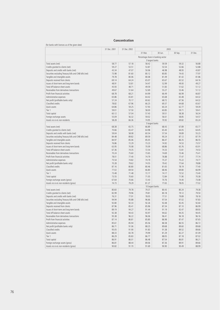## **Concentration**

# (for banks with licences as of the given date)

|                                                          | 31 Dec. 2001                       | 31 Dec. 2002 | 2003            |                  |         |         |  |
|----------------------------------------------------------|------------------------------------|--------------|-----------------|------------------|---------|---------|--|
|                                                          |                                    |              | 31 Mar.         | 30 Jun.          | 30 Sep. | 31 Dec. |  |
|                                                          | Percentage share in banking sector |              |                 |                  |         |         |  |
|                                                          | 3 largest banks                    |              |                 |                  |         |         |  |
| Total assets (net)                                       | 58.77                              | 57.18        | 58.42           | 59.59            | 59.32   | 56.88   |  |
| Credits granted to clients (net)                         | 59.27                              | 53.51        | 53.87           | 53.54            | 52.66   | 52.88   |  |
| Deposits and credits with banks (net)                    | 43.34                              | 47.07        | 50.06           | 46.98            | 48.93   | 43.87   |  |
| Securities excluding Treasury bills and CNB bills (net)  | 73.98                              | 81.60        | 80.12           | 80.85            | 74.43   | 77.97   |  |
| Tangible and intangible assets                           | 79.78                              | 80.06        | 80.08           | 81.49            | 81.42   | 81.86   |  |
| Deposits received from clients                           | 69.14                              | 64.24        | 65.07           | 65.67            | 65.52   | 64.16   |  |
| Issues of short-term and long-term bonds                 | 48.91                              | 53.81        | 54.47           | 52.99            | 49.00   | 49.27   |  |
| Total off-balance-sheet assets                           | 45.93                              | 48.71        | 49.59           | 51.83            | 51.62   | 51.12   |  |
| Receivables from derivatives transactions                | 49.67                              | 51.64        | 52.69           | 55.27            | 53.46   | 51.12   |  |
| Profit from financial activities                         | 68.78                              | 68.21        | 64.99           | 66.49            | 66.99   | 66.87   |  |
|                                                          | 65.86                              | 65.81        | 64.42           | 65.68            | 65.48   | 64.32   |  |
| Administrative expenses                                  | 57.24                              | 70.17        | 60.62           | 68.72            | 67.56   | 64.32   |  |
| Net profit (profitable banks only)<br>Classified credits |                                    |              |                 |                  |         |         |  |
|                                                          | 78.82                              | 67.96        | 66.25           | 69.37            | 64.68   | 65.67   |  |
| Quick assets                                             | 64.86                              | 59.25        | 57.93           | 60.24            | 62.77   | 59.39   |  |
| Tier 1                                                   | 59.01                              | 57.50        | 58.00           | 60.85            | 59.71   | 59.41   |  |
| Total capital                                            | 60.12                              | 57.04        | 57.43           | 59.51            | 58.38   | 56.34   |  |
| Foreign exchange assets                                  | 55.09                              | 56.32        | 59.02           | 56.61            | 58.85   | 54.57   |  |
| Assets vis-à-vis non-residents                           | 58.28                              | 66.36        | 74.95           | 70.92            | 69.82   | 65.24   |  |
|                                                          |                                    |              | 5 largest banks |                  |         |         |  |
| Total assets (net)                                       | 68.38                              | 65.75        | 66.89           | 68.43            | 67.89   | 65.77   |  |
| Credits granted to clients (net)                         | 70.66                              | 65.47        | 64.98           | 65.40            | 64.05   | 64.45   |  |
| Deposits and credits with banks (net)                    | 59.04                              | 58.08        | 60.54           | 57.54            | 59.89   | 55.23   |  |
| Securities excluding Treasury bills and CNB bills (net)  | 84.48                              | 89.82        | 89.59           | 90.24            | 87.12   | 87.79   |  |
| Tangible and intangible assets                           | 84.97                              | 85.06        | 85.05           | 86.47            | 86.35   | 86.55   |  |
| Deposits received from clients                           | 76.86                              | 72.29        | 73.23           | 74.92            | 74.53   | 73.57   |  |
| Issues of short-term and long-term bonds                 | 63.95                              | 70.08        | 70.09           | 68.86            | 65.76   | 65.91   |  |
| Total off-balance-sheet assets                           | 67.36                              | 74.35        | 72.54           | 74.33            | 72.81   | 74.53   |  |
| Receivables from derivatives transactions                | 70.24                              | 75.60        | 73.65           | 74.69            | 73.46   | 75.41   |  |
| Profit from financial activities                         | 78.01                              | 77.40        | 74.79           | 76.88            | 77.47   | 77.74   |  |
| Administrative expenses                                  | 75.54                              | 74.82        | 74.19           | 75.37            | 75.22   | 74.77   |  |
| Net profit (profitable banks only)                       | 70.28                              | 79.62        | 74.55           | 79.42            | 77.64   | 78.88   |  |
| Classified credits                                       | 87.16                              | 80.80        | 80.46           | 81.65            | 78.19   | 77.40   |  |
| Quick assets                                             | 77.02                              | 69.50        | 66.80           | 68.46            | 69.80   | 66.99   |  |
| Tier 1                                                   | 73.48                              | 71.48        | 72.17           | 74.17            | 73.52   | 73.40   |  |
| Total capital                                            | 73.55                              | 70.60        | 71.05           | 72.84            | 71.90   | 70.38   |  |
| Foreign exchange assets (gross)                          | 67.64                              | 70.66        | 72.43           | 70.76            | 74.40   | 73.08   |  |
| Assets vis-à-vis non-residents (gross)                   | 74.73                              | 79.29        | 81.27           | 77.65            | 78.05   | 77.02   |  |
|                                                          |                                    |              |                 | 10 largest banks |         |         |  |
| Total assets (net)                                       | 80.60                              | 79.78        | 79.37           | 80.43            | 80.24   | 79.38   |  |
| Credits granted to clients (net)                         | 82.99                              | 79.96        | 79.81           | 80.18            | 79.12   | 79.50   |  |
| Deposits and credits with banks (net)                    | 76.31                              | 77.91        | 78.05           | 77.51            | 79.89   | 78.18   |  |
| Securities excluding Treasury bills and CNB bills (net)  | 94.94                              | 95.88        | 96.66           | 97.54            | 97.02   | 97.83   |  |
| Tangible and intangible assets                           | 92.80                              | 92.33        | 92.26           | 92.48            | 92.45   | 92.60   |  |
| Deposits received from clients                           | 87.96                              | 85.41        | 85.96           | 87.34            | 87.10   | 86.99   |  |
| Issues of short-term and long-term bonds                 | 89.19                              | 94.27        | 91.44           | 91.19            | 92.47   | 89.93   |  |
| Total off-balance-sheet assets                           | 92.38                              | 94.43        | 93.97           | 94.62            | 94.35   | 94.45   |  |
| Receivables from derivatives transactions                | 95.38                              | 96.22        | 96.06           | 96.41            | 96.18   | 96.16   |  |
| Profit from financial activities                         | 87.14                              | 86.81        | 85.80           | 86.98            | 87.47   | 87.65   |  |
| Administrative expenses                                  | 85.61                              | 85.94        | 85.56           | 86.58            | 86.55   | 86.72   |  |
| Net profit (profitable banks only)                       | 86.71                              | 91.06        | 88.25           | 89.68            | 89.60   | 89.68   |  |
| Classified credits                                       | 95.05                              | 91.90        | 91.83           | 91.38            | 89.52   | 89.66   |  |
| Quick assets                                             | 88.33                              | 83.78        | 79.99           | 81.29            | 82.27   | 81.09   |  |
| Tier 1                                                   | 86.29                              | 85.83        | 86.77           | 88.05            | 87.18   | 87.02   |  |
| Total capital                                            | 86.91                              | 86.01        | 86.48           | 87.54            | 86.81   | 86.21   |  |
| Foreign exchange assets (gross)                          | 86.81                              | 88.44        | 89.06           | 87.36            | 89.91   | 89.66   |  |
| Assets vis-à-vis non-residents (gross)                   | 90.82                              | 91.70        | 91.69           | 90.90            | 90.49   | 88.99   |  |